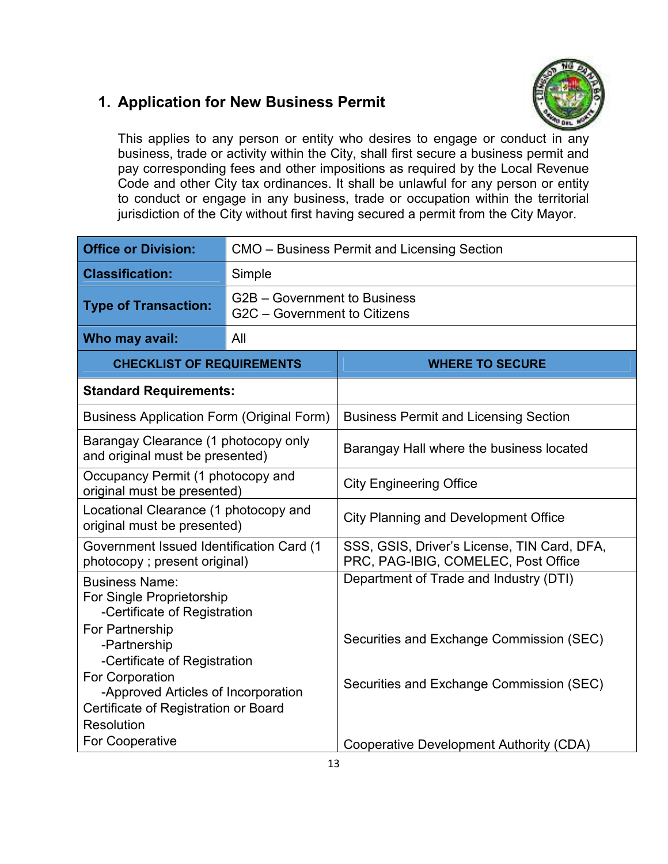## **1. Application for New Business Permit**



This applies to any person or entity who desires to engage or conduct in any business, trade or activity within the City, shall first secure a business permit and pay corresponding fees and other impositions as required by the Local Revenue Code and other City tax ordinances. It shall be unlawful for any person or entity to conduct or engage in any business, trade or occupation within the territorial jurisdiction of the City without first having secured a permit from the City Mayor.

| <b>Office or Division:</b>                                                                            | CMO - Business Permit and Licensing Section                  |                                                                                    |  |
|-------------------------------------------------------------------------------------------------------|--------------------------------------------------------------|------------------------------------------------------------------------------------|--|
| <b>Classification:</b>                                                                                | Simple                                                       |                                                                                    |  |
| <b>Type of Transaction:</b>                                                                           | G2B – Government to Business<br>G2C - Government to Citizens |                                                                                    |  |
| Who may avail:                                                                                        | All                                                          |                                                                                    |  |
| <b>CHECKLIST OF REQUIREMENTS</b>                                                                      |                                                              | <b>WHERE TO SECURE</b>                                                             |  |
| <b>Standard Requirements:</b>                                                                         |                                                              |                                                                                    |  |
| <b>Business Application Form (Original Form)</b>                                                      |                                                              | <b>Business Permit and Licensing Section</b>                                       |  |
| Barangay Clearance (1 photocopy only<br>and original must be presented)                               |                                                              | Barangay Hall where the business located                                           |  |
| Occupancy Permit (1 photocopy and<br>original must be presented)                                      |                                                              | <b>City Engineering Office</b>                                                     |  |
| Locational Clearance (1 photocopy and<br>original must be presented)                                  |                                                              | <b>City Planning and Development Office</b>                                        |  |
| Government Issued Identification Card (1<br>photocopy; present original)                              |                                                              | SSS, GSIS, Driver's License, TIN Card, DFA,<br>PRC, PAG-IBIG, COMELEC, Post Office |  |
| <b>Business Name:</b><br>For Single Proprietorship<br>-Certificate of Registration<br>For Partnership |                                                              | Department of Trade and Industry (DTI)                                             |  |
| -Partnership<br>-Certificate of Registration                                                          |                                                              | Securities and Exchange Commission (SEC)                                           |  |
| For Corporation<br>-Approved Articles of Incorporation<br>Certificate of Registration or Board        |                                                              | Securities and Exchange Commission (SEC)                                           |  |
| Resolution                                                                                            |                                                              |                                                                                    |  |
| <b>For Cooperative</b>                                                                                |                                                              | Cooperative Development Authority (CDA)                                            |  |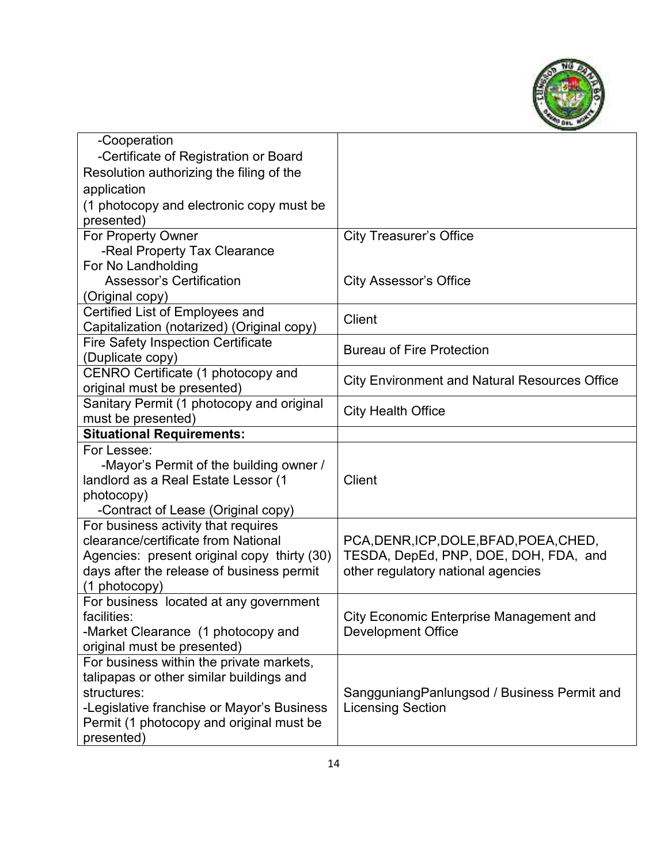

| -Cooperation                                            |                                                      |
|---------------------------------------------------------|------------------------------------------------------|
| -Certificate of Registration or Board                   |                                                      |
| Resolution authorizing the filing of the                |                                                      |
| application                                             |                                                      |
| (1 photocopy and electronic copy must be                |                                                      |
| presented)                                              |                                                      |
| For Property Owner                                      | <b>City Treasurer's Office</b>                       |
| -Real Property Tax Clearance                            |                                                      |
| For No Landholding                                      |                                                      |
| <b>Assessor's Certification</b>                         | <b>City Assessor's Office</b>                        |
| (Original copy)                                         |                                                      |
| Certified List of Employees and                         | <b>Client</b>                                        |
| Capitalization (notarized) (Original copy)              |                                                      |
| <b>Fire Safety Inspection Certificate</b>               | <b>Bureau of Fire Protection</b>                     |
| (Duplicate copy)                                        |                                                      |
| CENRO Certificate (1 photocopy and                      | <b>City Environment and Natural Resources Office</b> |
| original must be presented)                             |                                                      |
| Sanitary Permit (1 photocopy and original               | <b>City Health Office</b>                            |
| must be presented)                                      |                                                      |
| <b>Situational Requirements:</b>                        |                                                      |
| For Lessee:                                             |                                                      |
| -Mayor's Permit of the building owner /                 |                                                      |
| landlord as a Real Estate Lessor (1                     | Client                                               |
| photocopy)                                              |                                                      |
| -Contract of Lease (Original copy)                      |                                                      |
| For business activity that requires                     |                                                      |
| clearance/certificate from National                     | PCA, DENR, ICP, DOLE, BFAD, POEA, CHED,              |
| Agencies: present original copy thirty (30)             | TESDA, DepEd, PNP, DOE, DOH, FDA, and                |
| days after the release of business permit               | other regulatory national agencies                   |
| (1 photocopy)<br>For business located at any government |                                                      |
| facilities:                                             | <b>City Economic Enterprise Management and</b>       |
| -Market Clearance (1 photocopy and                      | Development Office                                   |
| original must be presented)                             |                                                      |
| For business within the private markets,                |                                                      |
| talipapas or other similar buildings and                |                                                      |
| structures:                                             | SangguniangPanlungsod / Business Permit and          |
| -Legislative franchise or Mayor's Business              | <b>Licensing Section</b>                             |
| Permit (1 photocopy and original must be                |                                                      |
| presented)                                              |                                                      |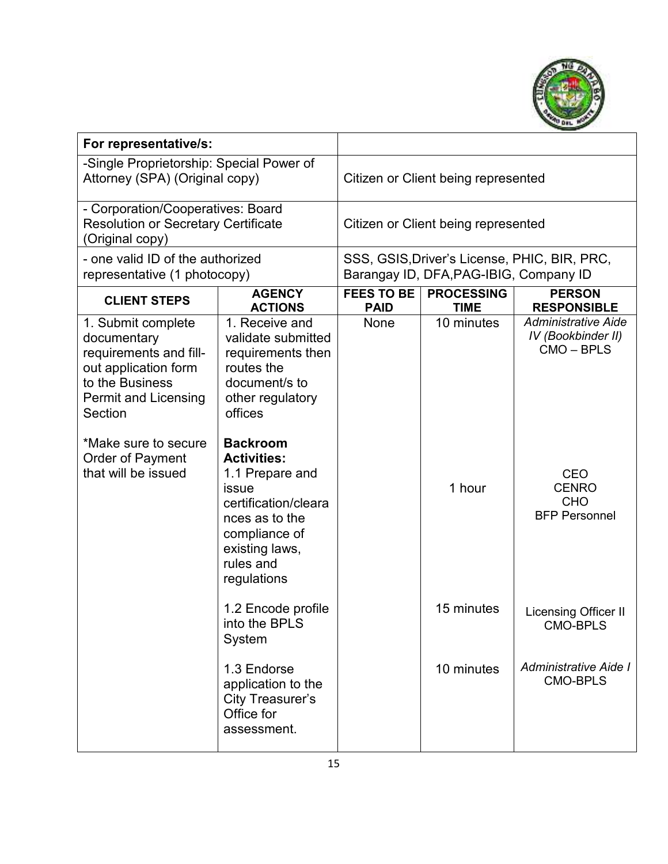

| For representative/s:                                                                                                                                                                                               |                                                                                                                                                                                                                                                                                                              |                                  |                                        |                                                                                                                                  |
|---------------------------------------------------------------------------------------------------------------------------------------------------------------------------------------------------------------------|--------------------------------------------------------------------------------------------------------------------------------------------------------------------------------------------------------------------------------------------------------------------------------------------------------------|----------------------------------|----------------------------------------|----------------------------------------------------------------------------------------------------------------------------------|
| -Single Proprietorship: Special Power of<br>Attorney (SPA) (Original copy)                                                                                                                                          |                                                                                                                                                                                                                                                                                                              |                                  | Citizen or Client being represented    |                                                                                                                                  |
| - Corporation/Cooperatives: Board<br><b>Resolution or Secretary Certificate</b><br>Original copy)                                                                                                                   |                                                                                                                                                                                                                                                                                                              |                                  | Citizen or Client being represented    |                                                                                                                                  |
| - one valid ID of the authorized<br>representative (1 photocopy)                                                                                                                                                    |                                                                                                                                                                                                                                                                                                              |                                  | Barangay ID, DFA, PAG-IBIG, Company ID | SSS, GSIS, Driver's License, PHIC, BIR, PRC,                                                                                     |
| <b>CLIENT STEPS</b>                                                                                                                                                                                                 | <b>AGENCY</b><br><b>ACTIONS</b>                                                                                                                                                                                                                                                                              | <b>FEES TO BE</b><br><b>PAID</b> | <b>PROCESSING</b><br><b>TIME</b>       | <b>PERSON</b><br><b>RESPONSIBLE</b>                                                                                              |
| 1. Submit complete<br>documentary<br>requirements and fill-<br>out application form<br>to the Business<br><b>Permit and Licensing</b><br>Section<br>*Make sure to secure<br>Order of Payment<br>that will be issued | 1. Receive and<br>validate submitted<br>requirements then<br>routes the<br>document/s to<br>other regulatory<br>offices<br><b>Backroom</b><br><b>Activities:</b><br>1.1 Prepare and<br><b>issue</b><br>certification/cleara<br>nces as to the<br>compliance of<br>existing laws,<br>rules and<br>regulations | None                             | 10 minutes<br>1 hour                   | <b>Administrative Aide</b><br>IV (Bookbinder II)<br>CMO-BPLS<br><b>CEO</b><br><b>CENRO</b><br><b>CHO</b><br><b>BFP Personnel</b> |
|                                                                                                                                                                                                                     | 1.2 Encode profile<br>into the BPLS<br>System                                                                                                                                                                                                                                                                |                                  | 15 minutes                             | Licensing Officer II<br>CMO-BPLS                                                                                                 |
|                                                                                                                                                                                                                     | 1.3 Endorse<br>application to the<br><b>City Treasurer's</b><br>Office for<br>assessment.                                                                                                                                                                                                                    |                                  | 10 minutes                             | Administrative Aide I<br><b>CMO-BPLS</b>                                                                                         |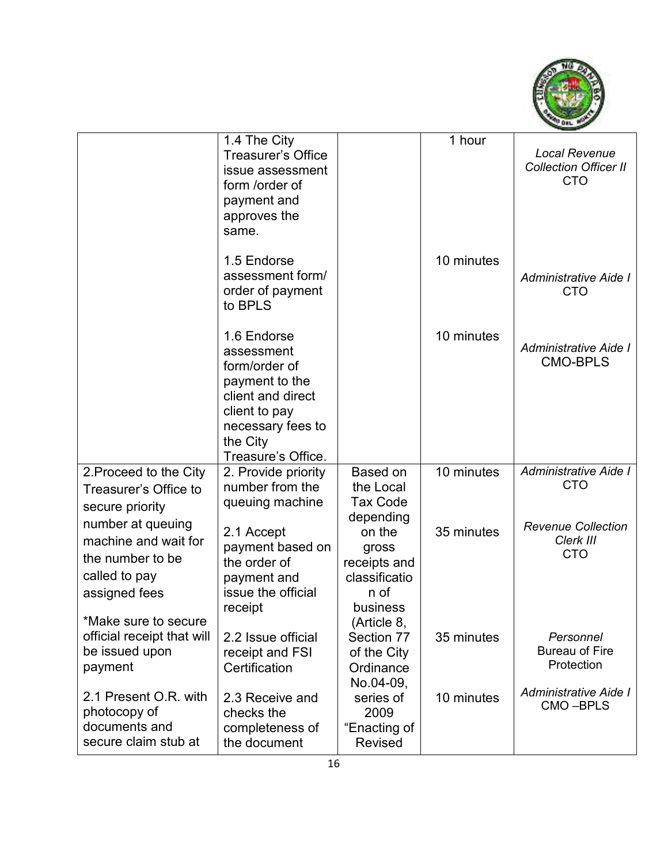

|                                                                                                 | 1.4 The City<br><b>Treasurer's Office</b><br>issue assessment<br>form /order of<br>payment and<br>approves the<br>same.                                   |                                                                      | 1 hour     | <b>Local Revenue</b><br><b>Collection Officer II</b><br><b>CTO</b> |
|-------------------------------------------------------------------------------------------------|-----------------------------------------------------------------------------------------------------------------------------------------------------------|----------------------------------------------------------------------|------------|--------------------------------------------------------------------|
|                                                                                                 | 1.5 Endorse<br>assessment form/<br>order of payment<br>to BPLS                                                                                            |                                                                      | 10 minutes | Administrative Aide I<br><b>CTO</b>                                |
|                                                                                                 | 1.6 Endorse<br>assessment<br>form/order of<br>payment to the<br>client and direct<br>client to pay<br>necessary fees to<br>the City<br>Treasure's Office. |                                                                      | 10 minutes | Administrative Aide I<br><b>CMO-BPLS</b>                           |
| 2. Proceed to the City<br>Treasurer's Office to<br>secure priority                              | 2. Provide priority<br>number from the<br>queuing machine                                                                                                 | Based on<br>the Local<br><b>Tax Code</b><br>depending                | 10 minutes | Administrative Aide I<br><b>CTO</b>                                |
| number at queuing<br>machine and wait for<br>the number to be<br>called to pay<br>assigned fees | 2.1 Accept<br>payment based on<br>the order of<br>payment and<br>issue the official<br>receipt                                                            | on the<br>gross<br>receipts and<br>classificatio<br>n of<br>business | 35 minutes | <b>Revenue Collection</b><br>Clerk III<br><b>CTO</b>               |
| *Make sure to secure<br>official receipt that will<br>be issued upon<br>payment                 | 2.2 Issue official<br>receipt and FSI<br>Certification                                                                                                    | (Article 8,<br>Section 77<br>of the City<br>Ordinance<br>No.04-09,   | 35 minutes | Personnel<br><b>Bureau of Fire</b><br>Protection                   |
| 2.1 Present O.R. with<br>photocopy of<br>documents and<br>secure claim stub at                  | 2.3 Receive and<br>checks the<br>completeness of<br>the document                                                                                          | series of<br>2009<br>"Enacting of<br><b>Revised</b>                  | 10 minutes | Administrative Aide I<br>CMO-BPLS                                  |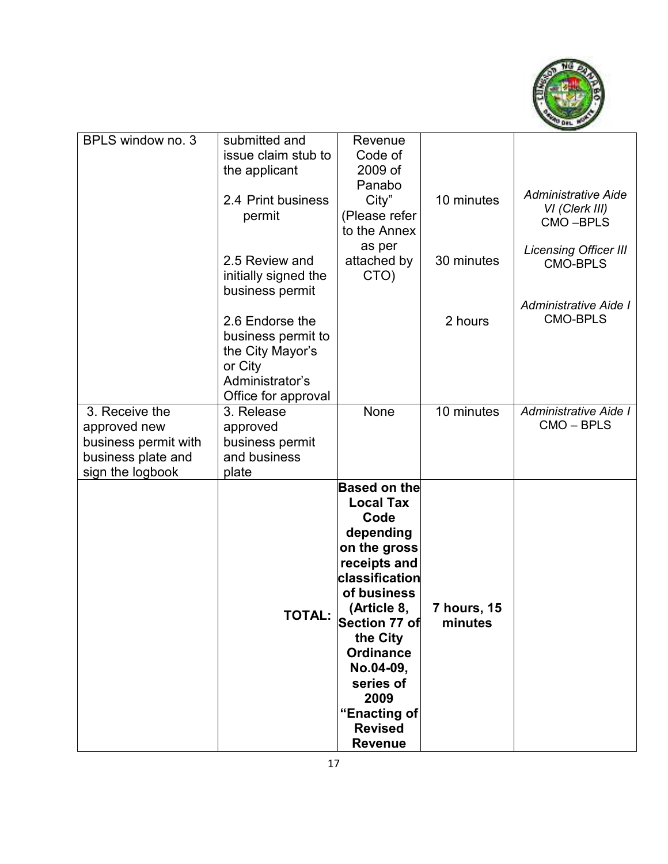

| BPLS window no. 3    | submitted and        | Revenue             |             |                              |
|----------------------|----------------------|---------------------|-------------|------------------------------|
|                      | issue claim stub to  | Code of             |             |                              |
|                      | the applicant        | 2009 of             |             |                              |
|                      |                      | Panabo              |             |                              |
|                      | 2.4 Print business   | City"               | 10 minutes  | <b>Administrative Aide</b>   |
|                      | permit               | (Please refer       |             | VI (Clerk III)               |
|                      |                      | to the Annex        |             | CMO-BPLS                     |
|                      |                      | as per              |             |                              |
|                      | 2.5 Review and       | attached by         | 30 minutes  | <b>Licensing Officer III</b> |
|                      | initially signed the | CTO)                |             | <b>CMO-BPLS</b>              |
|                      | business permit      |                     |             |                              |
|                      |                      |                     |             | Administrative Aide I        |
|                      | 2.6 Endorse the      |                     | 2 hours     | <b>CMO-BPLS</b>              |
|                      |                      |                     |             |                              |
|                      | business permit to   |                     |             |                              |
|                      | the City Mayor's     |                     |             |                              |
|                      | or City              |                     |             |                              |
|                      | Administrator's      |                     |             |                              |
|                      | Office for approval  |                     |             |                              |
| 3. Receive the       | 3. Release           | None                | 10 minutes  | Administrative Aide I        |
| approved new         | approved             |                     |             | CMO-BPLS                     |
| business permit with | business permit      |                     |             |                              |
| business plate and   | and business         |                     |             |                              |
| sign the logbook     | plate                |                     |             |                              |
|                      |                      | <b>Based on the</b> |             |                              |
|                      |                      | <b>Local Tax</b>    |             |                              |
|                      |                      | Code                |             |                              |
|                      |                      | depending           |             |                              |
|                      |                      | on the gross        |             |                              |
|                      |                      | receipts and        |             |                              |
|                      |                      | classification      |             |                              |
|                      |                      | of business         |             |                              |
|                      |                      | (Article 8,         | 7 hours, 15 |                              |
|                      | <b>TOTAL:</b>        | Section 77 of       | minutes     |                              |
|                      |                      | the City            |             |                              |
|                      |                      | <b>Ordinance</b>    |             |                              |
|                      |                      | No.04-09,           |             |                              |
|                      |                      | series of           |             |                              |
|                      |                      | 2009                |             |                              |
|                      |                      | "Enacting of        |             |                              |
|                      |                      | <b>Revised</b>      |             |                              |
|                      |                      | <b>Revenue</b>      |             |                              |
|                      |                      |                     |             |                              |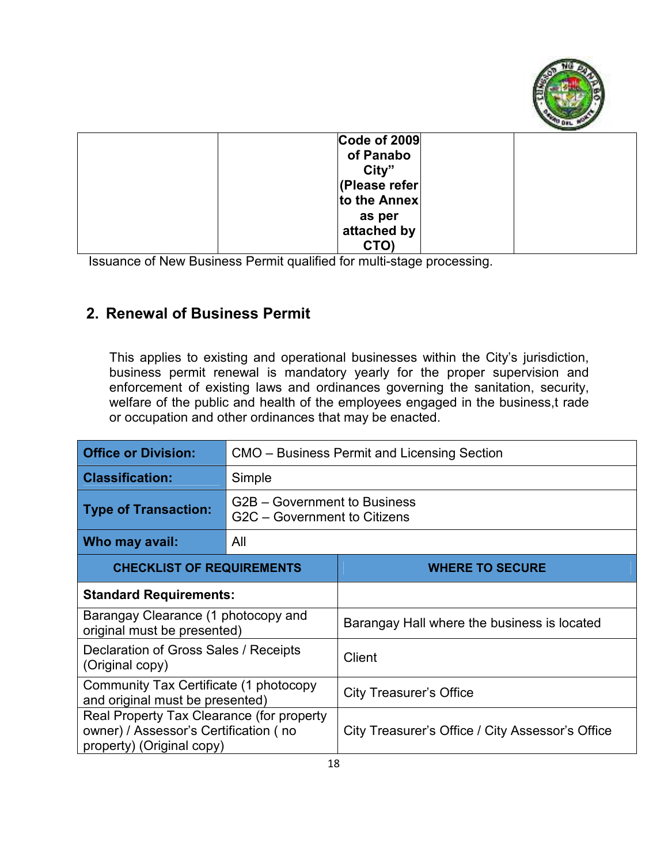

| Code of 2009  |  |
|---------------|--|
| of Panabo     |  |
| City"         |  |
| (Please refer |  |
| to the Annex  |  |
| as per        |  |
| attached by   |  |
| CTO)          |  |
|               |  |

Issuance of New Business Permit qualified for multi-stage processing.

## **2. Renewal of Business Permit**

This applies to existing and operational businesses within the City's jurisdiction, business permit renewal is mandatory yearly for the proper supervision and enforcement of existing laws and ordinances governing the sanitation, security, welfare of the public and health of the employees engaged in the business,t rade or occupation and other ordinances that may be enacted.

| <b>Office or Division:</b>                                                                                      | CMO – Business Permit and Licensing Section                  |                                                  |  |
|-----------------------------------------------------------------------------------------------------------------|--------------------------------------------------------------|--------------------------------------------------|--|
| <b>Classification:</b>                                                                                          | Simple                                                       |                                                  |  |
| <b>Type of Transaction:</b>                                                                                     | G2B – Government to Business<br>G2C - Government to Citizens |                                                  |  |
| Who may avail:                                                                                                  | All                                                          |                                                  |  |
| <b>CHECKLIST OF REQUIREMENTS</b>                                                                                |                                                              | <b>WHERE TO SECURE</b>                           |  |
| <b>Standard Requirements:</b>                                                                                   |                                                              |                                                  |  |
| Barangay Clearance (1 photocopy and<br>original must be presented)                                              |                                                              | Barangay Hall where the business is located      |  |
| Declaration of Gross Sales / Receipts<br>(Original copy)                                                        |                                                              | <b>Client</b>                                    |  |
| Community Tax Certificate (1 photocopy<br>and original must be presented)                                       |                                                              | <b>City Treasurer's Office</b>                   |  |
| Real Property Tax Clearance (for property<br>owner) / Assessor's Certification (no<br>property) (Original copy) |                                                              | City Treasurer's Office / City Assessor's Office |  |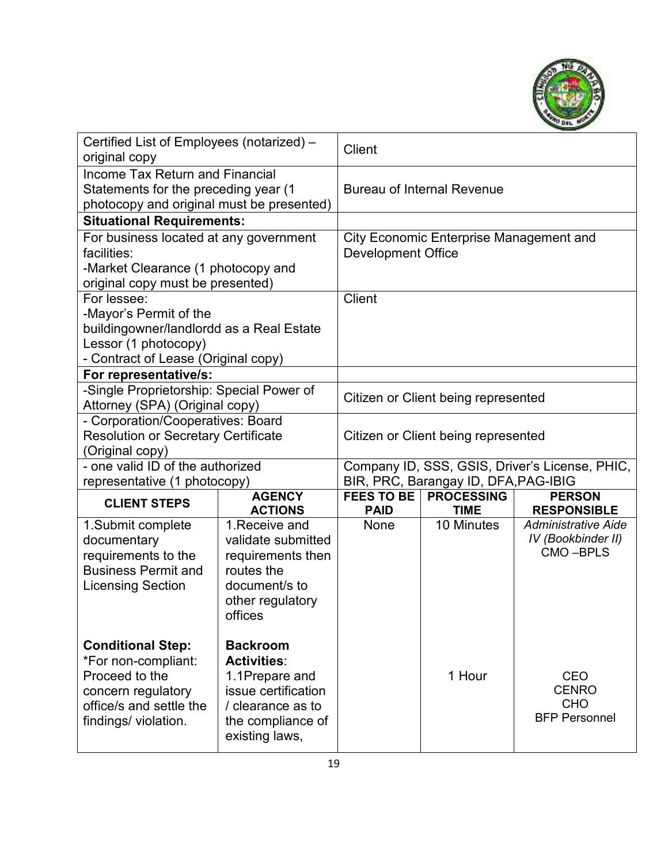

| Certified List of Employees (notarized) -<br>original copy                                                                      |                                                                                 | <b>Client</b>                       |                                                           |                                                |
|---------------------------------------------------------------------------------------------------------------------------------|---------------------------------------------------------------------------------|-------------------------------------|-----------------------------------------------------------|------------------------------------------------|
| <b>Income Tax Return and Financial</b><br>Statements for the preceding year (1<br>photocopy and original must be presented)     |                                                                                 |                                     | <b>Bureau of Internal Revenue</b>                         |                                                |
| <b>Situational Requirements:</b>                                                                                                |                                                                                 |                                     |                                                           |                                                |
| For business located at any government<br>facilities:<br>-Market Clearance (1 photocopy and<br>original copy must be presented) |                                                                                 | Development Office                  | <b>City Economic Enterprise Management and</b>            |                                                |
| For lessee:                                                                                                                     |                                                                                 | <b>Client</b>                       |                                                           |                                                |
| -Mayor's Permit of the                                                                                                          |                                                                                 |                                     |                                                           |                                                |
| buildingowner/landlordd as a Real Estate                                                                                        |                                                                                 |                                     |                                                           |                                                |
| Lessor (1 photocopy)<br>- Contract of Lease (Original copy)                                                                     |                                                                                 |                                     |                                                           |                                                |
| For representative/s:                                                                                                           |                                                                                 |                                     |                                                           |                                                |
| -Single Proprietorship: Special Power of                                                                                        |                                                                                 |                                     |                                                           |                                                |
| Attorney (SPA) (Original copy)                                                                                                  |                                                                                 |                                     | Citizen or Client being represented                       |                                                |
| - Corporation/Cooperatives: Board                                                                                               |                                                                                 |                                     |                                                           |                                                |
| <b>Resolution or Secretary Certificate</b>                                                                                      |                                                                                 | Citizen or Client being represented |                                                           |                                                |
| (Original copy)                                                                                                                 |                                                                                 |                                     |                                                           |                                                |
| - one valid ID of the authorized                                                                                                |                                                                                 |                                     |                                                           | Company ID, SSS, GSIS, Driver's License, PHIC, |
| representative (1 photocopy)                                                                                                    | <b>AGENCY</b>                                                                   | <b>FEES TO BE</b>                   | BIR, PRC, Barangay ID, DFA, PAG-IBIG<br><b>PROCESSING</b> |                                                |
| <b>CLIENT STEPS</b>                                                                                                             | <b>ACTIONS</b>                                                                  | <b>PAID</b>                         | <b>TIME</b>                                               | <b>PERSON</b><br><b>RESPONSIBLE</b>            |
| 1. Submit complete<br>documentary                                                                                               | 1. Receive and<br>validate submitted                                            | <b>None</b>                         | 10 Minutes                                                | <b>Administrative Aide</b>                     |
| requirements to the<br><b>Business Permit and</b><br><b>Licensing Section</b>                                                   | requirements then<br>routes the<br>document/s to<br>other regulatory<br>offices |                                     |                                                           | IV (Bookbinder II)<br>CMO-BPLS                 |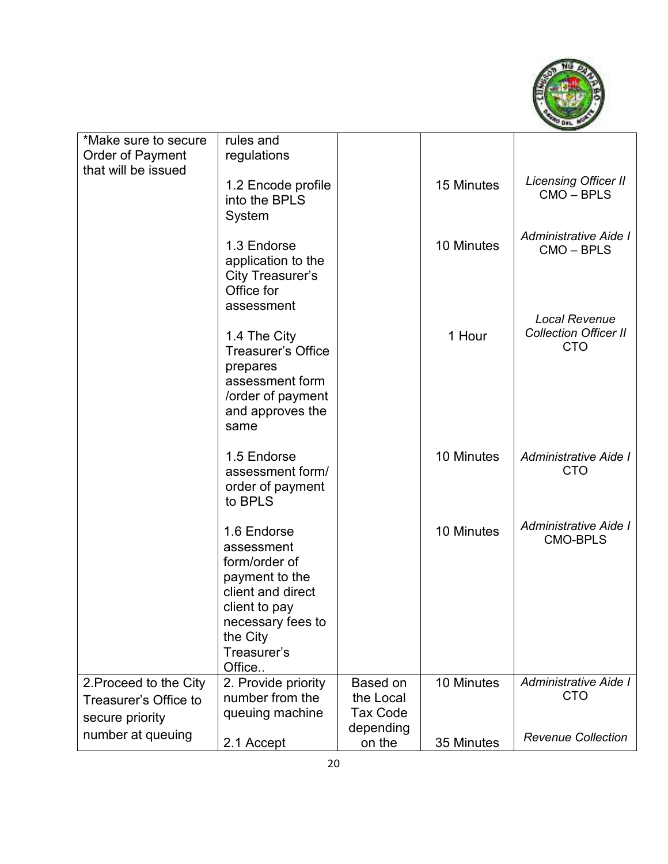

| *Make sure to secure<br>Order of Payment                           | rules and<br>regulations                                                                                                                                     |                                          |            |                                                                    |
|--------------------------------------------------------------------|--------------------------------------------------------------------------------------------------------------------------------------------------------------|------------------------------------------|------------|--------------------------------------------------------------------|
| that will be issued                                                | 1.2 Encode profile<br>into the BPLS<br>System                                                                                                                |                                          | 15 Minutes | <b>Licensing Officer II</b><br>CMO-BPLS                            |
|                                                                    | 1.3 Endorse<br>application to the<br><b>City Treasurer's</b><br>Office for<br>assessment                                                                     |                                          | 10 Minutes | Administrative Aide I<br>CMO - BPLS                                |
|                                                                    | 1.4 The City<br><b>Treasurer's Office</b><br>prepares<br>assessment form<br>/order of payment<br>and approves the<br>same                                    |                                          | 1 Hour     | <b>Local Revenue</b><br><b>Collection Officer II</b><br><b>CTO</b> |
|                                                                    | 1.5 Endorse<br>assessment form/<br>order of payment<br>to BPLS                                                                                               |                                          | 10 Minutes | Administrative Aide I<br><b>CTO</b>                                |
|                                                                    | 1.6 Endorse<br>assessment<br>form/order of<br>payment to the<br>client and direct<br>client to pay<br>necessary fees to<br>the City<br>Treasurer's<br>Office |                                          | 10 Minutes | Administrative Aide I<br><b>CMO-BPLS</b>                           |
| 2. Proceed to the City<br>Treasurer's Office to<br>secure priority | 2. Provide priority<br>number from the<br>queuing machine                                                                                                    | Based on<br>the Local<br><b>Tax Code</b> | 10 Minutes | Administrative Aide I<br><b>CTO</b>                                |
| number at queuing                                                  | 2.1 Accept                                                                                                                                                   | depending<br>on the                      | 35 Minutes | <b>Revenue Collection</b>                                          |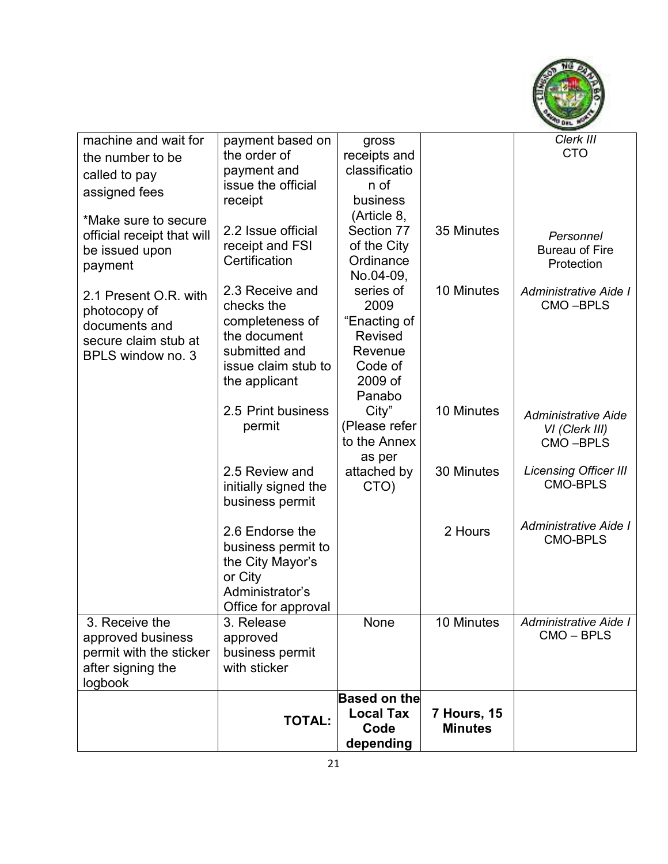

| machine and wait for       | payment based on                     | gross                     |                    | Clerk III                    |
|----------------------------|--------------------------------------|---------------------------|--------------------|------------------------------|
| the number to be           | the order of                         | receipts and              |                    | <b>CTO</b>                   |
| called to pay              | payment and                          | classificatio             |                    |                              |
| assigned fees              | issue the official                   | n of                      |                    |                              |
|                            | receipt                              | business                  |                    |                              |
| *Make sure to secure       |                                      | (Article 8,               |                    |                              |
| official receipt that will | 2.2 Issue official                   | Section 77                | 35 Minutes         | Personnel                    |
| be issued upon             | receipt and FSI                      | of the City               |                    | <b>Bureau of Fire</b>        |
| payment                    | Certification                        | Ordinance                 |                    | Protection                   |
|                            |                                      | No.04-09,                 |                    |                              |
| 2.1 Present O.R. with      | 2.3 Receive and                      | series of                 | 10 Minutes         | Administrative Aide I        |
| photocopy of               | checks the                           | 2009                      |                    | CMO-BPLS                     |
| documents and              | completeness of                      | "Enacting of              |                    |                              |
| secure claim stub at       | the document                         | <b>Revised</b><br>Revenue |                    |                              |
| BPLS window no. 3          | submitted and<br>issue claim stub to | Code of                   |                    |                              |
|                            | the applicant                        | 2009 of                   |                    |                              |
|                            |                                      | Panabo                    |                    |                              |
|                            | 2.5 Print business                   | City"                     | 10 Minutes         |                              |
|                            | permit                               | (Please refer             |                    | <b>Administrative Aide</b>   |
|                            |                                      | to the Annex              |                    | VI (Clerk III)<br>CMO-BPLS   |
|                            |                                      | as per                    |                    |                              |
|                            | 2.5 Review and                       | attached by               | 30 Minutes         | <b>Licensing Officer III</b> |
|                            | initially signed the                 | CTO)                      |                    | <b>CMO-BPLS</b>              |
|                            | business permit                      |                           |                    |                              |
|                            |                                      |                           |                    |                              |
|                            | 2.6 Endorse the                      |                           | 2 Hours            | Administrative Aide I        |
|                            | business permit to                   |                           |                    | <b>CMO-BPLS</b>              |
|                            | the City Mayor's                     |                           |                    |                              |
|                            | or City                              |                           |                    |                              |
|                            | Administrator's                      |                           |                    |                              |
|                            | Office for approval                  |                           |                    |                              |
| 3. Receive the             | 3. Release                           | None                      | 10 Minutes         | Administrative Aide I        |
| approved business          | approved                             |                           |                    | CMO - BPLS                   |
| permit with the sticker    | business permit                      |                           |                    |                              |
| after signing the          | with sticker                         |                           |                    |                              |
| logbook                    |                                      |                           |                    |                              |
|                            |                                      | <b>Based on the</b>       |                    |                              |
|                            | <b>TOTAL:</b>                        | <b>Local Tax</b>          | <b>7 Hours, 15</b> |                              |
|                            |                                      | Code                      | <b>Minutes</b>     |                              |
|                            |                                      | depending                 |                    |                              |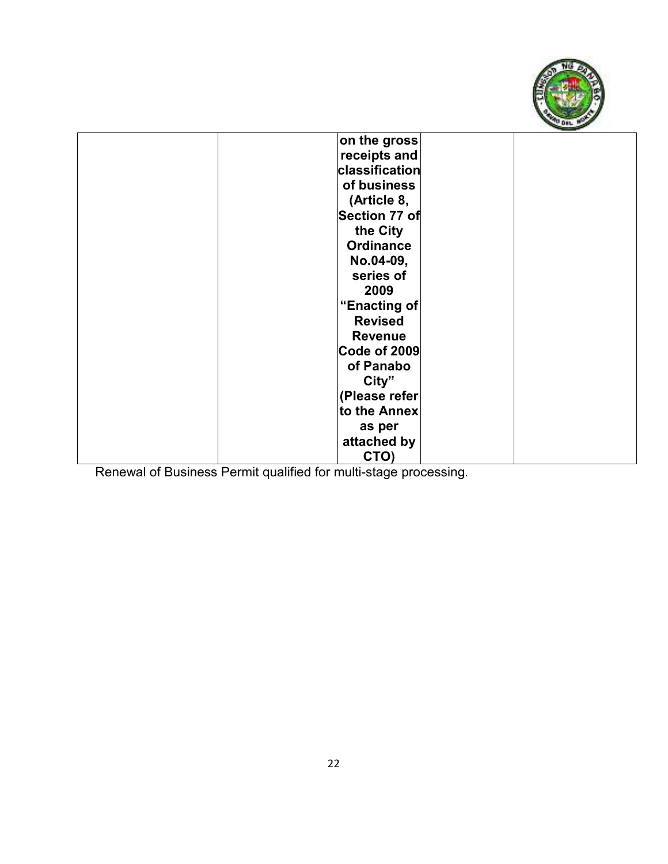

| on the gross          |  |
|-----------------------|--|
| receipts and          |  |
| <b>classification</b> |  |
| of business           |  |
| (Article 8,           |  |
| Section 77 of         |  |
| the City              |  |
| <b>Ordinance</b>      |  |
| No.04-09,             |  |
| series of             |  |
| 2009                  |  |
| "Enacting of          |  |
| <b>Revised</b>        |  |
| <b>Revenue</b>        |  |
| <b>Code of 2009</b>   |  |
| of Panabo             |  |
| City"                 |  |
| (Please refer         |  |
| to the Annex          |  |
| as per                |  |
| attached by           |  |
| CTO)                  |  |
|                       |  |

Renewal of Business Permit qualified for multi-stage processing.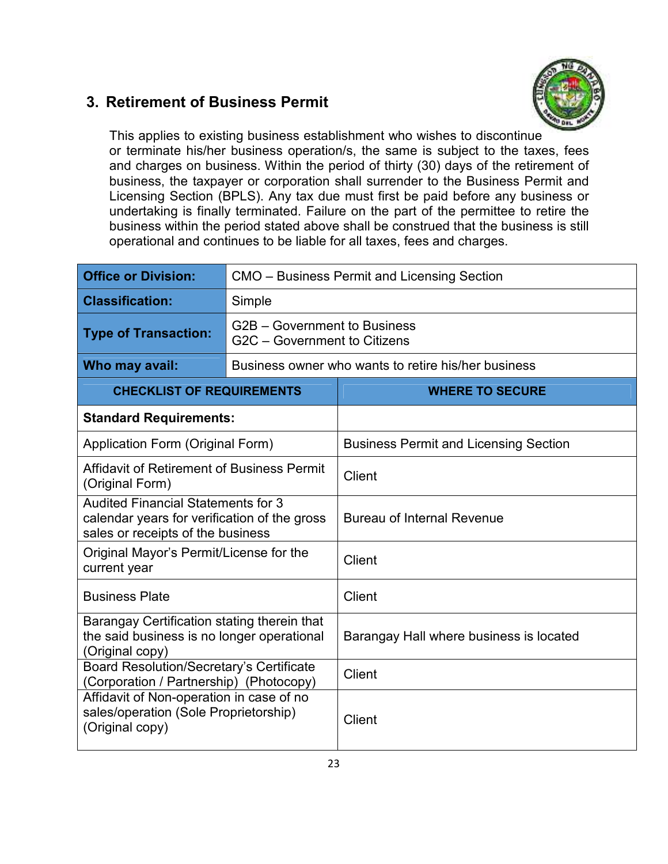### **3. Retirement of Business Permit**



This applies to existing business establishment who wishes to discontinue or terminate his/her business operation/s, the same is subject to the taxes, fees and charges on business. Within the period of thirty (30) days of the retirement of business, the taxpayer or corporation shall surrender to the Business Permit and Licensing Section (BPLS). Any tax due must first be paid before any business or undertaking is finally terminated. Failure on the part of the permittee to retire the business within the period stated above shall be construed that the business is still operational and continues to be liable for all taxes, fees and charges.

| <b>Office or Division:</b>                                                                                                     | CMO – Business Permit and Licensing Section                  |                                              |  |
|--------------------------------------------------------------------------------------------------------------------------------|--------------------------------------------------------------|----------------------------------------------|--|
| <b>Classification:</b>                                                                                                         | Simple                                                       |                                              |  |
| <b>Type of Transaction:</b>                                                                                                    | G2B - Government to Business<br>G2C - Government to Citizens |                                              |  |
| Who may avail:                                                                                                                 | Business owner who wants to retire his/her business          |                                              |  |
| <b>CHECKLIST OF REQUIREMENTS</b>                                                                                               |                                                              | <b>WHERE TO SECURE</b>                       |  |
| <b>Standard Requirements:</b>                                                                                                  |                                                              |                                              |  |
| Application Form (Original Form)                                                                                               |                                                              | <b>Business Permit and Licensing Section</b> |  |
| Affidavit of Retirement of Business Permit<br>(Original Form)                                                                  |                                                              | Client                                       |  |
| <b>Audited Financial Statements for 3</b><br>calendar years for verification of the gross<br>sales or receipts of the business |                                                              | <b>Bureau of Internal Revenue</b>            |  |
| Original Mayor's Permit/License for the<br>current year                                                                        |                                                              | Client                                       |  |
| <b>Business Plate</b>                                                                                                          |                                                              | <b>Client</b>                                |  |
| Barangay Certification stating therein that<br>the said business is no longer operational<br>(Original copy)                   |                                                              | Barangay Hall where business is located      |  |
| <b>Board Resolution/Secretary's Certificate</b><br>(Corporation / Partnership) (Photocopy)                                     |                                                              | <b>Client</b>                                |  |
| Affidavit of Non-operation in case of no<br>sales/operation (Sole Proprietorship)<br>(Original copy)                           |                                                              | Client                                       |  |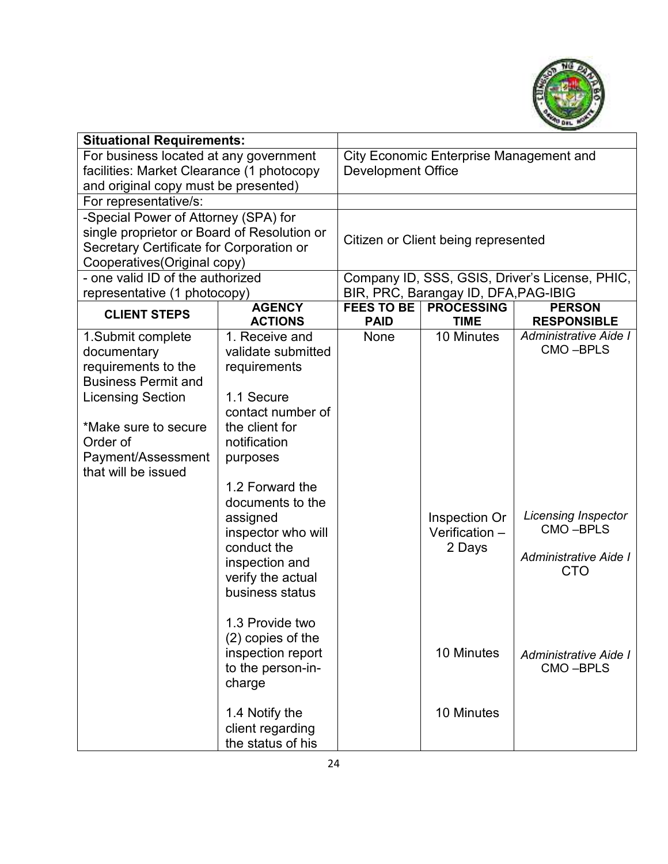

| <b>Situational Requirements:</b>            |                                   |                                                |                                      |                                                |
|---------------------------------------------|-----------------------------------|------------------------------------------------|--------------------------------------|------------------------------------------------|
| For business located at any government      |                                   | <b>City Economic Enterprise Management and</b> |                                      |                                                |
| facilities: Market Clearance (1 photocopy   |                                   | <b>Development Office</b>                      |                                      |                                                |
| and original copy must be presented)        |                                   |                                                |                                      |                                                |
| For representative/s:                       |                                   |                                                |                                      |                                                |
| -Special Power of Attorney (SPA) for        |                                   |                                                |                                      |                                                |
| single proprietor or Board of Resolution or |                                   |                                                | Citizen or Client being represented  |                                                |
| Secretary Certificate for Corporation or    |                                   |                                                |                                      |                                                |
| Cooperatives (Original copy)                |                                   |                                                |                                      |                                                |
| - one valid ID of the authorized            |                                   |                                                |                                      | Company ID, SSS, GSIS, Driver's License, PHIC, |
| representative (1 photocopy)                |                                   |                                                | BIR, PRC, Barangay ID, DFA, PAG-IBIG |                                                |
| <b>CLIENT STEPS</b>                         | <b>AGENCY</b><br><b>ACTIONS</b>   | <b>FEES TO BE</b><br><b>PAID</b>               | <b>PROCESSING</b><br><b>TIME</b>     | <b>PERSON</b><br><b>RESPONSIBLE</b>            |
| 1.Submit complete                           | 1. Receive and                    | None                                           | 10 Minutes                           | Administrative Aide I                          |
| documentary                                 | validate submitted                |                                                |                                      | CMO-BPLS                                       |
| requirements to the                         | requirements                      |                                                |                                      |                                                |
| <b>Business Permit and</b>                  |                                   |                                                |                                      |                                                |
| <b>Licensing Section</b>                    | 1.1 Secure                        |                                                |                                      |                                                |
|                                             | contact number of                 |                                                |                                      |                                                |
| *Make sure to secure                        | the client for                    |                                                |                                      |                                                |
| Order of                                    | notification                      |                                                |                                      |                                                |
| Payment/Assessment                          | purposes                          |                                                |                                      |                                                |
| that will be issued                         |                                   |                                                |                                      |                                                |
|                                             | 1.2 Forward the                   |                                                |                                      |                                                |
| documents to the                            |                                   |                                                |                                      | Licensing Inspector                            |
|                                             | assigned                          |                                                | Inspection Or                        | CMO-BPLS                                       |
|                                             | inspector who will<br>conduct the |                                                | Verification -                       |                                                |
|                                             | inspection and                    |                                                | 2 Days                               | Administrative Aide I                          |
|                                             | verify the actual                 |                                                |                                      | <b>CTO</b>                                     |
|                                             | business status                   |                                                |                                      |                                                |
|                                             |                                   |                                                |                                      |                                                |
|                                             | 1.3 Provide two                   |                                                |                                      |                                                |
|                                             | (2) copies of the                 |                                                |                                      |                                                |
|                                             | inspection report                 |                                                | 10 Minutes                           | Administrative Aide I                          |
|                                             | to the person-in-                 |                                                |                                      | CMO-BPLS                                       |
|                                             | charge                            |                                                |                                      |                                                |
|                                             |                                   |                                                |                                      |                                                |
|                                             | 1.4 Notify the                    |                                                | 10 Minutes                           |                                                |
|                                             | client regarding                  |                                                |                                      |                                                |
|                                             | the status of his                 |                                                |                                      |                                                |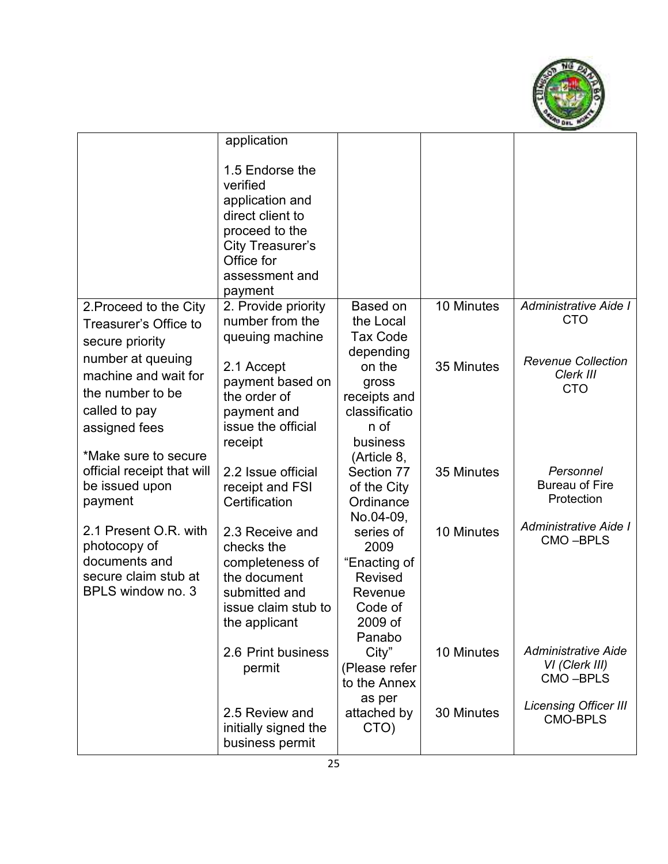

|                                           | application                                                                                                                                         |                               |            |                                        |
|-------------------------------------------|-----------------------------------------------------------------------------------------------------------------------------------------------------|-------------------------------|------------|----------------------------------------|
|                                           | 1.5 Endorse the<br>verified<br>application and<br>direct client to<br>proceed to the<br>City Treasurer's<br>Office for<br>assessment and<br>payment |                               |            |                                        |
| 2. Proceed to the City                    | 2. Provide priority                                                                                                                                 | Based on                      | 10 Minutes | Administrative Aide I<br><b>CTO</b>    |
| Treasurer's Office to                     | number from the<br>queuing machine                                                                                                                  | the Local<br><b>Tax Code</b>  |            |                                        |
| secure priority<br>number at queuing      |                                                                                                                                                     | depending                     |            |                                        |
| machine and wait for                      | 2.1 Accept                                                                                                                                          | on the                        | 35 Minutes | <b>Revenue Collection</b><br>Clerk III |
| the number to be                          | payment based on                                                                                                                                    | gross                         |            | <b>CTO</b>                             |
| called to pay                             | the order of<br>payment and                                                                                                                         | receipts and<br>classificatio |            |                                        |
| assigned fees                             | issue the official                                                                                                                                  | n of                          |            |                                        |
|                                           | receipt                                                                                                                                             | business                      |            |                                        |
| *Make sure to secure                      |                                                                                                                                                     | (Article 8,                   |            |                                        |
| official receipt that will                | 2.2 Issue official                                                                                                                                  | Section 77                    | 35 Minutes | Personnel<br><b>Bureau of Fire</b>     |
| be issued upon<br>payment                 | receipt and FSI<br>Certification                                                                                                                    | of the City<br>Ordinance      |            | Protection                             |
|                                           |                                                                                                                                                     | No.04-09,                     |            |                                        |
| 2.1 Present O.R. with                     | 2.3 Receive and                                                                                                                                     | series of                     | 10 Minutes | Administrative Aide I                  |
| photocopy of                              | checks the                                                                                                                                          | 2009                          |            | CMO-BPLS                               |
| documents and                             | completeness of                                                                                                                                     | "Enacting of                  |            |                                        |
| secure claim stub at<br>BPLS window no. 3 | the document<br>submitted and                                                                                                                       | <b>Revised</b><br>Revenue     |            |                                        |
|                                           | issue claim stub to                                                                                                                                 | Code of                       |            |                                        |
|                                           | the applicant                                                                                                                                       | 2009 of                       |            |                                        |
|                                           |                                                                                                                                                     | Panabo                        |            |                                        |
|                                           | 2.6 Print business                                                                                                                                  | City"                         | 10 Minutes | <b>Administrative Aide</b>             |
|                                           | permit                                                                                                                                              | (Please refer                 |            | VI (Clerk III)<br>CMO-BPLS             |
|                                           |                                                                                                                                                     | to the Annex<br>as per        |            |                                        |
|                                           | 2.5 Review and                                                                                                                                      | attached by                   | 30 Minutes | <b>Licensing Officer III</b>           |
|                                           | initially signed the                                                                                                                                | CTO)                          |            | <b>CMO-BPLS</b>                        |
|                                           | business permit                                                                                                                                     |                               |            |                                        |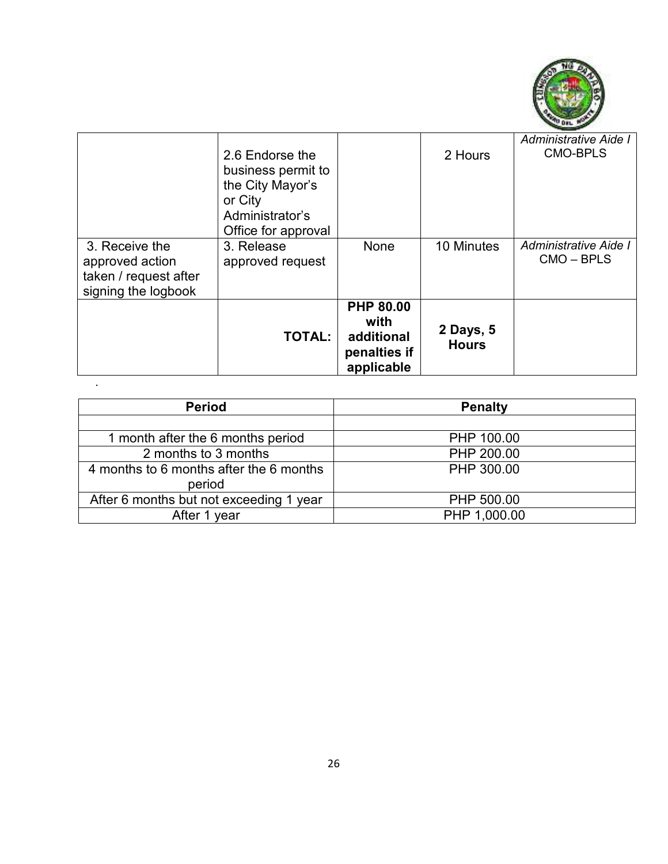

|                                                                                   | 2.6 Endorse the<br>business permit to<br>the City Mayor's<br>or City<br>Administrator's<br>Office for approval |                                                                      | 2 Hours                   | Administrative Aide I<br><b>CMO-BPLS</b> |
|-----------------------------------------------------------------------------------|----------------------------------------------------------------------------------------------------------------|----------------------------------------------------------------------|---------------------------|------------------------------------------|
| 3. Receive the<br>approved action<br>taken / request after<br>signing the logbook | 3. Release<br>approved request                                                                                 | None                                                                 | 10 Minutes                | Administrative Aide I<br>$CMO - BPLS$    |
|                                                                                   | <b>TOTAL:</b>                                                                                                  | <b>PHP 80.00</b><br>with<br>additional<br>penalties if<br>applicable | 2 Days, 5<br><b>Hours</b> |                                          |

| <b>Period</b>                           | <b>Penalty</b> |
|-----------------------------------------|----------------|
|                                         |                |
| 1 month after the 6 months period       | PHP 100.00     |
| 2 months to 3 months                    | PHP 200.00     |
| 4 months to 6 months after the 6 months | PHP 300.00     |
| period                                  |                |
| After 6 months but not exceeding 1 year | PHP 500.00     |
| After 1 year                            | PHP 1,000.00   |

.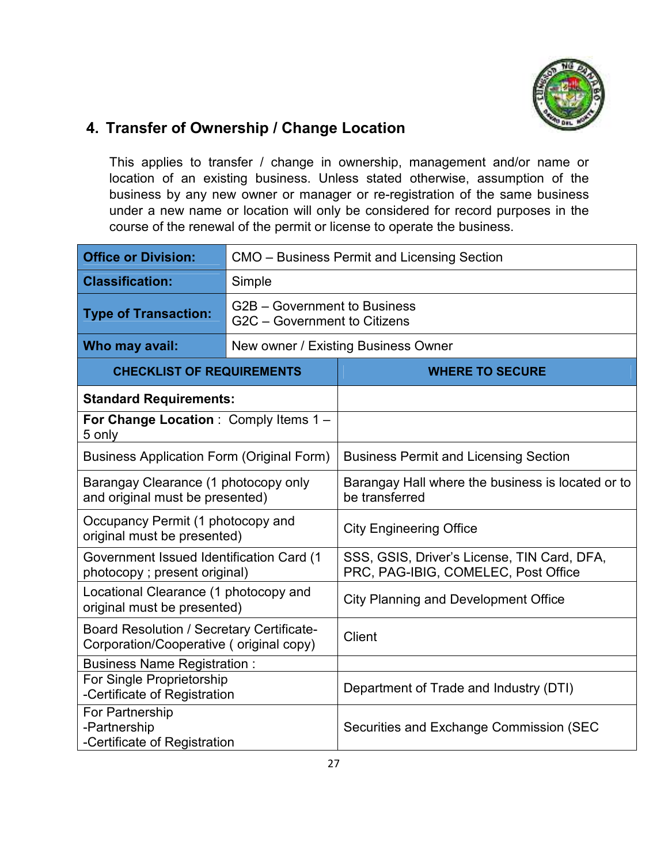

## **4. Transfer of Ownership / Change Location**

This applies to transfer / change in ownership, management and/or name or location of an existing business. Unless stated otherwise, assumption of the business by any new owner or manager or re-registration of the same business under a new name or location will only be considered for record purposes in the course of the renewal of the permit or license to operate the business.

| <b>Office or Division:</b>                                                                  | CMO - Business Permit and Licensing Section                  |                                                                                    |  |
|---------------------------------------------------------------------------------------------|--------------------------------------------------------------|------------------------------------------------------------------------------------|--|
| <b>Classification:</b>                                                                      | Simple                                                       |                                                                                    |  |
| <b>Type of Transaction:</b>                                                                 | G2B – Government to Business<br>G2C - Government to Citizens |                                                                                    |  |
| Who may avail:                                                                              |                                                              | New owner / Existing Business Owner                                                |  |
| <b>CHECKLIST OF REQUIREMENTS</b>                                                            |                                                              | <b>WHERE TO SECURE</b>                                                             |  |
| <b>Standard Requirements:</b>                                                               |                                                              |                                                                                    |  |
| For Change Location : Comply Items 1 -<br>5 only                                            |                                                              |                                                                                    |  |
| <b>Business Application Form (Original Form)</b>                                            |                                                              | <b>Business Permit and Licensing Section</b>                                       |  |
| Barangay Clearance (1 photocopy only<br>and original must be presented)                     |                                                              | Barangay Hall where the business is located or to<br>be transferred                |  |
| Occupancy Permit (1 photocopy and<br>original must be presented)                            |                                                              | <b>City Engineering Office</b>                                                     |  |
| Government Issued Identification Card (1<br>photocopy; present original)                    |                                                              | SSS, GSIS, Driver's License, TIN Card, DFA,<br>PRC, PAG-IBIG, COMELEC, Post Office |  |
| Locational Clearance (1 photocopy and<br>original must be presented)                        |                                                              | <b>City Planning and Development Office</b>                                        |  |
| <b>Board Resolution / Secretary Certificate-</b><br>Corporation/Cooperative (original copy) |                                                              | Client                                                                             |  |
| <b>Business Name Registration:</b>                                                          |                                                              |                                                                                    |  |
| For Single Proprietorship<br>-Certificate of Registration                                   |                                                              | Department of Trade and Industry (DTI)                                             |  |
| For Partnership<br>-Partnership<br>-Certificate of Registration                             |                                                              | Securities and Exchange Commission (SEC                                            |  |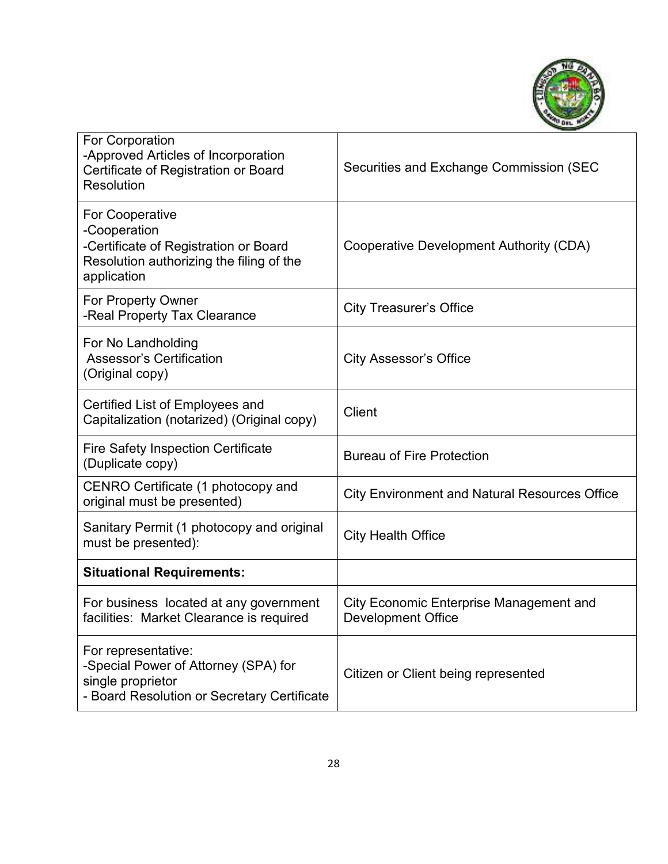

| For Corporation<br>-Approved Articles of Incorporation<br>Certificate of Registration or Board<br>Resolution                               | Securities and Exchange Commission (SEC                              |
|--------------------------------------------------------------------------------------------------------------------------------------------|----------------------------------------------------------------------|
| <b>For Cooperative</b><br>-Cooperation<br>-Certificate of Registration or Board<br>Resolution authorizing the filing of the<br>application | Cooperative Development Authority (CDA)                              |
| For Property Owner<br>-Real Property Tax Clearance                                                                                         | <b>City Treasurer's Office</b>                                       |
| For No Landholding<br><b>Assessor's Certification</b><br>(Original copy)                                                                   | <b>City Assessor's Office</b>                                        |
| Certified List of Employees and<br>Capitalization (notarized) (Original copy)                                                              | <b>Client</b>                                                        |
| <b>Fire Safety Inspection Certificate</b><br>(Duplicate copy)                                                                              | <b>Bureau of Fire Protection</b>                                     |
| CENRO Certificate (1 photocopy and<br>original must be presented)                                                                          | <b>City Environment and Natural Resources Office</b>                 |
| Sanitary Permit (1 photocopy and original<br>must be presented):                                                                           | <b>City Health Office</b>                                            |
| <b>Situational Requirements:</b>                                                                                                           |                                                                      |
| For business located at any government<br>facilities: Market Clearance is required                                                         | City Economic Enterprise Management and<br><b>Development Office</b> |
| For representative:<br>-Special Power of Attorney (SPA) for<br>single proprietor<br>- Board Resolution or Secretary Certificate            | Citizen or Client being represented                                  |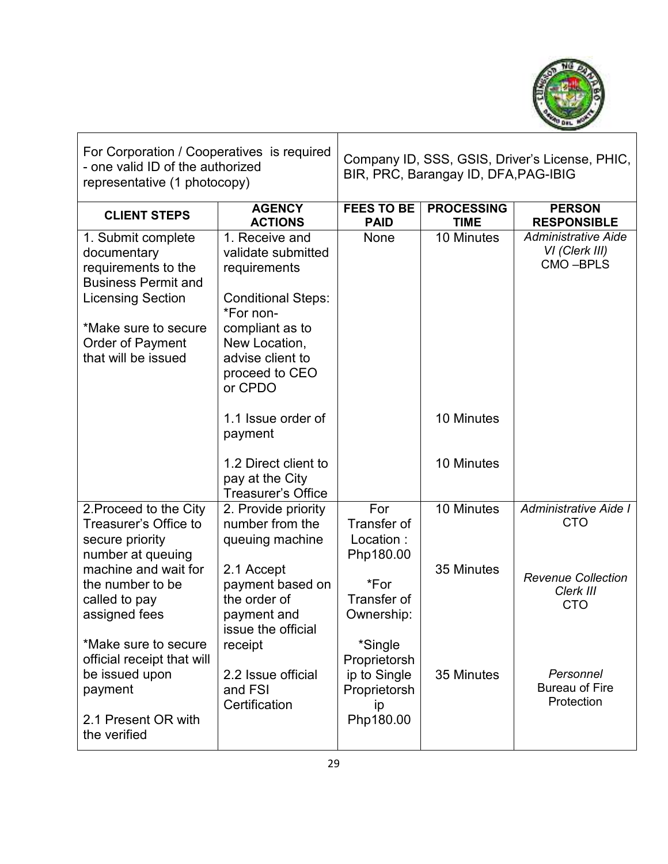

| For Corporation / Cooperatives is required<br>- one valid ID of the authorized<br>representative (1 photocopy)                                                                               |                                                                                                                                                                                     | Company ID, SSS, GSIS, Driver's License, PHIC,<br>BIR, PRC, Barangay ID, DFA, PAG-IBIG |                                  |                                                          |
|----------------------------------------------------------------------------------------------------------------------------------------------------------------------------------------------|-------------------------------------------------------------------------------------------------------------------------------------------------------------------------------------|----------------------------------------------------------------------------------------|----------------------------------|----------------------------------------------------------|
| <b>CLIENT STEPS</b>                                                                                                                                                                          | <b>AGENCY</b><br><b>ACTIONS</b>                                                                                                                                                     | <b>FEES TO BE</b><br><b>PAID</b>                                                       | <b>PROCESSING</b><br><b>TIME</b> | <b>PERSON</b><br><b>RESPONSIBLE</b>                      |
| 1. Submit complete<br>documentary<br>requirements to the<br><b>Business Permit and</b><br><b>Licensing Section</b><br>*Make sure to secure<br><b>Order of Payment</b><br>that will be issued | 1. Receive and<br>validate submitted<br>requirements<br><b>Conditional Steps:</b><br>*For non-<br>compliant as to<br>New Location,<br>advise client to<br>proceed to CEO<br>or CPDO | None                                                                                   | 10 Minutes                       | <b>Administrative Aide</b><br>VI (Clerk III)<br>CMO-BPLS |
|                                                                                                                                                                                              | 1.1 Issue order of<br>payment<br>1.2 Direct client to                                                                                                                               |                                                                                        | 10 Minutes<br>10 Minutes         |                                                          |
|                                                                                                                                                                                              | pay at the City<br><b>Treasurer's Office</b>                                                                                                                                        |                                                                                        |                                  |                                                          |
| 2. Proceed to the City<br>Treasurer's Office to<br>secure priority<br>number at queuing                                                                                                      | 2. Provide priority<br>number from the<br>queuing machine                                                                                                                           | For<br>Transfer of<br>Location:<br>Php180.00                                           | 10 Minutes                       | Administrative Aide I<br><b>CTO</b>                      |
| machine and wait for<br>the number to be<br>called to pay<br>assigned fees                                                                                                                   | 2.1 Accept<br>payment based on<br>the order of<br>payment and<br>issue the official                                                                                                 | *For<br>Transfer of<br>Ownership:                                                      | 35 Minutes                       | <b>Revenue Collection</b><br>Clerk III<br><b>CTO</b>     |
| *Make sure to secure<br>official receipt that will<br>be issued upon<br>payment<br>2.1 Present OR with<br>the verified                                                                       | receipt<br>2.2 Issue official<br>and FSI<br>Certification                                                                                                                           | *Single<br>Proprietorsh<br>ip to Single<br>Proprietorsh<br>ip<br>Php180.00             | 35 Minutes                       | Personnel<br><b>Bureau of Fire</b><br>Protection         |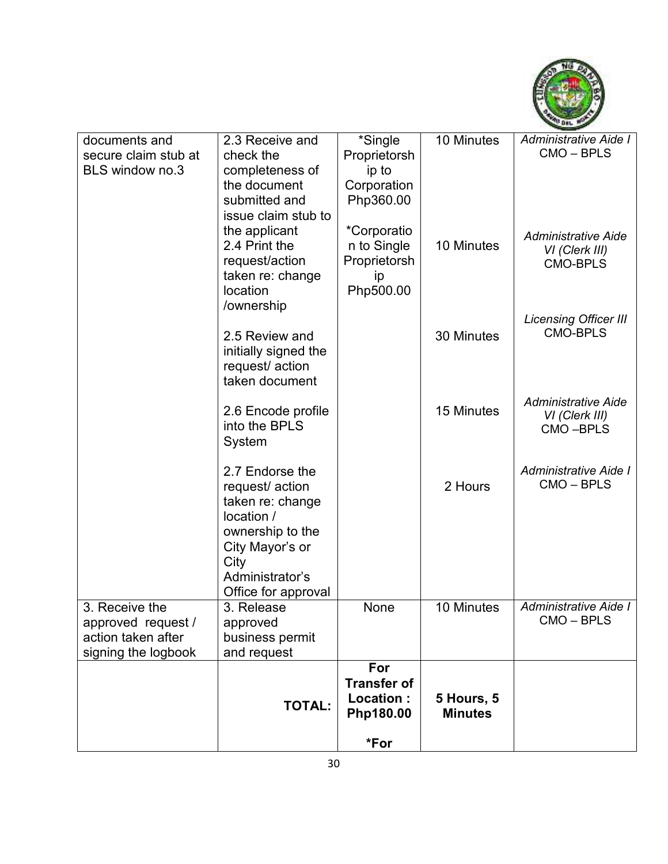

| documents and                            | 2.3 Receive and                | *Single                  | 10 Minutes     | Administrative Aide I             |
|------------------------------------------|--------------------------------|--------------------------|----------------|-----------------------------------|
| secure claim stub at                     | check the                      | Proprietorsh             |                | CMO-BPLS                          |
| <b>BLS window no.3</b>                   | completeness of                | ip to                    |                |                                   |
|                                          | the document<br>submitted and  | Corporation<br>Php360.00 |                |                                   |
|                                          | issue claim stub to            |                          |                |                                   |
|                                          | the applicant                  | *Corporatio              |                | <b>Administrative Aide</b>        |
|                                          | 2.4 Print the                  | n to Single              | 10 Minutes     | VI (Clerk III)                    |
|                                          | request/action                 | Proprietorsh             |                | <b>CMO-BPLS</b>                   |
|                                          | taken re: change               | ip                       |                |                                   |
|                                          | location<br>/ownership         | Php500.00                |                |                                   |
|                                          |                                |                          |                | <b>Licensing Officer III</b>      |
|                                          | 2.5 Review and                 |                          | 30 Minutes     | <b>CMO-BPLS</b>                   |
|                                          | initially signed the           |                          |                |                                   |
|                                          | request/action                 |                          |                |                                   |
|                                          | taken document                 |                          |                |                                   |
|                                          | 2.6 Encode profile             |                          | 15 Minutes     | <b>Administrative Aide</b>        |
|                                          | into the BPLS                  |                          |                | VI (Clerk III)<br>CMO-BPLS        |
|                                          | System                         |                          |                |                                   |
|                                          |                                |                          |                |                                   |
|                                          | 2.7 Endorse the                |                          |                | Administrative Aide I             |
|                                          | request/action                 |                          | 2 Hours        | CMO-BPLS                          |
|                                          | taken re: change<br>location / |                          |                |                                   |
|                                          | ownership to the               |                          |                |                                   |
|                                          | City Mayor's or                |                          |                |                                   |
|                                          | City                           |                          |                |                                   |
|                                          | Administrator's                |                          |                |                                   |
|                                          | Office for approval            |                          |                |                                   |
| 3. Receive the                           | 3. Release                     | None                     | 10 Minutes     | Administrative Aide I<br>CMO-BPLS |
| approved request /<br>action taken after | approved                       |                          |                |                                   |
| signing the logbook                      | business permit<br>and request |                          |                |                                   |
|                                          |                                | For                      |                |                                   |
|                                          |                                | <b>Transfer of</b>       |                |                                   |
|                                          | <b>TOTAL:</b>                  | Location:                | 5 Hours, 5     |                                   |
|                                          |                                | Php180.00                | <b>Minutes</b> |                                   |
|                                          |                                | *For                     |                |                                   |
|                                          |                                |                          |                |                                   |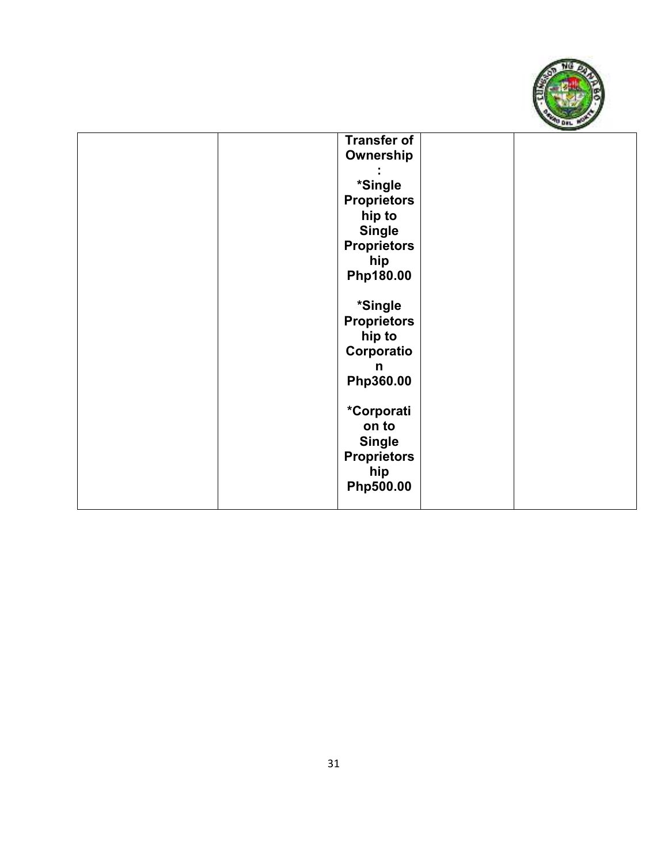

| <b>Transfer of</b> |  |
|--------------------|--|
| Ownership          |  |
|                    |  |
|                    |  |
| *Single            |  |
| <b>Proprietors</b> |  |
| hip to             |  |
| <b>Single</b>      |  |
| <b>Proprietors</b> |  |
| hip                |  |
| Php180.00          |  |
|                    |  |
|                    |  |
| *Single            |  |
| <b>Proprietors</b> |  |
| hip to             |  |
| Corporatio         |  |
| n                  |  |
| Php360.00          |  |
|                    |  |
|                    |  |
| *Corporati         |  |
| on to              |  |
| <b>Single</b>      |  |
| <b>Proprietors</b> |  |
| hip                |  |
| Php500.00          |  |
|                    |  |
|                    |  |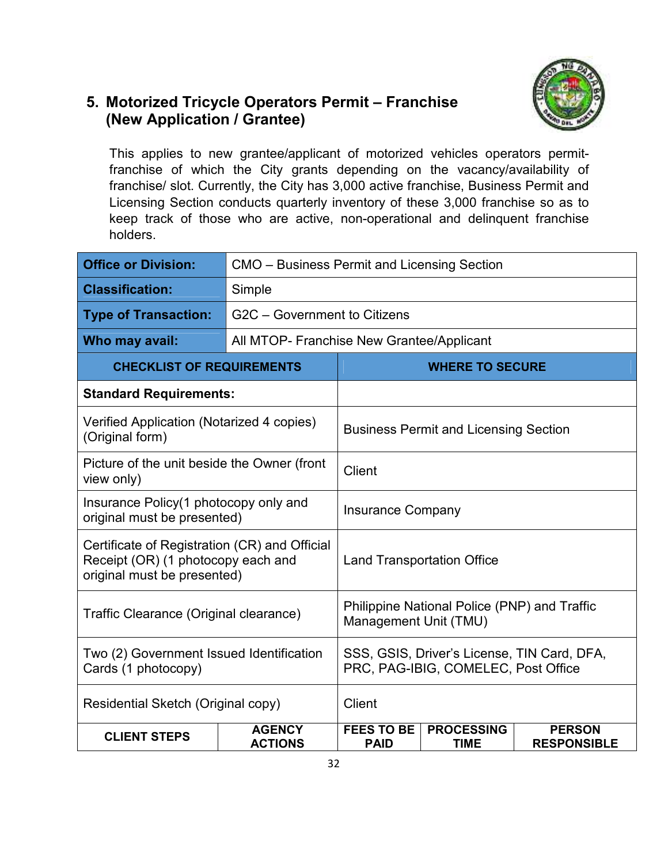## **5. Motorized Tricycle Operators Permit – Franchise (New Application / Grantee)**



This applies to new grantee/applicant of motorized vehicles operators permitfranchise of which the City grants depending on the vacancy/availability of franchise/ slot. Currently, the City has 3,000 active franchise, Business Permit and Licensing Section conducts quarterly inventory of these 3,000 franchise so as to keep track of those who are active, non-operational and delinquent franchise holders.

| <b>Office or Division:</b>                                                                                         | CMO – Business Permit and Licensing Section |                                                                                    |                                              |                                     |  |
|--------------------------------------------------------------------------------------------------------------------|---------------------------------------------|------------------------------------------------------------------------------------|----------------------------------------------|-------------------------------------|--|
| <b>Classification:</b>                                                                                             | Simple                                      |                                                                                    |                                              |                                     |  |
| <b>Type of Transaction:</b>                                                                                        |                                             | G2C - Government to Citizens                                                       |                                              |                                     |  |
| Who may avail:                                                                                                     |                                             | All MTOP- Franchise New Grantee/Applicant                                          |                                              |                                     |  |
| <b>CHECKLIST OF REQUIREMENTS</b>                                                                                   |                                             |                                                                                    | <b>WHERE TO SECURE</b>                       |                                     |  |
| <b>Standard Requirements:</b>                                                                                      |                                             |                                                                                    |                                              |                                     |  |
| Verified Application (Notarized 4 copies)<br>(Original form)                                                       |                                             |                                                                                    | <b>Business Permit and Licensing Section</b> |                                     |  |
| Picture of the unit beside the Owner (front<br>view only)                                                          |                                             | <b>Client</b>                                                                      |                                              |                                     |  |
| Insurance Policy (1 photocopy only and<br>original must be presented)                                              |                                             | <b>Insurance Company</b>                                                           |                                              |                                     |  |
| Certificate of Registration (CR) and Official<br>Receipt (OR) (1 photocopy each and<br>original must be presented) |                                             | <b>Land Transportation Office</b>                                                  |                                              |                                     |  |
| Traffic Clearance (Original clearance)                                                                             |                                             | Philippine National Police (PNP) and Traffic<br>Management Unit (TMU)              |                                              |                                     |  |
| Two (2) Government Issued Identification<br>Cards (1 photocopy)                                                    |                                             | SSS, GSIS, Driver's License, TIN Card, DFA,<br>PRC, PAG-IBIG, COMELEC, Post Office |                                              |                                     |  |
| Residential Sketch (Original copy)                                                                                 |                                             | <b>Client</b>                                                                      |                                              |                                     |  |
| <b>CLIENT STEPS</b>                                                                                                | <b>AGENCY</b><br><b>ACTIONS</b>             | <b>FEES TO BE</b><br><b>PAID</b>                                                   | <b>PROCESSING</b><br><b>TIME</b>             | <b>PERSON</b><br><b>RESPONSIBLE</b> |  |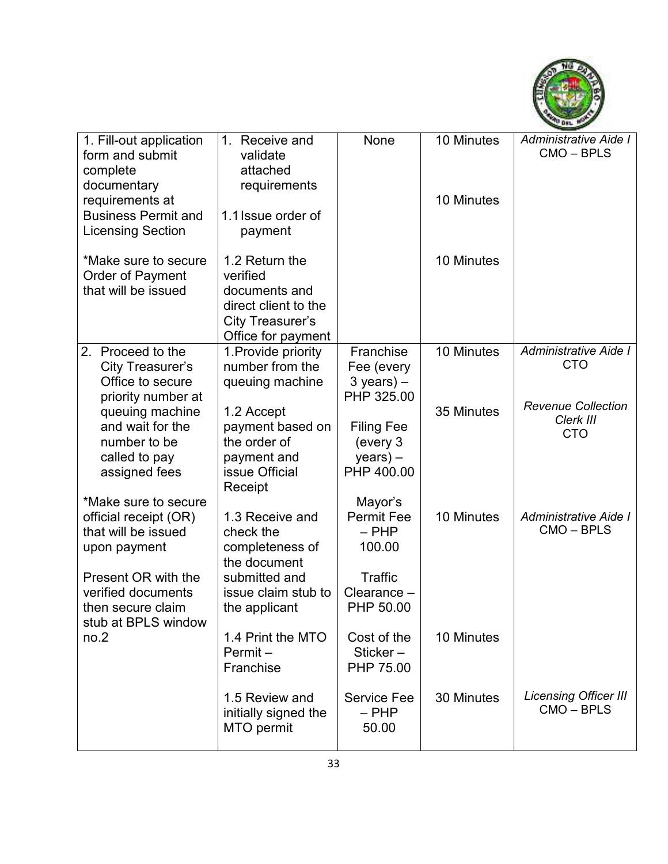

| 1. Fill-out application<br>form and submit<br>complete<br>documentary<br>requirements at<br><b>Business Permit and</b><br><b>Licensing Section</b>    | 1.<br>Receive and<br>validate<br>attached<br>requirements<br>1.1 Issue order of<br>payment                               | None                                                                          | 10 Minutes<br>10 Minutes | Administrative Aide I<br>CMO-BPLS                    |
|-------------------------------------------------------------------------------------------------------------------------------------------------------|--------------------------------------------------------------------------------------------------------------------------|-------------------------------------------------------------------------------|--------------------------|------------------------------------------------------|
| *Make sure to secure<br>Order of Payment<br>that will be issued                                                                                       | 1.2 Return the<br>verified<br>documents and<br>direct client to the<br>City Treasurer's<br>Office for payment            |                                                                               | 10 Minutes               |                                                      |
| 2. Proceed to the<br>City Treasurer's<br>Office to secure<br>priority number at                                                                       | 1. Provide priority<br>number from the<br>queuing machine                                                                | Franchise<br>Fee (every<br>$3$ years) $-$<br>PHP 325.00                       | 10 Minutes               | Administrative Aide I<br><b>CTO</b>                  |
| queuing machine<br>and wait for the<br>number to be<br>called to pay<br>assigned fees<br>*Make sure to secure                                         | 1.2 Accept<br>payment based on<br>the order of<br>payment and<br>issue Official<br>Receipt                               | <b>Filing Fee</b><br>(every 3<br>$years) -$<br>PHP 400.00<br>Mayor's          | 35 Minutes               | <b>Revenue Collection</b><br>Clerk III<br><b>CTO</b> |
| official receipt (OR)<br>that will be issued<br>upon payment<br>Present OR with the<br>verified documents<br>then secure claim<br>stub at BPLS window | 1.3 Receive and<br>check the<br>completeness of<br>the document<br>submitted and<br>issue claim stub to<br>the applicant | <b>Permit Fee</b><br>$-$ PHP<br>100.00<br>Traffic<br>Clearance -<br>PHP 50.00 | 10 Minutes               | Administrative Aide I<br>CMO-BPLS                    |
| no.2                                                                                                                                                  | 1.4 Print the MTO<br>Permit-<br>Franchise                                                                                | Cost of the<br>Sticker $-$<br>PHP 75.00                                       | 10 Minutes               |                                                      |
|                                                                                                                                                       | 1.5 Review and<br>initially signed the<br>MTO permit                                                                     | <b>Service Fee</b><br>$-$ PHP<br>50.00                                        | 30 Minutes               | <b>Licensing Officer III</b><br>CMO-BPLS             |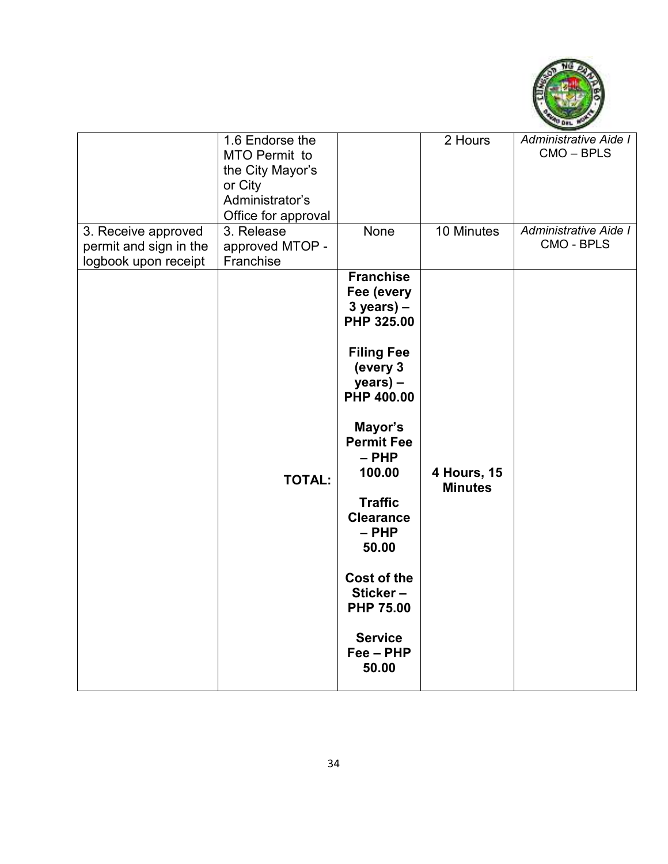

| 3. Receive approved<br>permit and sign in the<br>logbook upon receipt | 1.6 Endorse the<br>MTO Permit to<br>the City Mayor's<br>or City<br>Administrator's<br>Office for approval<br>3. Release<br>approved MTOP -<br>Franchise | None                                                                                                                                                                                                                                                                                                                                  | 2 Hours<br>10 Minutes         | Administrative Aide I<br>CMO-BPLS<br>Administrative Aide I<br><b>CMO - BPLS</b> |
|-----------------------------------------------------------------------|---------------------------------------------------------------------------------------------------------------------------------------------------------|---------------------------------------------------------------------------------------------------------------------------------------------------------------------------------------------------------------------------------------------------------------------------------------------------------------------------------------|-------------------------------|---------------------------------------------------------------------------------|
|                                                                       | <b>TOTAL:</b>                                                                                                                                           | <b>Franchise</b><br>Fee (every<br>$3 years$ ) –<br>PHP 325.00<br><b>Filing Fee</b><br>(every 3<br>years) -<br>PHP 400.00<br>Mayor's<br><b>Permit Fee</b><br>$-$ PHP<br>100.00<br><b>Traffic</b><br><b>Clearance</b><br>$-$ PHP<br>50.00<br><b>Cost of the</b><br>Sticker-<br><b>PHP 75.00</b><br><b>Service</b><br>Fee - PHP<br>50.00 | 4 Hours, 15<br><b>Minutes</b> |                                                                                 |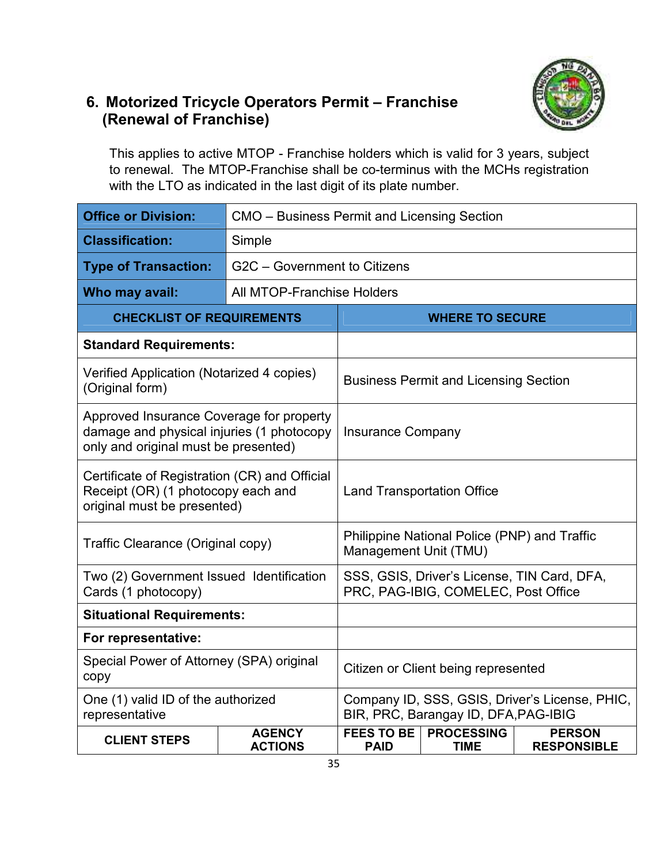# **6. Motorized Tricycle Operators Permit – Franchise (Renewal of Franchise)**

This applies to active MTOP - Franchise holders which is valid for 3 years, subject to renewal. The MTOP-Franchise shall be co-terminus with the MCHs registration with the LTO as indicated in the last digit of its plate number.

| <b>Office or Division:</b>                                                                                                    |                                 | CMO - Business Permit and Licensing Section                                            |                                                                                    |                                     |  |  |
|-------------------------------------------------------------------------------------------------------------------------------|---------------------------------|----------------------------------------------------------------------------------------|------------------------------------------------------------------------------------|-------------------------------------|--|--|
| <b>Classification:</b>                                                                                                        | Simple                          |                                                                                        |                                                                                    |                                     |  |  |
| <b>Type of Transaction:</b>                                                                                                   |                                 | G2C - Government to Citizens                                                           |                                                                                    |                                     |  |  |
| Who may avail:                                                                                                                | All MTOP-Franchise Holders      |                                                                                        |                                                                                    |                                     |  |  |
| <b>CHECKLIST OF REQUIREMENTS</b>                                                                                              |                                 | <b>WHERE TO SECURE</b>                                                                 |                                                                                    |                                     |  |  |
| <b>Standard Requirements:</b>                                                                                                 |                                 |                                                                                        |                                                                                    |                                     |  |  |
| Verified Application (Notarized 4 copies)<br>(Original form)                                                                  |                                 |                                                                                        | <b>Business Permit and Licensing Section</b>                                       |                                     |  |  |
| Approved Insurance Coverage for property<br>damage and physical injuries (1 photocopy<br>only and original must be presented) |                                 | <b>Insurance Company</b>                                                               |                                                                                    |                                     |  |  |
| Certificate of Registration (CR) and Official<br>Receipt (OR) (1 photocopy each and<br>original must be presented)            |                                 | <b>Land Transportation Office</b>                                                      |                                                                                    |                                     |  |  |
| Traffic Clearance (Original copy)                                                                                             |                                 |                                                                                        | Philippine National Police (PNP) and Traffic<br>Management Unit (TMU)              |                                     |  |  |
| Two (2) Government Issued Identification<br>Cards (1 photocopy)                                                               |                                 |                                                                                        | SSS, GSIS, Driver's License, TIN Card, DFA,<br>PRC, PAG-IBIG, COMELEC, Post Office |                                     |  |  |
| <b>Situational Requirements:</b>                                                                                              |                                 |                                                                                        |                                                                                    |                                     |  |  |
| For representative:                                                                                                           |                                 |                                                                                        |                                                                                    |                                     |  |  |
| Special Power of Attorney (SPA) original<br>copy                                                                              |                                 | Citizen or Client being represented                                                    |                                                                                    |                                     |  |  |
| One (1) valid ID of the authorized<br>representative                                                                          |                                 | Company ID, SSS, GSIS, Driver's License, PHIC,<br>BIR, PRC, Barangay ID, DFA, PAG-IBIG |                                                                                    |                                     |  |  |
| <b>CLIENT STEPS</b>                                                                                                           | <b>AGENCY</b><br><b>ACTIONS</b> | <b>FEES TO BE</b><br><b>PAID</b>                                                       | <b>PROCESSING</b><br><b>TIME</b>                                                   | <b>PERSON</b><br><b>RESPONSIBLE</b> |  |  |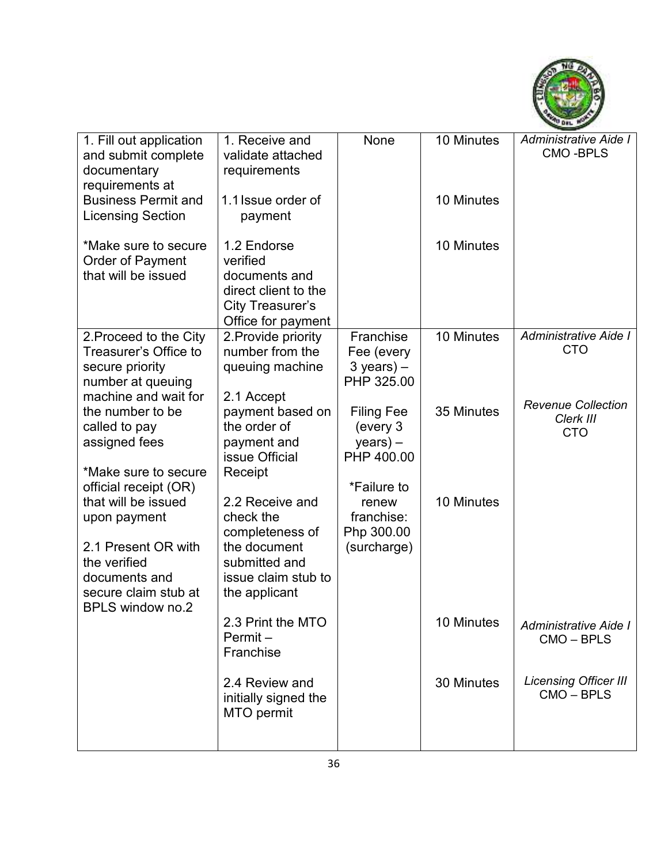

| 1. Fill out application<br>and submit complete<br>documentary<br>requirements at                                                               | 1. Receive and<br>validate attached<br>requirements                                                                      | None                                                                     | 10 Minutes | Administrative Aide I<br><b>CMO-BPLS</b>             |
|------------------------------------------------------------------------------------------------------------------------------------------------|--------------------------------------------------------------------------------------------------------------------------|--------------------------------------------------------------------------|------------|------------------------------------------------------|
| <b>Business Permit and</b><br><b>Licensing Section</b>                                                                                         | 1.1 Issue order of<br>payment                                                                                            |                                                                          | 10 Minutes |                                                      |
| *Make sure to secure<br><b>Order of Payment</b><br>that will be issued                                                                         | 1.2 Endorse<br>verified<br>documents and<br>direct client to the<br>City Treasurer's<br>Office for payment               |                                                                          | 10 Minutes |                                                      |
| 2. Proceed to the City<br>Treasurer's Office to<br>secure priority<br>number at queuing<br>machine and wait for                                | 2. Provide priority<br>number from the<br>queuing machine<br>2.1 Accept                                                  | Franchise<br>Fee (every<br>$3$ years) $-$<br>PHP 325.00                  | 10 Minutes | Administrative Aide I<br><b>CTO</b>                  |
| the number to be<br>called to pay<br>assigned fees<br>*Make sure to secure<br>official receipt (OR)                                            | payment based on<br>the order of<br>payment and<br>issue Official<br>Receipt                                             | <b>Filing Fee</b><br>(every 3<br>$years) -$<br>PHP 400.00<br>*Failure to | 35 Minutes | <b>Revenue Collection</b><br>Clerk III<br><b>CTO</b> |
| that will be issued<br>upon payment<br>2.1 Present OR with<br>the verified<br>documents and<br>secure claim stub at<br><b>BPLS window no.2</b> | 2.2 Receive and<br>check the<br>completeness of<br>the document<br>submitted and<br>issue claim stub to<br>the applicant | renew<br>franchise:<br>Php 300.00<br>(surcharge)                         | 10 Minutes |                                                      |
|                                                                                                                                                | 2.3 Print the MTO<br>$Permit -$<br>Franchise                                                                             |                                                                          | 10 Minutes | Administrative Aide I<br>CMO - BPLS                  |
|                                                                                                                                                | 2.4 Review and<br>initially signed the<br>MTO permit                                                                     |                                                                          | 30 Minutes | <b>Licensing Officer III</b><br>CMO-BPLS             |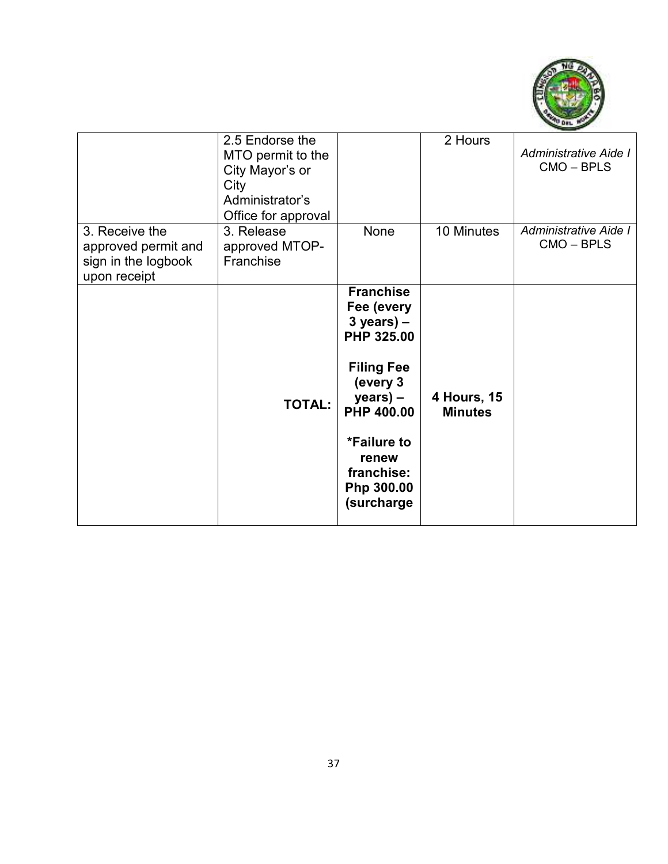

|                                                                              | 2.5 Endorse the<br>MTO permit to the<br>City Mayor's or<br>City<br>Administrator's<br>Office for approval |                                                                                                                                                                                                   | 2 Hours                       | Administrative Aide I<br>$CMO - BPLS$ |
|------------------------------------------------------------------------------|-----------------------------------------------------------------------------------------------------------|---------------------------------------------------------------------------------------------------------------------------------------------------------------------------------------------------|-------------------------------|---------------------------------------|
| 3. Receive the<br>approved permit and<br>sign in the logbook<br>upon receipt | 3. Release<br>approved MTOP-<br>Franchise                                                                 | None                                                                                                                                                                                              | 10 Minutes                    | Administrative Aide I<br>CMO - BPLS   |
|                                                                              | <b>TOTAL:</b>                                                                                             | <b>Franchise</b><br>Fee (every<br>$3$ years) –<br>PHP 325.00<br><b>Filing Fee</b><br>(every 3<br>$year) -$<br><b>PHP 400.00</b><br>*Failure to<br>renew<br>franchise:<br>Php 300.00<br>(surcharge | 4 Hours, 15<br><b>Minutes</b> |                                       |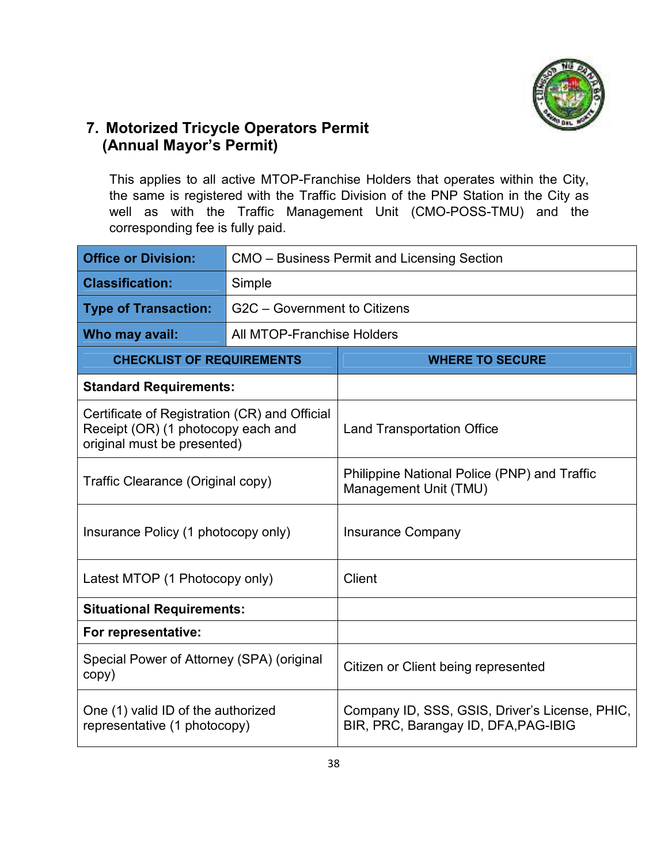

## **7. Motorized Tricycle Operators Permit (Annual Mayor's Permit)**

This applies to all active MTOP-Franchise Holders that operates within the City, the same is registered with the Traffic Division of the PNP Station in the City as well as with the Traffic Management Unit (CMO-POSS-TMU) and the corresponding fee is fully paid.

| <b>Office or Division:</b>                                                                                         |                              | CMO – Business Permit and Licensing Section                                            |  |
|--------------------------------------------------------------------------------------------------------------------|------------------------------|----------------------------------------------------------------------------------------|--|
| <b>Classification:</b>                                                                                             | Simple                       |                                                                                        |  |
| <b>Type of Transaction:</b>                                                                                        | G2C - Government to Citizens |                                                                                        |  |
| Who may avail:                                                                                                     | All MTOP-Franchise Holders   |                                                                                        |  |
| <b>CHECKLIST OF REQUIREMENTS</b>                                                                                   |                              | <b>WHERE TO SECURE</b>                                                                 |  |
| <b>Standard Requirements:</b>                                                                                      |                              |                                                                                        |  |
| Certificate of Registration (CR) and Official<br>Receipt (OR) (1 photocopy each and<br>original must be presented) |                              | <b>Land Transportation Office</b>                                                      |  |
| Traffic Clearance (Original copy)                                                                                  |                              | Philippine National Police (PNP) and Traffic<br>Management Unit (TMU)                  |  |
| Insurance Policy (1 photocopy only)                                                                                |                              | <b>Insurance Company</b>                                                               |  |
| Latest MTOP (1 Photocopy only)                                                                                     |                              | Client                                                                                 |  |
| <b>Situational Requirements:</b>                                                                                   |                              |                                                                                        |  |
| For representative:                                                                                                |                              |                                                                                        |  |
| Special Power of Attorney (SPA) (original<br>copy)                                                                 |                              | Citizen or Client being represented                                                    |  |
| One (1) valid ID of the authorized<br>representative (1 photocopy)                                                 |                              | Company ID, SSS, GSIS, Driver's License, PHIC,<br>BIR, PRC, Barangay ID, DFA, PAG-IBIG |  |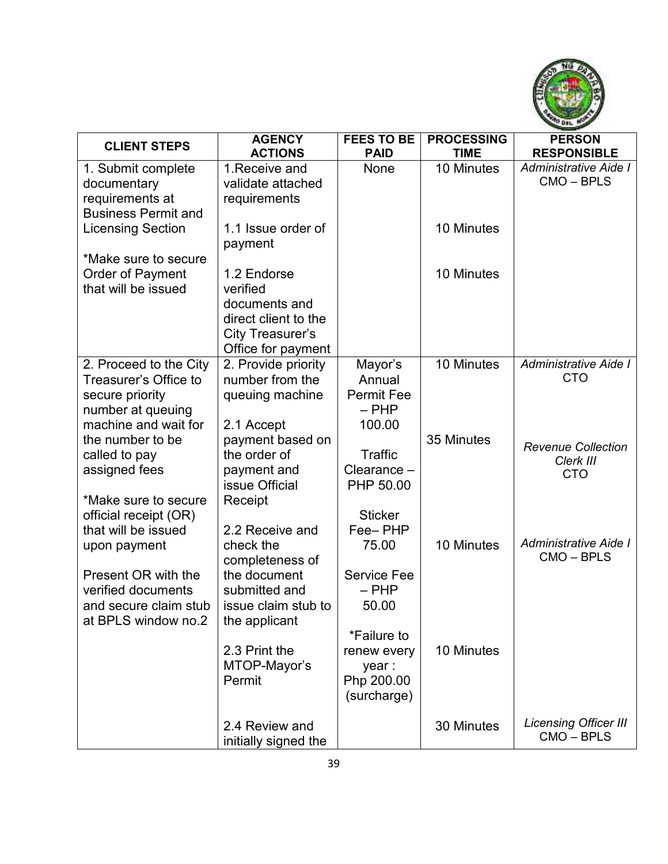

| <b>CLIENT STEPS</b>                             | <b>AGENCY</b>                          | <b>FEES TO BE</b> | <b>PROCESSING</b> | <b>PERSON</b>                |
|-------------------------------------------------|----------------------------------------|-------------------|-------------------|------------------------------|
|                                                 | <b>ACTIONS</b>                         | <b>PAID</b>       | <b>TIME</b>       | <b>RESPONSIBLE</b>           |
| 1. Submit complete                              | 1. Receive and                         | None              | 10 Minutes        | Administrative Aide I        |
| documentary                                     | validate attached                      |                   |                   | CMO-BPLS                     |
| requirements at                                 | requirements                           |                   |                   |                              |
| <b>Business Permit and</b>                      |                                        |                   |                   |                              |
| <b>Licensing Section</b>                        | 1.1 Issue order of                     |                   | 10 Minutes        |                              |
|                                                 | payment                                |                   |                   |                              |
| *Make sure to secure                            |                                        |                   |                   |                              |
| Order of Payment                                | 1.2 Endorse                            |                   | 10 Minutes        |                              |
| that will be issued                             | verified                               |                   |                   |                              |
|                                                 | documents and                          |                   |                   |                              |
|                                                 | direct client to the                   |                   |                   |                              |
|                                                 | City Treasurer's                       |                   |                   |                              |
|                                                 | Office for payment                     |                   | 10 Minutes        | Administrative Aide I        |
| 2. Proceed to the City<br>Treasurer's Office to | 2. Provide priority<br>number from the | Mayor's<br>Annual |                   | <b>CTO</b>                   |
|                                                 |                                        | <b>Permit Fee</b> |                   |                              |
| secure priority<br>number at queuing            | queuing machine                        | $-$ PHP           |                   |                              |
| machine and wait for                            | 2.1 Accept                             | 100.00            |                   |                              |
| the number to be                                | payment based on                       |                   | 35 Minutes        |                              |
| called to pay                                   | the order of                           | Traffic           |                   | <b>Revenue Collection</b>    |
| assigned fees                                   | payment and                            | Clearance -       |                   | Clerk III                    |
|                                                 | issue Official                         | PHP 50.00         |                   | <b>CTO</b>                   |
| *Make sure to secure                            | Receipt                                |                   |                   |                              |
| official receipt (OR)                           |                                        | <b>Sticker</b>    |                   |                              |
| that will be issued                             | 2.2 Receive and                        | Fee-PHP           |                   |                              |
| upon payment                                    | check the                              | 75.00             | 10 Minutes        | Administrative Aide I        |
|                                                 | completeness of                        |                   |                   | CMO-BPLS                     |
| Present OR with the                             | the document                           | Service Fee       |                   |                              |
| verified documents                              | submitted and                          | $-$ PHP           |                   |                              |
| and secure claim stub                           | issue claim stub to                    | 50.00             |                   |                              |
| at BPLS window no.2                             | the applicant                          |                   |                   |                              |
|                                                 |                                        | *Failure to       |                   |                              |
|                                                 | 2.3 Print the                          | renew every       | 10 Minutes        |                              |
|                                                 | MTOP-Mayor's                           | year :            |                   |                              |
|                                                 | Permit                                 | Php 200.00        |                   |                              |
|                                                 |                                        | (surcharge)       |                   |                              |
|                                                 |                                        |                   |                   | <b>Licensing Officer III</b> |
|                                                 | 2.4 Review and                         |                   | 30 Minutes        | CMO-BPLS                     |
|                                                 | initially signed the                   |                   |                   |                              |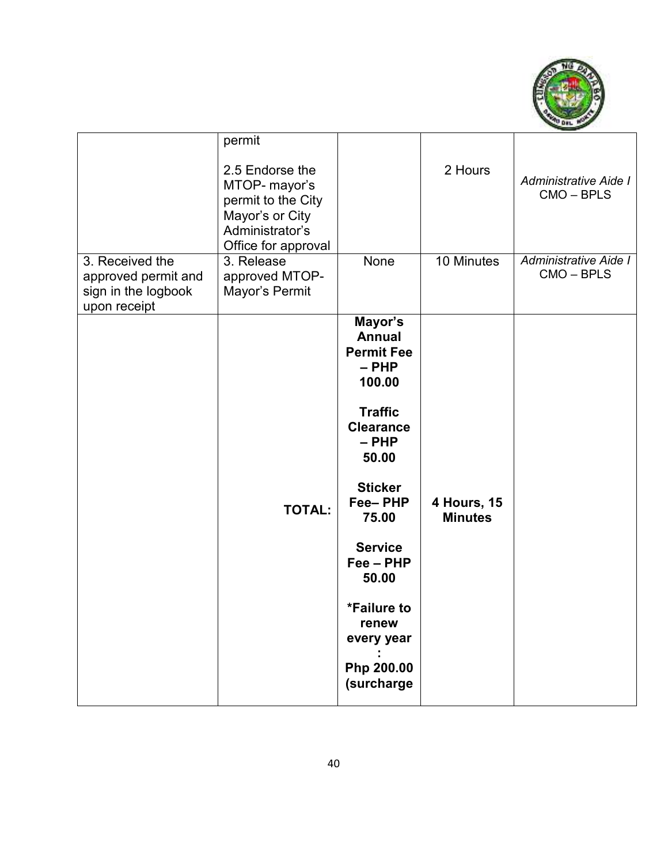

| 3. Received the<br>approved permit and<br>sign in the logbook<br>upon receipt | permit<br>2.5 Endorse the<br>MTOP- mayor's<br>permit to the City<br>Mayor's or City<br>Administrator's<br>Office for approval<br>3. Release<br>approved MTOP-<br>Mayor's Permit | <b>None</b>                                                                                                                                                                                                                                                                    | 2 Hours<br>10 Minutes                | Administrative Aide I<br>CMO-BPLS<br>Administrative Aide I<br>CMO-BPLS |
|-------------------------------------------------------------------------------|---------------------------------------------------------------------------------------------------------------------------------------------------------------------------------|--------------------------------------------------------------------------------------------------------------------------------------------------------------------------------------------------------------------------------------------------------------------------------|--------------------------------------|------------------------------------------------------------------------|
|                                                                               | <b>TOTAL:</b>                                                                                                                                                                   | Mayor's<br><b>Annual</b><br><b>Permit Fee</b><br>$-$ PHP<br>100.00<br><b>Traffic</b><br><b>Clearance</b><br>$-$ PHP<br>50.00<br><b>Sticker</b><br>Fee-PHP<br>75.00<br><b>Service</b><br>$Fee - PHP$<br>50.00<br>*Failure to<br>renew<br>every year<br>Php 200.00<br>(surcharge | <b>4 Hours, 15</b><br><b>Minutes</b> |                                                                        |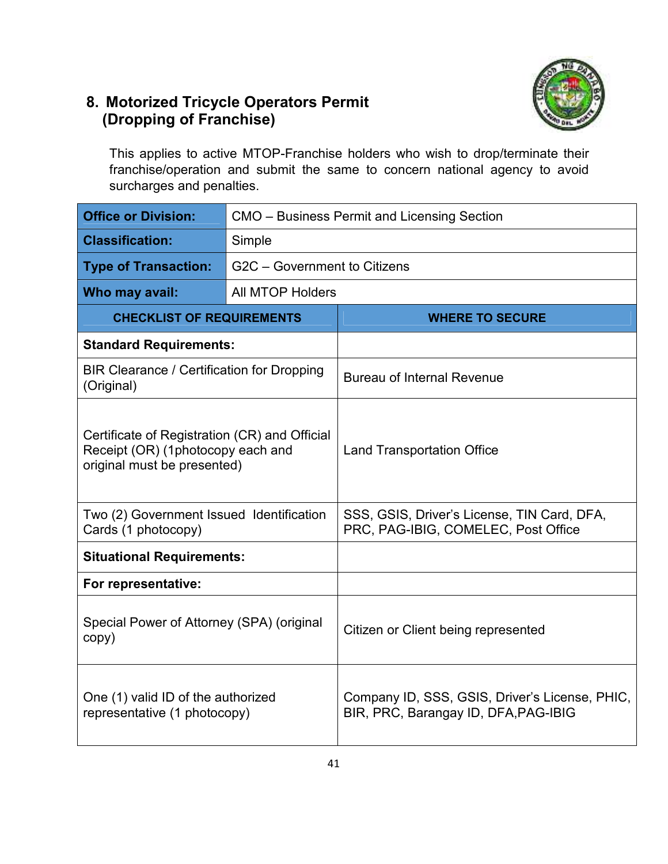## **8. Motorized Tricycle Operators Permit (Dropping of Franchise)**



This applies to active MTOP-Franchise holders who wish to drop/terminate their franchise/operation and submit the same to concern national agency to avoid surcharges and penalties.

| <b>Office or Division:</b>                                                                                        |                              | CMO - Business Permit and Licensing Section                                            |  |  |
|-------------------------------------------------------------------------------------------------------------------|------------------------------|----------------------------------------------------------------------------------------|--|--|
| <b>Classification:</b>                                                                                            | Simple                       |                                                                                        |  |  |
| <b>Type of Transaction:</b>                                                                                       | G2C - Government to Citizens |                                                                                        |  |  |
| Who may avail:                                                                                                    | <b>All MTOP Holders</b>      |                                                                                        |  |  |
| <b>CHECKLIST OF REQUIREMENTS</b>                                                                                  |                              | <b>WHERE TO SECURE</b>                                                                 |  |  |
| <b>Standard Requirements:</b>                                                                                     |                              |                                                                                        |  |  |
| BIR Clearance / Certification for Dropping<br>(Original)                                                          |                              | <b>Bureau of Internal Revenue</b>                                                      |  |  |
| Certificate of Registration (CR) and Official<br>Receipt (OR) (1photocopy each and<br>original must be presented) |                              | <b>Land Transportation Office</b>                                                      |  |  |
| Two (2) Government Issued Identification<br>Cards (1 photocopy)                                                   |                              | SSS, GSIS, Driver's License, TIN Card, DFA,<br>PRC, PAG-IBIG, COMELEC, Post Office     |  |  |
| <b>Situational Requirements:</b>                                                                                  |                              |                                                                                        |  |  |
| For representative:                                                                                               |                              |                                                                                        |  |  |
| Special Power of Attorney (SPA) (original<br>copy)                                                                |                              | Citizen or Client being represented                                                    |  |  |
| One (1) valid ID of the authorized<br>representative (1 photocopy)                                                |                              | Company ID, SSS, GSIS, Driver's License, PHIC,<br>BIR, PRC, Barangay ID, DFA, PAG-IBIG |  |  |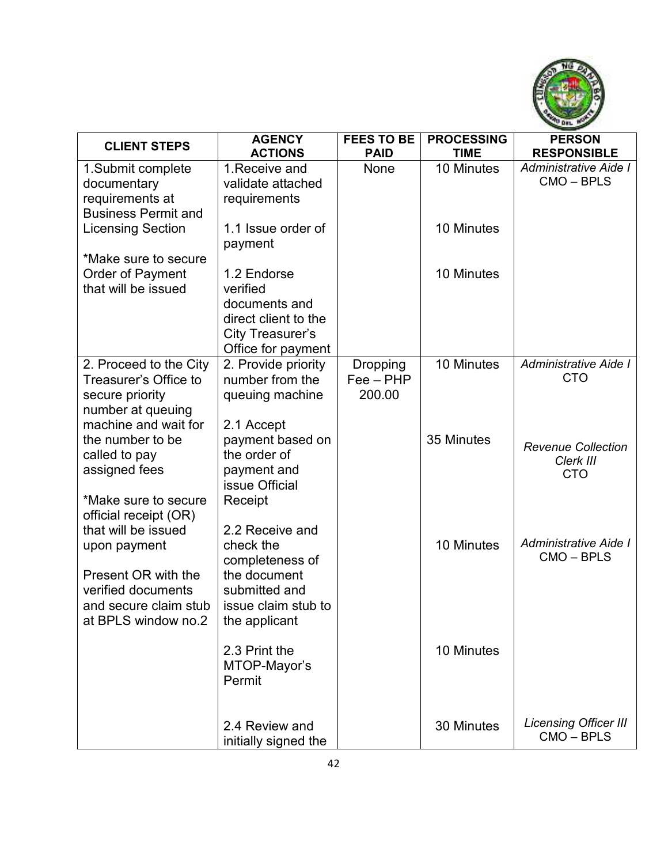

| <b>CLIENT STEPS</b>                                                                                             | <b>AGENCY</b>                                                                                              | <b>FEES TO BE</b>                        | <b>PROCESSING</b> | <b>PERSON</b>                                        |
|-----------------------------------------------------------------------------------------------------------------|------------------------------------------------------------------------------------------------------------|------------------------------------------|-------------------|------------------------------------------------------|
|                                                                                                                 | <b>ACTIONS</b>                                                                                             | <b>PAID</b>                              | <b>TIME</b>       | <b>RESPONSIBLE</b>                                   |
| 1.Submit complete<br>documentary<br>requirements at<br><b>Business Permit and</b>                               | 1. Receive and<br>validate attached<br>requirements                                                        | None                                     | 10 Minutes        | Administrative Aide I<br>CMO-BPLS                    |
| <b>Licensing Section</b><br>*Make sure to secure                                                                | 1.1 Issue order of<br>payment                                                                              |                                          | 10 Minutes        |                                                      |
| <b>Order of Payment</b><br>that will be issued                                                                  | 1.2 Endorse<br>verified<br>documents and<br>direct client to the<br>City Treasurer's<br>Office for payment |                                          | 10 Minutes        |                                                      |
| 2. Proceed to the City<br>Treasurer's Office to<br>secure priority<br>number at queuing<br>machine and wait for | 2. Provide priority<br>number from the<br>queuing machine                                                  | <b>Dropping</b><br>$Fee - PHP$<br>200.00 | 10 Minutes        | Administrative Aide I<br><b>CTO</b>                  |
| the number to be<br>called to pay<br>assigned fees                                                              | 2.1 Accept<br>payment based on<br>the order of<br>payment and<br>issue Official                            |                                          | 35 Minutes        | <b>Revenue Collection</b><br>Clerk III<br><b>CTO</b> |
| *Make sure to secure<br>official receipt (OR)<br>that will be issued<br>upon payment                            | Receipt<br>2.2 Receive and<br>check the<br>completeness of                                                 |                                          | 10 Minutes        | Administrative Aide I<br>CMO-BPLS                    |
| Present OR with the<br>verified documents<br>and secure claim stub<br>at BPLS window no.2                       | the document<br>submitted and<br>issue claim stub to<br>the applicant                                      |                                          |                   |                                                      |
|                                                                                                                 | 2.3 Print the<br>MTOP-Mayor's<br>Permit                                                                    |                                          | 10 Minutes        |                                                      |
|                                                                                                                 | 2.4 Review and<br>initially signed the                                                                     |                                          | 30 Minutes        | <b>Licensing Officer III</b><br>CMO-BPLS             |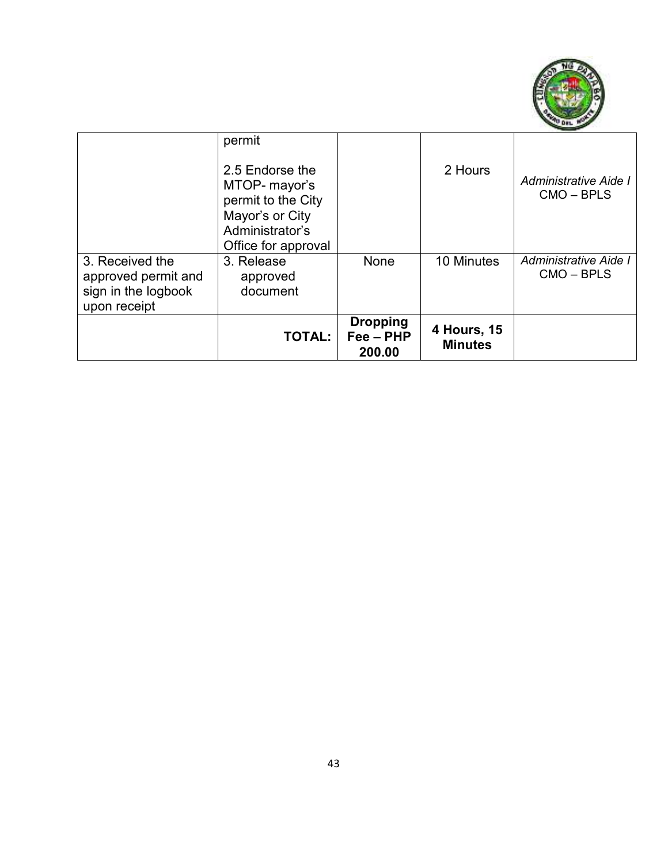

|                                                                               | permit<br>2.5 Endorse the<br>MTOP- mayor's<br>permit to the City<br>Mayor's or City<br>Administrator's<br>Office for approval |                                        | 2 Hours                       | Administrative Aide I<br>$CMO - BPLS$ |
|-------------------------------------------------------------------------------|-------------------------------------------------------------------------------------------------------------------------------|----------------------------------------|-------------------------------|---------------------------------------|
| 3. Received the<br>approved permit and<br>sign in the logbook<br>upon receipt | 3. Release<br>approved<br>document                                                                                            | None                                   | 10 Minutes                    | Administrative Aide I<br>$CMO - BPLS$ |
|                                                                               | <b>TOTAL:</b>                                                                                                                 | <b>Dropping</b><br>Fee - PHP<br>200.00 | 4 Hours, 15<br><b>Minutes</b> |                                       |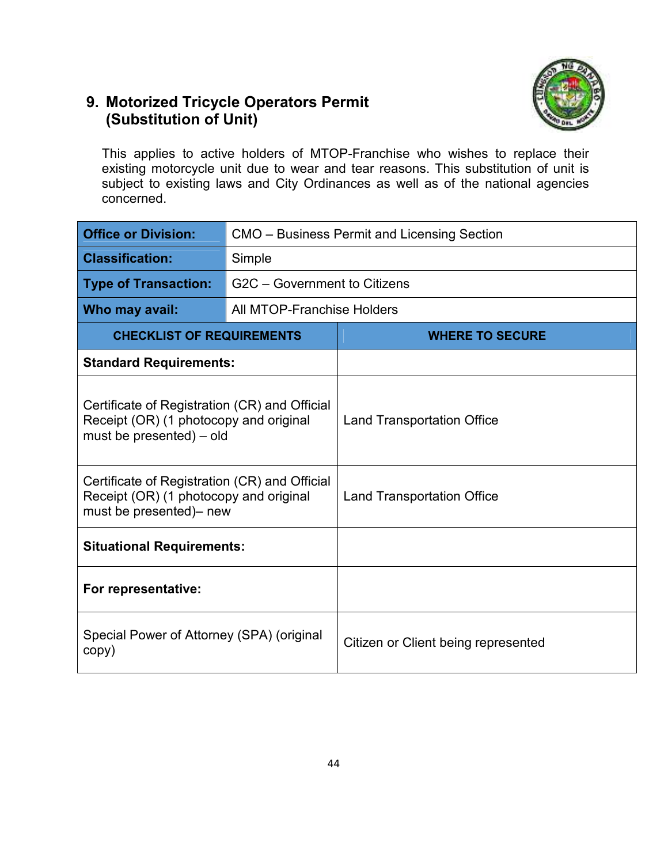## **9. Motorized Tricycle Operators Permit (Substitution of Unit)**



This applies to active holders of MTOP-Franchise who wishes to replace their existing motorcycle unit due to wear and tear reasons. This substitution of unit is subject to existing laws and City Ordinances as well as of the national agencies concerned.

| <b>Office or Division:</b>                                                                                          |                              | CMO – Business Permit and Licensing Section |  |  |  |
|---------------------------------------------------------------------------------------------------------------------|------------------------------|---------------------------------------------|--|--|--|
| <b>Classification:</b>                                                                                              | Simple                       |                                             |  |  |  |
| <b>Type of Transaction:</b>                                                                                         | G2C - Government to Citizens |                                             |  |  |  |
| Who may avail:                                                                                                      | All MTOP-Franchise Holders   |                                             |  |  |  |
| <b>CHECKLIST OF REQUIREMENTS</b>                                                                                    |                              | <b>WHERE TO SECURE</b>                      |  |  |  |
| <b>Standard Requirements:</b>                                                                                       |                              |                                             |  |  |  |
| Certificate of Registration (CR) and Official<br>Receipt (OR) (1 photocopy and original<br>must be presented) - old |                              | <b>Land Transportation Office</b>           |  |  |  |
| Certificate of Registration (CR) and Official<br>Receipt (OR) (1 photocopy and original<br>must be presented)- new  |                              | <b>Land Transportation Office</b>           |  |  |  |
| <b>Situational Requirements:</b>                                                                                    |                              |                                             |  |  |  |
| For representative:                                                                                                 |                              |                                             |  |  |  |
| Special Power of Attorney (SPA) (original<br>copy)                                                                  |                              | Citizen or Client being represented         |  |  |  |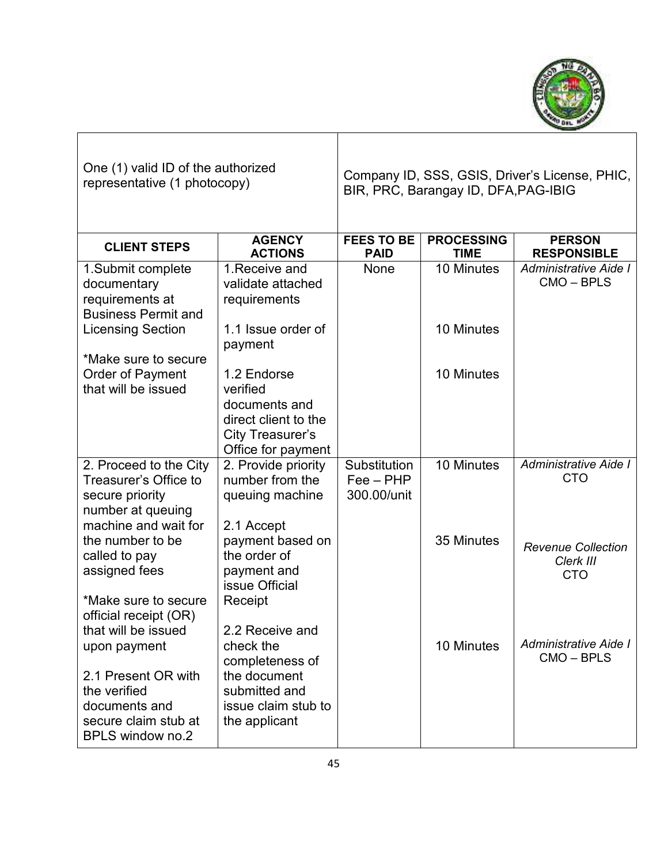

| One (1) valid ID of the authorized<br>representative (1 photocopy)                                                                             |                                                                                                                          | Company ID, SSS, GSIS, Driver's License, PHIC,<br>BIR, PRC, Barangay ID, DFA, PAG-IBIG |                                  |                                                      |
|------------------------------------------------------------------------------------------------------------------------------------------------|--------------------------------------------------------------------------------------------------------------------------|----------------------------------------------------------------------------------------|----------------------------------|------------------------------------------------------|
| <b>CLIENT STEPS</b>                                                                                                                            | <b>AGENCY</b><br><b>ACTIONS</b>                                                                                          | <b>FEES TO BE</b><br><b>PAID</b>                                                       | <b>PROCESSING</b><br><b>TIME</b> | <b>PERSON</b><br><b>RESPONSIBLE</b>                  |
| 1. Submit complete<br>documentary<br>requirements at<br><b>Business Permit and</b>                                                             | 1. Receive and<br>validate attached<br>requirements                                                                      | None                                                                                   | 10 Minutes                       | Administrative Aide I<br>CMO-BPLS                    |
| <b>Licensing Section</b>                                                                                                                       | 1.1 Issue order of<br>payment                                                                                            |                                                                                        | 10 Minutes                       |                                                      |
| *Make sure to secure<br>Order of Payment<br>that will be issued                                                                                | 1.2 Endorse<br>verified<br>documents and<br>direct client to the<br>City Treasurer's<br>Office for payment               |                                                                                        | 10 Minutes                       |                                                      |
| 2. Proceed to the City<br>Treasurer's Office to<br>secure priority<br>number at queuing<br>machine and wait for                                | 2. Provide priority<br>number from the<br>queuing machine<br>2.1 Accept                                                  | Substitution<br>$Fee - PHP$<br>300.00/unit                                             | 10 Minutes                       | Administrative Aide I<br><b>CTO</b>                  |
| the number to be<br>called to pay<br>assigned fees<br>*Make sure to secure<br>official receipt (OR)                                            | payment based on<br>the order of<br>payment and<br>issue Official<br>Receipt                                             |                                                                                        | 35 Minutes                       | <b>Revenue Collection</b><br>Clerk III<br><b>CTO</b> |
| that will be issued<br>upon payment<br>2.1 Present OR with<br>the verified<br>documents and<br>secure claim stub at<br><b>BPLS window no.2</b> | 2.2 Receive and<br>check the<br>completeness of<br>the document<br>submitted and<br>issue claim stub to<br>the applicant |                                                                                        | 10 Minutes                       | Administrative Aide I<br>$CMO - BPLS$                |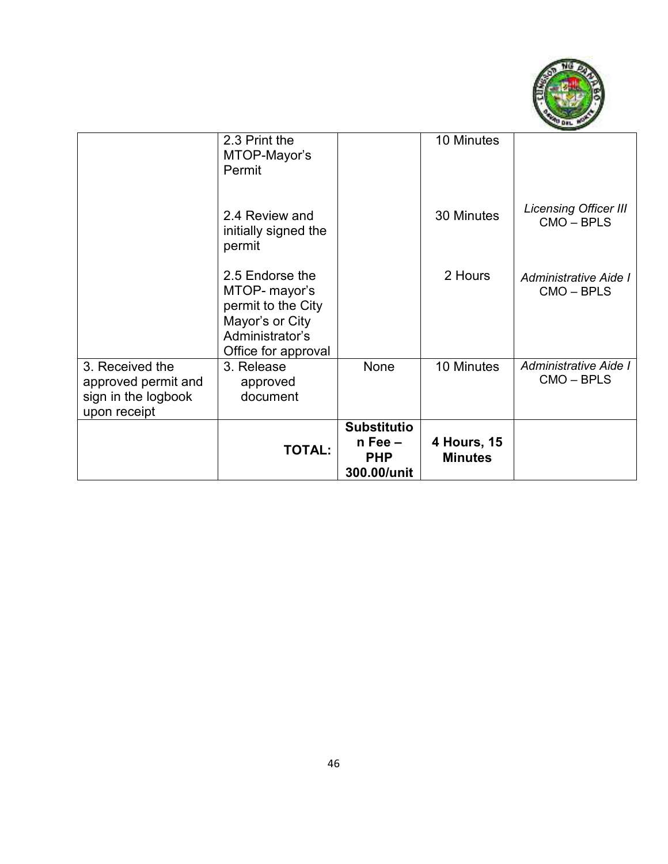

| upon receipt                                                  | <b>TOTAL:</b>                                                                                                       | <b>Substitutio</b><br>$n$ Fee $-$<br><b>PHP</b><br>300.00/unit | 4 Hours, 15<br><b>Minutes</b> |                                          |
|---------------------------------------------------------------|---------------------------------------------------------------------------------------------------------------------|----------------------------------------------------------------|-------------------------------|------------------------------------------|
| 3. Received the<br>approved permit and<br>sign in the logbook | 3. Release<br>approved<br>document                                                                                  | <b>None</b>                                                    | 10 Minutes                    | Administrative Aide I<br>CMO - BPLS      |
|                                                               | 2.5 Endorse the<br>MTOP- mayor's<br>permit to the City<br>Mayor's or City<br>Administrator's<br>Office for approval |                                                                | 2 Hours                       | Administrative Aide I<br>CMO - BPLS      |
|                                                               | 2.4 Review and<br>initially signed the<br>permit                                                                    |                                                                | 30 Minutes                    | <b>Licensing Officer III</b><br>CMO-BPLS |
|                                                               | 2.3 Print the<br>MTOP-Mayor's<br>Permit                                                                             |                                                                | 10 Minutes                    |                                          |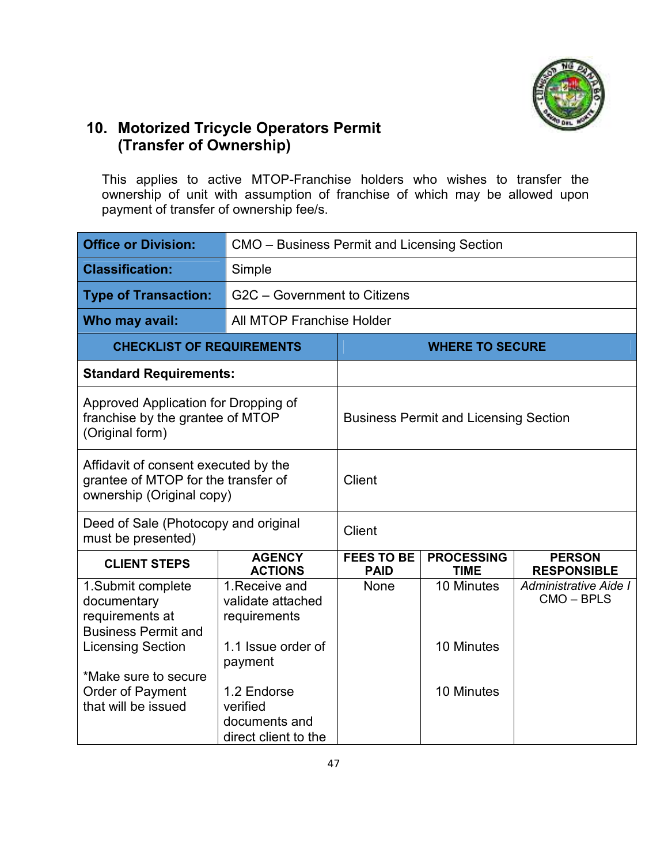

## **10. Motorized Tricycle Operators Permit (Transfer of Ownership)**

This applies to active MTOP-Franchise holders who wishes to transfer the ownership of unit with assumption of franchise of which may be allowed upon payment of transfer of ownership fee/s.

| <b>Office or Division:</b>                                                                                    | CMO – Business Permit and Licensing Section                                 |                                              |                                  |                                     |  |
|---------------------------------------------------------------------------------------------------------------|-----------------------------------------------------------------------------|----------------------------------------------|----------------------------------|-------------------------------------|--|
| <b>Classification:</b>                                                                                        | Simple                                                                      |                                              |                                  |                                     |  |
| <b>Type of Transaction:</b>                                                                                   | G2C - Government to Citizens                                                |                                              |                                  |                                     |  |
| Who may avail:                                                                                                | All MTOP Franchise Holder                                                   |                                              |                                  |                                     |  |
| <b>CHECKLIST OF REQUIREMENTS</b>                                                                              |                                                                             | <b>WHERE TO SECURE</b>                       |                                  |                                     |  |
| <b>Standard Requirements:</b>                                                                                 |                                                                             |                                              |                                  |                                     |  |
| Approved Application for Dropping of<br>franchise by the grantee of MTOP<br>(Original form)                   |                                                                             | <b>Business Permit and Licensing Section</b> |                                  |                                     |  |
| Affidavit of consent executed by the<br>grantee of MTOP for the transfer of<br>ownership (Original copy)      |                                                                             | Client                                       |                                  |                                     |  |
| Deed of Sale (Photocopy and original<br>must be presented)                                                    |                                                                             | Client                                       |                                  |                                     |  |
| <b>CLIENT STEPS</b>                                                                                           | <b>AGENCY</b><br><b>ACTIONS</b>                                             | <b>FEES TO BE</b><br><b>PAID</b>             | <b>PROCESSING</b><br><b>TIME</b> | <b>PERSON</b><br><b>RESPONSIBLE</b> |  |
| 1.Submit complete<br>documentary<br>requirements at<br><b>Business Permit and</b><br><b>Licensing Section</b> | 1. Receive and<br>validate attached<br>requirements<br>1.1 Issue order of   | <b>None</b>                                  | 10 Minutes<br>10 Minutes         | Administrative Aide I<br>CMO-BPLS   |  |
| *Make sure to secure<br><b>Order of Payment</b><br>that will be issued                                        | payment<br>1.2 Endorse<br>verified<br>documents and<br>direct client to the |                                              | 10 Minutes                       |                                     |  |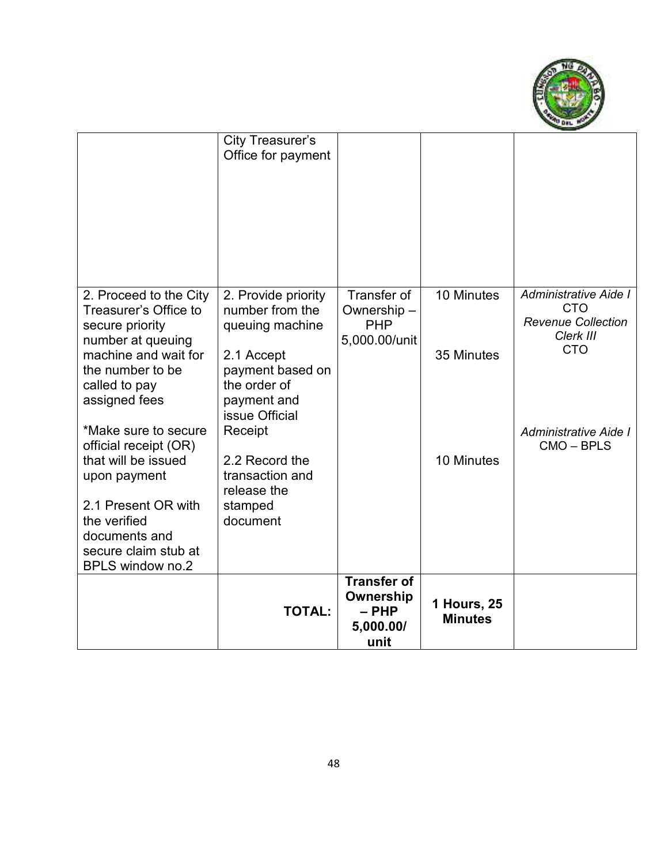

|                                                                                                                                                                                                                                                                                                                                                | <b>TOTAL:</b>                                                                                                                                                                                               | <b>Transfer of</b><br>Ownership<br>$-$ PHP<br>5,000.00/<br>unit | 1 Hours, 25<br><b>Minutes</b> |                                                                                           |
|------------------------------------------------------------------------------------------------------------------------------------------------------------------------------------------------------------------------------------------------------------------------------------------------------------------------------------------------|-------------------------------------------------------------------------------------------------------------------------------------------------------------------------------------------------------------|-----------------------------------------------------------------|-------------------------------|-------------------------------------------------------------------------------------------|
| Treasurer's Office to<br>secure priority<br>number at queuing<br>machine and wait for<br>the number to be<br>called to pay<br>assigned fees<br>*Make sure to secure<br>official receipt (OR)<br>that will be issued<br>upon payment<br>2.1 Present OR with<br>the verified<br>documents and<br>secure claim stub at<br><b>BPLS window no.2</b> | number from the<br>queuing machine<br>2.1 Accept<br>payment based on<br>the order of<br>payment and<br>issue Official<br>Receipt<br>2.2 Record the<br>transaction and<br>release the<br>stamped<br>document | Ownership-<br><b>PHP</b><br>5,000.00/unit                       | 35 Minutes<br>10 Minutes      | <b>Revenue Collection</b><br>Clerk III<br><b>CTO</b><br>Administrative Aide I<br>CMO-BPLS |
| 2. Proceed to the City                                                                                                                                                                                                                                                                                                                         | City Treasurer's<br>Office for payment<br>2. Provide priority                                                                                                                                               | Transfer of                                                     | 10 Minutes                    | Administrative Aide I<br><b>CTO</b>                                                       |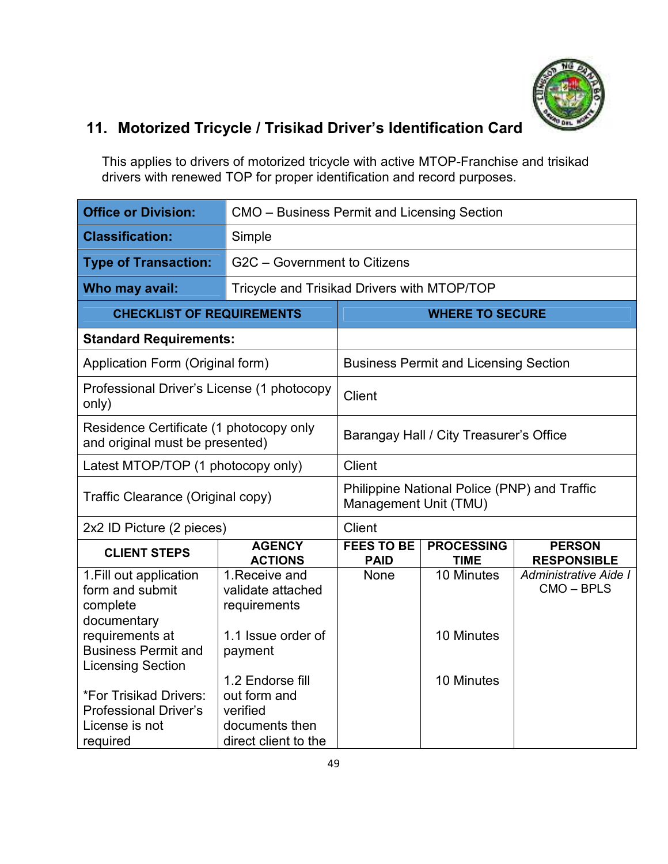

# **11. Motorized Tricycle / Trisikad Driver's Identification Card**

This applies to drivers of motorized tricycle with active MTOP-Franchise and trisikad drivers with renewed TOP for proper identification and record purposes.

| <b>Office or Division:</b>                                                           |                                                                                        | CMO - Business Permit and Licensing Section                           |                                              |                                     |
|--------------------------------------------------------------------------------------|----------------------------------------------------------------------------------------|-----------------------------------------------------------------------|----------------------------------------------|-------------------------------------|
| <b>Classification:</b>                                                               | Simple                                                                                 |                                                                       |                                              |                                     |
| <b>Type of Transaction:</b>                                                          |                                                                                        | G2C - Government to Citizens                                          |                                              |                                     |
| Who may avail:                                                                       | Tricycle and Trisikad Drivers with MTOP/TOP                                            |                                                                       |                                              |                                     |
|                                                                                      | <b>CHECKLIST OF REQUIREMENTS</b>                                                       |                                                                       | <b>WHERE TO SECURE</b>                       |                                     |
| <b>Standard Requirements:</b>                                                        |                                                                                        |                                                                       |                                              |                                     |
| Application Form (Original form)                                                     |                                                                                        |                                                                       | <b>Business Permit and Licensing Section</b> |                                     |
| Professional Driver's License (1 photocopy<br>only)                                  |                                                                                        | Client                                                                |                                              |                                     |
| Residence Certificate (1 photocopy only<br>and original must be presented)           |                                                                                        |                                                                       | Barangay Hall / City Treasurer's Office      |                                     |
| Latest MTOP/TOP (1 photocopy only)                                                   |                                                                                        | <b>Client</b>                                                         |                                              |                                     |
| Traffic Clearance (Original copy)                                                    |                                                                                        | Philippine National Police (PNP) and Traffic<br>Management Unit (TMU) |                                              |                                     |
| 2x2 ID Picture (2 pieces)                                                            |                                                                                        | Client                                                                |                                              |                                     |
| <b>CLIENT STEPS</b>                                                                  | <b>AGENCY</b><br><b>ACTIONS</b>                                                        | <b>FEES TO BE</b><br><b>PAID</b>                                      | <b>PROCESSING</b><br><b>TIME</b>             | <b>PERSON</b><br><b>RESPONSIBLE</b> |
| 1. Fill out application<br>form and submit<br>complete<br>documentary                | 1. Receive and<br>validate attached<br>requirements                                    | None                                                                  | 10 Minutes                                   | Administrative Aide I<br>CMO-BPLS   |
| requirements at<br><b>Business Permit and</b><br><b>Licensing Section</b>            | 1.1 Issue order of<br>payment                                                          |                                                                       | 10 Minutes                                   |                                     |
| *For Trisikad Drivers:<br><b>Professional Driver's</b><br>License is not<br>required | 1.2 Endorse fill<br>out form and<br>verified<br>documents then<br>direct client to the |                                                                       | 10 Minutes                                   |                                     |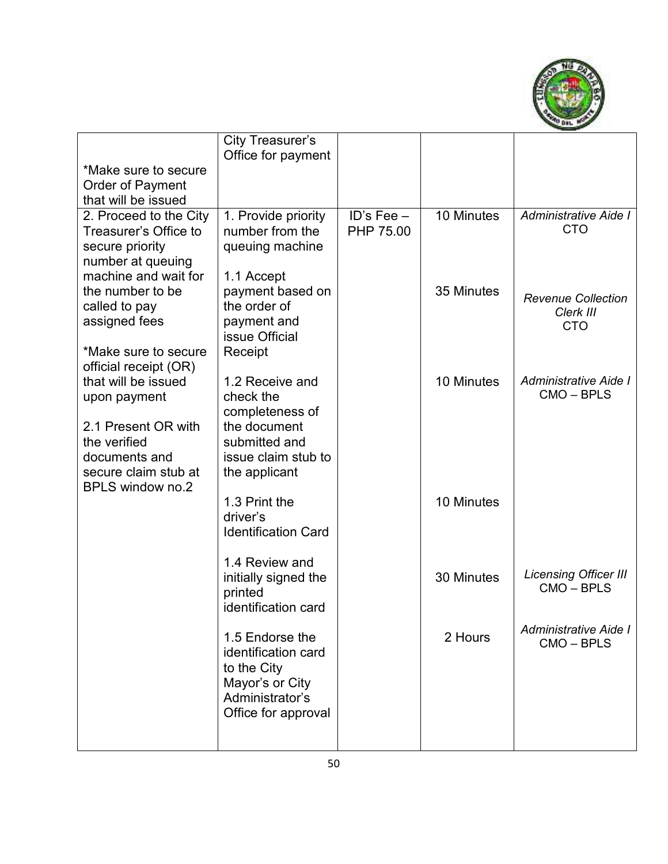

|                                                                                                                             | City Treasurer's<br>Office for payment                                                                                   |                           |            |                                                      |
|-----------------------------------------------------------------------------------------------------------------------------|--------------------------------------------------------------------------------------------------------------------------|---------------------------|------------|------------------------------------------------------|
| *Make sure to secure<br>Order of Payment<br>that will be issued                                                             |                                                                                                                          |                           |            |                                                      |
| 2. Proceed to the City<br>Treasurer's Office to<br>secure priority<br>number at queuing                                     | 1. Provide priority<br>number from the<br>queuing machine                                                                | ID's Fee $-$<br>PHP 75.00 | 10 Minutes | Administrative Aide I<br><b>CTO</b>                  |
| machine and wait for<br>the number to be<br>called to pay<br>assigned fees<br>*Make sure to secure<br>official receipt (OR) | 1.1 Accept<br>payment based on<br>the order of<br>payment and<br>issue Official<br>Receipt                               |                           | 35 Minutes | <b>Revenue Collection</b><br>Clerk III<br><b>CTO</b> |
| that will be issued<br>upon payment<br>2.1 Present OR with<br>the verified<br>documents and<br>secure claim stub at         | 1.2 Receive and<br>check the<br>completeness of<br>the document<br>submitted and<br>issue claim stub to<br>the applicant |                           | 10 Minutes | <b>Administrative Aide I</b><br>CMO-BPLS             |
| <b>BPLS window no.2</b>                                                                                                     | 1.3 Print the<br>driver's<br><b>Identification Card</b>                                                                  |                           | 10 Minutes |                                                      |
|                                                                                                                             | 1.4 Review and<br>initially signed the<br>printed<br>identification card                                                 |                           | 30 Minutes | <b>Licensing Officer III</b><br>CMO-BPLS             |
|                                                                                                                             | 1.5 Endorse the<br>identification card<br>to the City<br>Mayor's or City<br>Administrator's<br>Office for approval       |                           | 2 Hours    | Administrative Aide I<br>CMO-BPLS                    |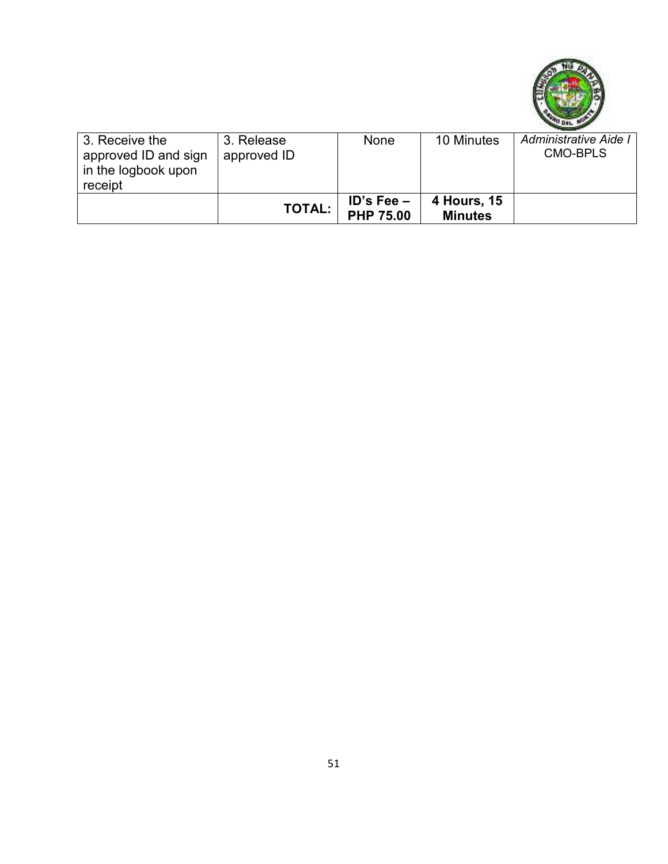

| 3. Receive the<br>approved ID and sign<br>in the logbook upon<br>receipt | 3. Release<br>approved ID | None                             | 10 Minutes                    | Administrative Aide I<br><b>CMO-BPLS</b> |
|--------------------------------------------------------------------------|---------------------------|----------------------------------|-------------------------------|------------------------------------------|
|                                                                          | <b>TOTAL:</b>             | $ID's Fee -$<br><b>PHP 75.00</b> | 4 Hours, 15<br><b>Minutes</b> |                                          |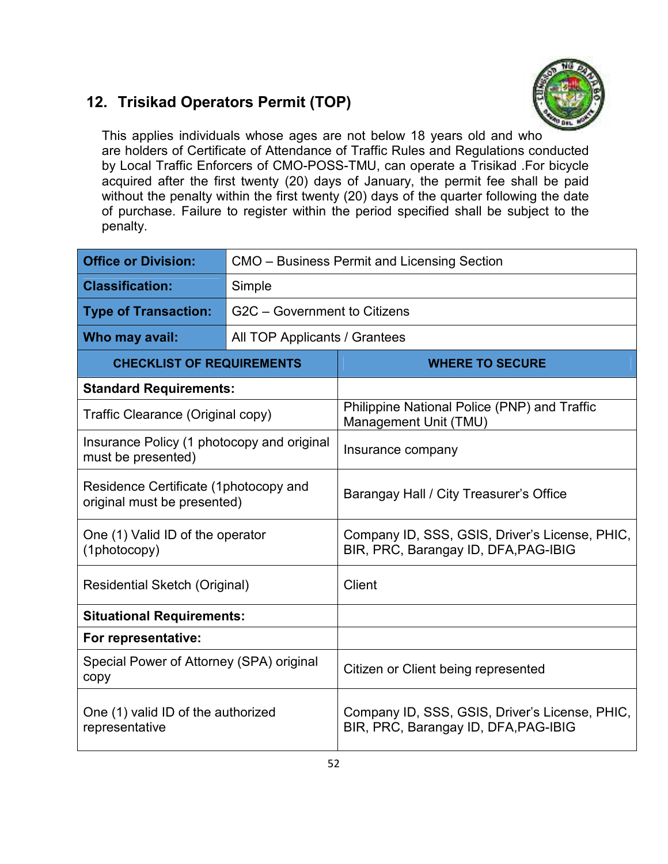#### **12. Trisikad Operators Permit (TOP)**



This applies individuals whose ages are not below 18 years old and who are holders of Certificate of Attendance of Traffic Rules and Regulations conducted by Local Traffic Enforcers of CMO-POSS-TMU, can operate a Trisikad .For bicycle acquired after the first twenty (20) days of January, the permit fee shall be paid without the penalty within the first twenty (20) days of the quarter following the date of purchase. Failure to register within the period specified shall be subject to the penalty.

| <b>Office or Division:</b>                                           | CMO – Business Permit and Licensing Section |                                                                                        |  |
|----------------------------------------------------------------------|---------------------------------------------|----------------------------------------------------------------------------------------|--|
| <b>Classification:</b>                                               | Simple                                      |                                                                                        |  |
| <b>Type of Transaction:</b>                                          | G2C - Government to Citizens                |                                                                                        |  |
| Who may avail:                                                       | All TOP Applicants / Grantees               |                                                                                        |  |
| <b>CHECKLIST OF REQUIREMENTS</b>                                     |                                             | <b>WHERE TO SECURE</b>                                                                 |  |
| <b>Standard Requirements:</b>                                        |                                             |                                                                                        |  |
| Traffic Clearance (Original copy)                                    |                                             | Philippine National Police (PNP) and Traffic<br>Management Unit (TMU)                  |  |
| Insurance Policy (1 photocopy and original<br>must be presented)     |                                             | Insurance company                                                                      |  |
| Residence Certificate (1photocopy and<br>original must be presented) |                                             | Barangay Hall / City Treasurer's Office                                                |  |
| One (1) Valid ID of the operator<br>(1photocopy)                     |                                             | Company ID, SSS, GSIS, Driver's License, PHIC,<br>BIR, PRC, Barangay ID, DFA, PAG-IBIG |  |
| Residential Sketch (Original)                                        |                                             | <b>Client</b>                                                                          |  |
| <b>Situational Requirements:</b>                                     |                                             |                                                                                        |  |
| For representative:                                                  |                                             |                                                                                        |  |
| Special Power of Attorney (SPA) original<br>copy                     |                                             | Citizen or Client being represented                                                    |  |
| One (1) valid ID of the authorized<br>representative                 |                                             | Company ID, SSS, GSIS, Driver's License, PHIC,<br>BIR, PRC, Barangay ID, DFA, PAG-IBIG |  |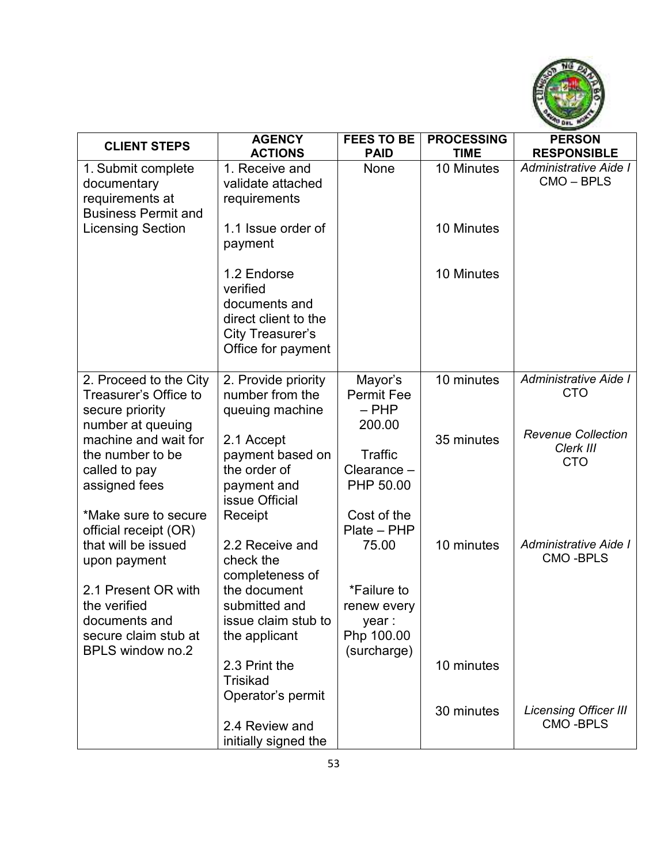

| <b>CLIENT STEPS</b>                                    | <b>AGENCY</b>                         | <b>FEES TO BE</b>            | <b>PROCESSING</b> | <b>PERSON</b>                          |
|--------------------------------------------------------|---------------------------------------|------------------------------|-------------------|----------------------------------------|
|                                                        | <b>ACTIONS</b>                        | <b>PAID</b>                  | <b>TIME</b>       | <b>RESPONSIBLE</b>                     |
| 1. Submit complete<br>documentary                      | 1. Receive and<br>validate attached   | None                         | 10 Minutes        | Administrative Aide I<br>CMO-BPLS      |
| requirements at                                        | requirements                          |                              |                   |                                        |
| <b>Business Permit and</b><br><b>Licensing Section</b> | 1.1 Issue order of                    |                              | 10 Minutes        |                                        |
|                                                        | payment                               |                              |                   |                                        |
|                                                        | 1.2 Endorse<br>verified               |                              | 10 Minutes        |                                        |
|                                                        | documents and<br>direct client to the |                              |                   |                                        |
|                                                        | City Treasurer's                      |                              |                   |                                        |
|                                                        | Office for payment                    |                              |                   |                                        |
| 2. Proceed to the City                                 | 2. Provide priority                   | Mayor's                      | 10 minutes        | Administrative Aide I<br><b>CTO</b>    |
| Treasurer's Office to<br>secure priority               | number from the<br>queuing machine    | <b>Permit Fee</b><br>$-$ PHP |                   |                                        |
| number at queuing                                      |                                       | 200.00                       |                   |                                        |
| machine and wait for                                   | 2.1 Accept                            |                              | 35 minutes        | <b>Revenue Collection</b><br>Clerk III |
| the number to be                                       | payment based on<br>the order of      | Traffic<br>Clearance -       |                   | <b>CTO</b>                             |
| called to pay<br>assigned fees                         | payment and                           | PHP 50.00                    |                   |                                        |
|                                                        | issue Official                        |                              |                   |                                        |
| *Make sure to secure                                   | Receipt                               | Cost of the<br>Plate - PHP   |                   |                                        |
| official receipt (OR)<br>that will be issued           | 2.2 Receive and                       | 75.00                        | 10 minutes        | Administrative Aide I                  |
| upon payment                                           | check the                             |                              |                   | <b>CMO-BPLS</b>                        |
| 2.1 Present OR with                                    | completeness of                       |                              |                   |                                        |
| the verified                                           | the document<br>submitted and         | *Failure to<br>renew every   |                   |                                        |
| documents and                                          | issue claim stub to                   | year :                       |                   |                                        |
| secure claim stub at                                   | the applicant                         | Php 100.00                   |                   |                                        |
| <b>BPLS window no.2</b>                                |                                       | (surcharge)                  |                   |                                        |
|                                                        | 2.3 Print the<br><b>Trisikad</b>      |                              | 10 minutes        |                                        |
|                                                        | Operator's permit                     |                              |                   |                                        |
|                                                        |                                       |                              | 30 minutes        | Licensing Officer III                  |
|                                                        | 2.4 Review and                        |                              |                   | <b>CMO-BPLS</b>                        |
|                                                        | initially signed the                  |                              |                   |                                        |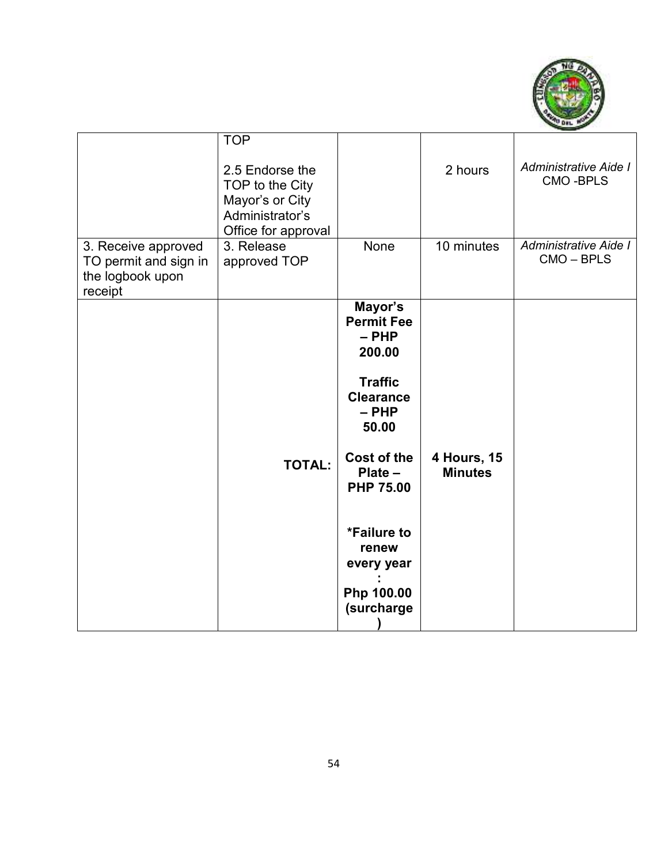

| 3. Receive approved<br>TO permit and sign in<br>the logbook upon<br>receipt | <b>TOP</b><br>2.5 Endorse the<br>TOP to the City<br>Mayor's or City<br>Administrator's<br>Office for approval<br>3. Release<br>approved TOP | None                                                                                                                                                                                                                        | 2 hours<br>10 minutes                | Administrative Aide I<br><b>CMO-BPLS</b><br>Administrative Aide I<br>CMO-BPLS |
|-----------------------------------------------------------------------------|---------------------------------------------------------------------------------------------------------------------------------------------|-----------------------------------------------------------------------------------------------------------------------------------------------------------------------------------------------------------------------------|--------------------------------------|-------------------------------------------------------------------------------|
|                                                                             | <b>TOTAL:</b>                                                                                                                               | Mayor's<br><b>Permit Fee</b><br>- PHP<br>200.00<br><b>Traffic</b><br><b>Clearance</b><br>$-$ PHP<br>50.00<br>Cost of the<br>$Place -$<br><b>PHP 75.00</b><br>*Failure to<br>renew<br>every year<br>Php 100.00<br>(surcharge | <b>4 Hours, 15</b><br><b>Minutes</b> |                                                                               |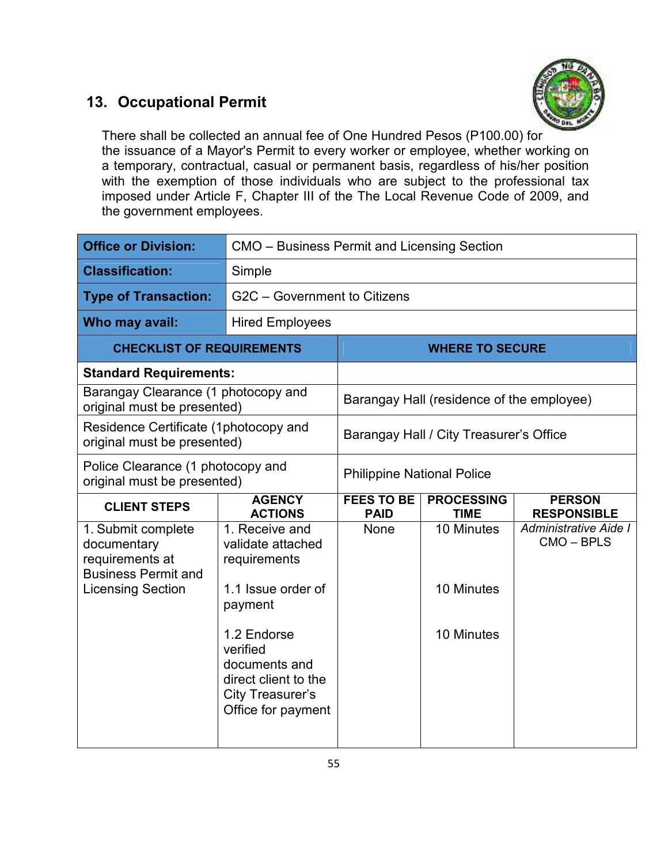#### **13. Occupational Permit**



There shall be collected an annual fee of One Hundred Pesos (P100.00) for the issuance of a Mayor's Permit to every worker or employee, whether working on a temporary, contractual, casual or permanent basis, regardless of his/her position with the exemption of those individuals who are subject to the professional tax imposed under Article F, Chapter III of the The Local Revenue Code of 2009, and the government employees.

| <b>Office or Division:</b>                                                                                     | CMO – Business Permit and Licensing Section                                                                                                              |                                   |                                           |                                     |
|----------------------------------------------------------------------------------------------------------------|----------------------------------------------------------------------------------------------------------------------------------------------------------|-----------------------------------|-------------------------------------------|-------------------------------------|
| <b>Classification:</b>                                                                                         | Simple                                                                                                                                                   |                                   |                                           |                                     |
| <b>Type of Transaction:</b>                                                                                    | G2C - Government to Citizens                                                                                                                             |                                   |                                           |                                     |
| Who may avail:                                                                                                 | <b>Hired Employees</b>                                                                                                                                   |                                   |                                           |                                     |
| <b>CHECKLIST OF REQUIREMENTS</b>                                                                               |                                                                                                                                                          |                                   | <b>WHERE TO SECURE</b>                    |                                     |
| <b>Standard Requirements:</b>                                                                                  |                                                                                                                                                          |                                   |                                           |                                     |
| Barangay Clearance (1 photocopy and<br>original must be presented)                                             |                                                                                                                                                          |                                   | Barangay Hall (residence of the employee) |                                     |
| Residence Certificate (1photocopy and<br>original must be presented)                                           |                                                                                                                                                          |                                   | Barangay Hall / City Treasurer's Office   |                                     |
| Police Clearance (1 photocopy and<br>original must be presented)                                               |                                                                                                                                                          | <b>Philippine National Police</b> |                                           |                                     |
|                                                                                                                |                                                                                                                                                          |                                   |                                           |                                     |
| <b>CLIENT STEPS</b>                                                                                            | <b>AGENCY</b><br><b>ACTIONS</b>                                                                                                                          | <b>FEES TO BE</b><br><b>PAID</b>  | <b>PROCESSING</b><br><b>TIME</b>          | <b>PERSON</b><br><b>RESPONSIBLE</b> |
| 1. Submit complete<br>documentary<br>requirements at<br><b>Business Permit and</b><br><b>Licensing Section</b> | 1. Receive and<br>validate attached<br>requirements<br>1.1 Issue order of<br>payment<br>1.2 Endorse<br>verified<br>documents and<br>direct client to the | None                              | 10 Minutes<br>10 Minutes<br>10 Minutes    | Administrative Aide I<br>CMO-BPLS   |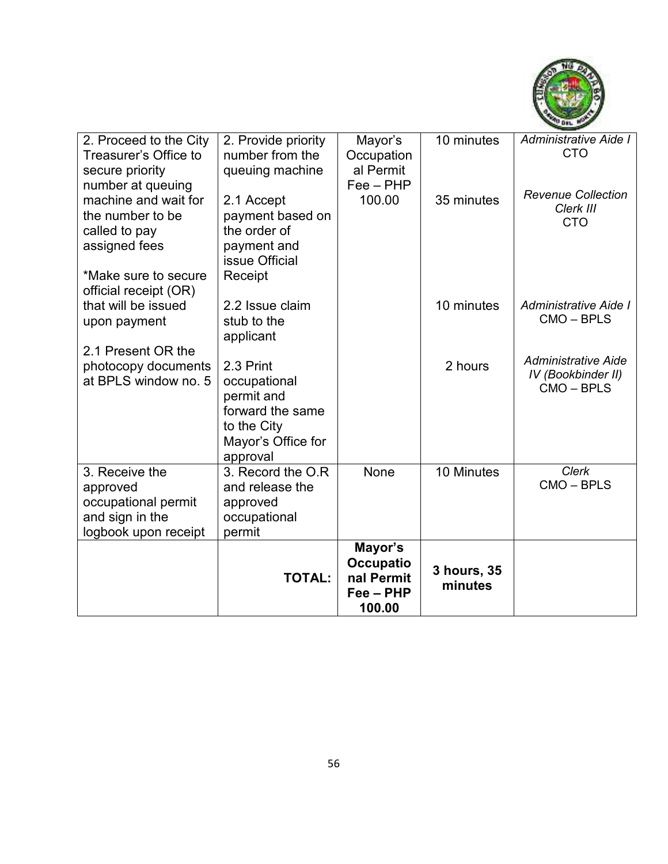

| 2. Proceed to the City | 2. Provide priority | Mayor's          | 10 minutes  | Administrative Aide I          |
|------------------------|---------------------|------------------|-------------|--------------------------------|
| Treasurer's Office to  | number from the     | Occupation       |             | <b>CTO</b>                     |
| secure priority        | queuing machine     | al Permit        |             |                                |
| number at queuing      |                     | $Fee - PHP$      |             |                                |
| machine and wait for   | 2.1 Accept          | 100.00           | 35 minutes  | <b>Revenue Collection</b>      |
| the number to be       | payment based on    |                  |             | Clerk III<br><b>CTO</b>        |
| called to pay          | the order of        |                  |             |                                |
| assigned fees          | payment and         |                  |             |                                |
|                        | issue Official      |                  |             |                                |
| *Make sure to secure   | Receipt             |                  |             |                                |
| official receipt (OR)  |                     |                  |             |                                |
| that will be issued    | 2.2 Issue claim     |                  | 10 minutes  | Administrative Aide I          |
| upon payment           | stub to the         |                  |             | CMO-BPLS                       |
|                        | applicant           |                  |             |                                |
| 2.1 Present OR the     |                     |                  |             |                                |
| photocopy documents    | 2.3 Print           |                  | 2 hours     | <b>Administrative Aide</b>     |
| at BPLS window no. 5   | occupational        |                  |             | IV (Bookbinder II)<br>CMO-BPLS |
|                        | permit and          |                  |             |                                |
|                        | forward the same    |                  |             |                                |
|                        | to the City         |                  |             |                                |
|                        | Mayor's Office for  |                  |             |                                |
|                        | approval            |                  |             |                                |
| 3. Receive the         | 3. Record the O.R   | None             | 10 Minutes  | <b>Clerk</b>                   |
| approved               | and release the     |                  |             | CMO-BPLS                       |
| occupational permit    | approved            |                  |             |                                |
| and sign in the        | occupational        |                  |             |                                |
| logbook upon receipt   | permit              |                  |             |                                |
|                        |                     | Mayor's          |             |                                |
|                        |                     | <b>Occupatio</b> | 3 hours, 35 |                                |
|                        | <b>TOTAL:</b>       | nal Permit       | minutes     |                                |
|                        |                     | $Fee - PHP$      |             |                                |
|                        |                     | 100.00           |             |                                |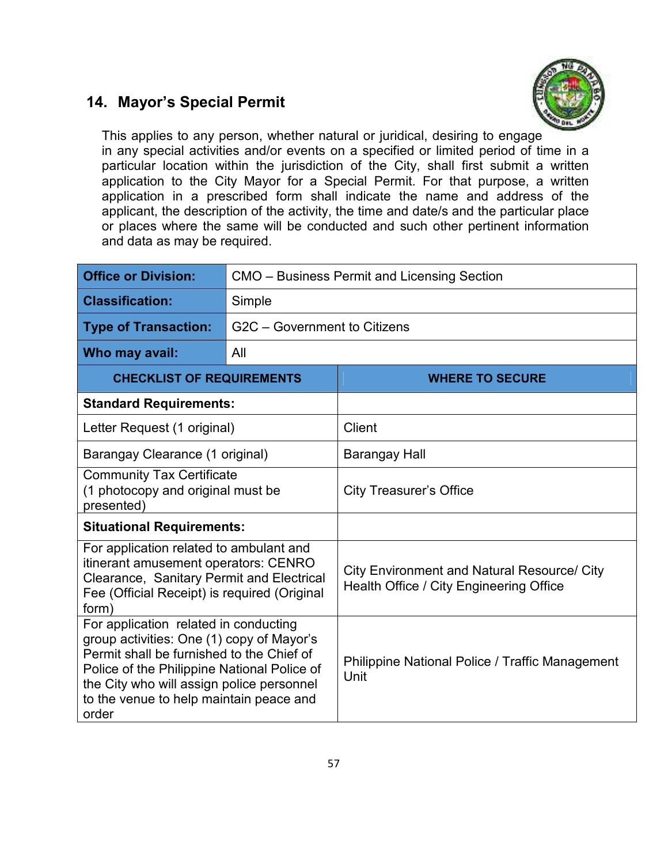#### **14. Mayor's Special Permit**



This applies to any person, whether natural or juridical, desiring to engage in any special activities and/or events on a specified or limited period of time in a particular location within the jurisdiction of the City, shall first submit a written application to the City Mayor for a Special Permit. For that purpose, a written application in a prescribed form shall indicate the name and address of the applicant, the description of the activity, the time and date/s and the particular place or places where the same will be conducted and such other pertinent information and data as may be required.

| <b>Office or Division:</b>                                                                                                                                                                                                                                                      | CMO – Business Permit and Licensing Section |                                                                                               |  |
|---------------------------------------------------------------------------------------------------------------------------------------------------------------------------------------------------------------------------------------------------------------------------------|---------------------------------------------|-----------------------------------------------------------------------------------------------|--|
| <b>Classification:</b>                                                                                                                                                                                                                                                          | Simple                                      |                                                                                               |  |
| <b>Type of Transaction:</b>                                                                                                                                                                                                                                                     | G2C - Government to Citizens                |                                                                                               |  |
| Who may avail:                                                                                                                                                                                                                                                                  | All                                         |                                                                                               |  |
| <b>CHECKLIST OF REQUIREMENTS</b>                                                                                                                                                                                                                                                |                                             | <b>WHERE TO SECURE</b>                                                                        |  |
| <b>Standard Requirements:</b>                                                                                                                                                                                                                                                   |                                             |                                                                                               |  |
| Letter Request (1 original)                                                                                                                                                                                                                                                     |                                             | <b>Client</b>                                                                                 |  |
| Barangay Clearance (1 original)                                                                                                                                                                                                                                                 |                                             | Barangay Hall                                                                                 |  |
| <b>Community Tax Certificate</b><br>(1 photocopy and original must be<br>presented)                                                                                                                                                                                             |                                             | <b>City Treasurer's Office</b>                                                                |  |
| <b>Situational Requirements:</b>                                                                                                                                                                                                                                                |                                             |                                                                                               |  |
| For application related to ambulant and<br>itinerant amusement operators: CENRO<br>Clearance, Sanitary Permit and Electrical<br>Fee (Official Receipt) is required (Original<br>form)                                                                                           |                                             | <b>City Environment and Natural Resource/ City</b><br>Health Office / City Engineering Office |  |
| For application related in conducting<br>group activities: One (1) copy of Mayor's<br>Permit shall be furnished to the Chief of<br>Police of the Philippine National Police of<br>the City who will assign police personnel<br>to the venue to help maintain peace and<br>order |                                             | Philippine National Police / Traffic Management<br>Unit                                       |  |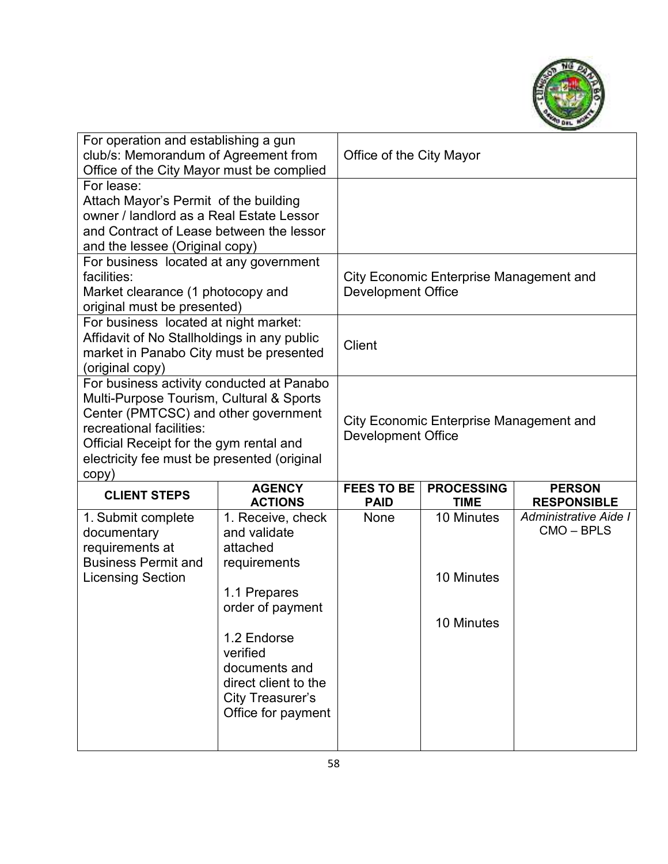

| For operation and establishing a gun<br>club/s: Memorandum of Agreement from<br>Office of the City Mayor must be complied                                                                                                                                    |                                               | Office of the City Mayor         |                                         |                                     |
|--------------------------------------------------------------------------------------------------------------------------------------------------------------------------------------------------------------------------------------------------------------|-----------------------------------------------|----------------------------------|-----------------------------------------|-------------------------------------|
| For lease:<br>Attach Mayor's Permit of the building<br>owner / landlord as a Real Estate Lessor<br>and Contract of Lease between the lessor<br>and the lessee (Original copy)                                                                                |                                               |                                  |                                         |                                     |
| For business located at any government<br>facilities:<br>Market clearance (1 photocopy and<br>original must be presented)                                                                                                                                    |                                               | <b>Development Office</b>        | City Economic Enterprise Management and |                                     |
| For business located at night market:<br>Affidavit of No Stallholdings in any public<br>market in Panabo City must be presented<br>(original copy)                                                                                                           |                                               | <b>Client</b>                    |                                         |                                     |
| For business activity conducted at Panabo<br>Multi-Purpose Tourism, Cultural & Sports<br>Center (PMTCSC) and other government<br>recreational facilities:<br>Official Receipt for the gym rental and<br>electricity fee must be presented (original<br>copy) |                                               | <b>Development Office</b>        | City Economic Enterprise Management and |                                     |
| <b>CLIENT STEPS</b>                                                                                                                                                                                                                                          | <b>AGENCY</b><br><b>ACTIONS</b>               | <b>FEES TO BE</b><br><b>PAID</b> | <b>PROCESSING</b><br><b>TIME</b>        | <b>PERSON</b><br><b>RESPONSIBLE</b> |
| 1. Submit complete<br>documentary<br>requirements at                                                                                                                                                                                                         | 1. Receive, check<br>and validate<br>attached | None                             | 10 Minutes                              | Administrative Aide I<br>CMO-BPLS   |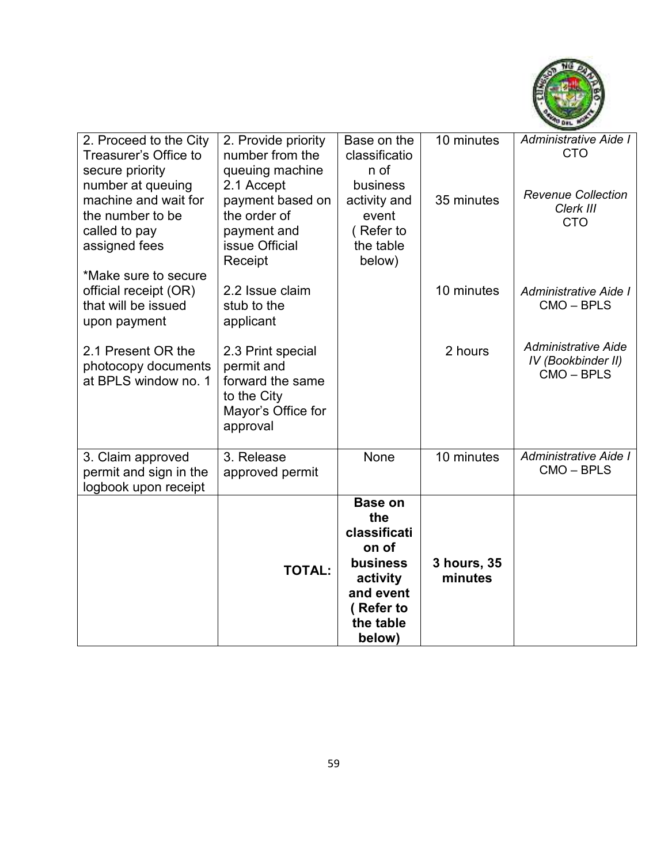

| 2. Proceed to the City<br>Treasurer's Office to | 2. Provide priority<br>number from the | Base on the<br>classificatio | 10 minutes             | Administrative Aide I<br><b>CTO</b> |
|-------------------------------------------------|----------------------------------------|------------------------------|------------------------|-------------------------------------|
| secure priority                                 | queuing machine                        | n of                         |                        |                                     |
| number at queuing<br>machine and wait for       | 2.1 Accept<br>payment based on         | business<br>activity and     | 35 minutes             | <b>Revenue Collection</b>           |
| the number to be                                | the order of                           | event                        |                        | Clerk III<br><b>CTO</b>             |
| called to pay                                   | payment and                            | (Refer to                    |                        |                                     |
| assigned fees                                   | issue Official<br>Receipt              | the table<br>below)          |                        |                                     |
| *Make sure to secure                            |                                        |                              |                        |                                     |
| official receipt (OR)                           | 2.2 Issue claim                        |                              | 10 minutes             | Administrative Aide I<br>CMO-BPLS   |
| that will be issued<br>upon payment             | stub to the<br>applicant               |                              |                        |                                     |
|                                                 |                                        |                              |                        | <b>Administrative Aide</b>          |
| 2.1 Present OR the<br>photocopy documents       | 2.3 Print special<br>permit and        |                              | 2 hours                | IV (Bookbinder II)                  |
| at BPLS window no. 1                            | forward the same                       |                              |                        | CMO-BPLS                            |
|                                                 | to the City<br>Mayor's Office for      |                              |                        |                                     |
|                                                 | approval                               |                              |                        |                                     |
|                                                 |                                        |                              |                        |                                     |
| 3. Claim approved<br>permit and sign in the     | 3. Release<br>approved permit          | None                         | 10 minutes             | Administrative Aide I<br>CMO-BPLS   |
| logbook upon receipt                            |                                        |                              |                        |                                     |
|                                                 |                                        | <b>Base on</b><br>the        |                        |                                     |
|                                                 |                                        | classificati                 |                        |                                     |
|                                                 |                                        | on of<br>business            |                        |                                     |
|                                                 | <b>TOTAL:</b>                          | activity                     | 3 hours, 35<br>minutes |                                     |
|                                                 |                                        | and event                    |                        |                                     |
|                                                 |                                        | (Refer to<br>the table       |                        |                                     |
|                                                 |                                        | below)                       |                        |                                     |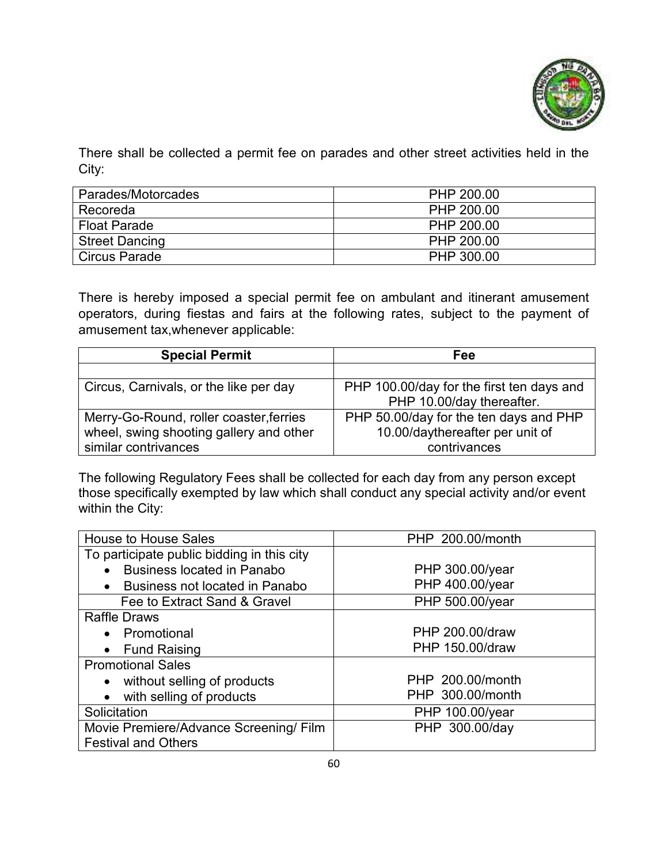

There shall be collected a permit fee on parades and other street activities held in the City:

| Parades/Motorcades    | PHP 200.00 |
|-----------------------|------------|
| Recoreda              | PHP 200.00 |
| <b>Float Parade</b>   | PHP 200.00 |
| <b>Street Dancing</b> | PHP 200.00 |
| Circus Parade         | PHP 300.00 |

There is hereby imposed a special permit fee on ambulant and itinerant amusement operators, during fiestas and fairs at the following rates, subject to the payment of amusement tax,whenever applicable:

| <b>Special Permit</b>                   | Fee                                       |  |
|-----------------------------------------|-------------------------------------------|--|
|                                         |                                           |  |
| Circus, Carnivals, or the like per day  | PHP 100.00/day for the first ten days and |  |
|                                         | PHP 10.00/day thereafter.                 |  |
| Merry-Go-Round, roller coaster, ferries | PHP 50.00/day for the ten days and PHP    |  |
| wheel, swing shooting gallery and other | 10.00/daythereafter per unit of           |  |
| similar contrivances                    | contrivances                              |  |

The following Regulatory Fees shall be collected for each day from any person except those specifically exempted by law which shall conduct any special activity and/or event within the City:

| <b>House to House Sales</b>                 | PHP 200.00/month |
|---------------------------------------------|------------------|
| To participate public bidding in this city  |                  |
| <b>Business located in Panabo</b>           | PHP 300.00/year  |
| Business not located in Panabo<br>$\bullet$ | PHP 400.00/year  |
| Fee to Extract Sand & Gravel                | PHP 500.00/year  |
| <b>Raffle Draws</b>                         |                  |
| • Promotional                               | PHP 200.00/draw  |
| <b>Fund Raising</b><br>$\bullet$            | PHP 150.00/draw  |
| <b>Promotional Sales</b>                    |                  |
| • without selling of products               | PHP 200.00/month |
| with selling of products<br>$\bullet$       | PHP 300.00/month |
| Solicitation                                | PHP 100.00/year  |
| Movie Premiere/Advance Screening/ Film      | PHP 300.00/day   |
| <b>Festival and Others</b>                  |                  |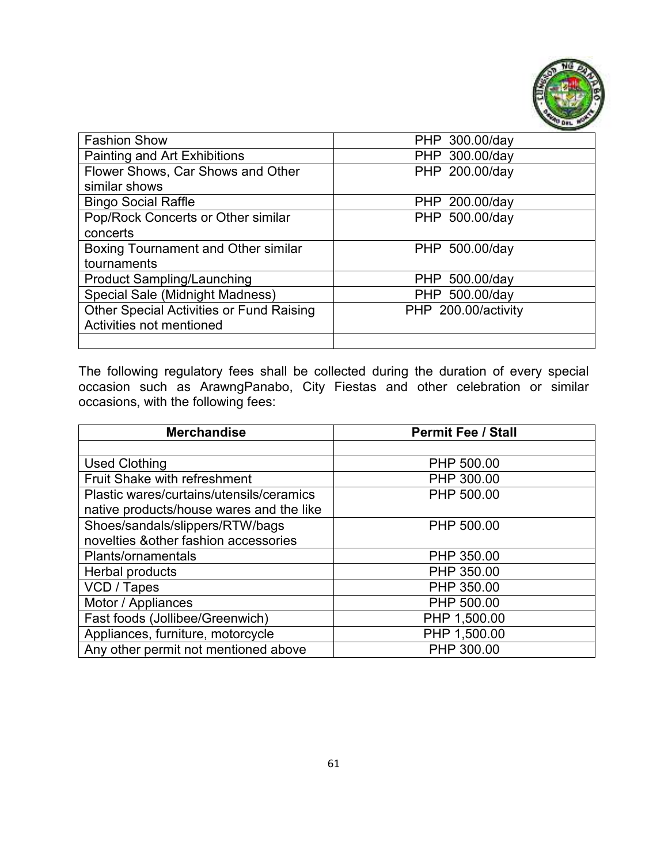

| <b>Fashion Show</b>                             | PHP 300.00/day      |
|-------------------------------------------------|---------------------|
| Painting and Art Exhibitions                    | PHP 300.00/day      |
| Flower Shows, Car Shows and Other               | PHP 200.00/day      |
| similar shows                                   |                     |
| <b>Bingo Social Raffle</b>                      | PHP 200.00/day      |
| Pop/Rock Concerts or Other similar              | PHP 500.00/day      |
| concerts                                        |                     |
| Boxing Tournament and Other similar             | PHP 500.00/day      |
| tournaments                                     |                     |
| <b>Product Sampling/Launching</b>               | PHP 500.00/day      |
| Special Sale (Midnight Madness)                 | PHP 500.00/day      |
| <b>Other Special Activities or Fund Raising</b> | PHP 200.00/activity |
| Activities not mentioned                        |                     |
|                                                 |                     |

The following regulatory fees shall be collected during the duration of every special occasion such as ArawngPanabo, City Fiestas and other celebration or similar occasions, with the following fees:

| <b>Merchandise</b>                       | <b>Permit Fee / Stall</b> |  |  |
|------------------------------------------|---------------------------|--|--|
|                                          |                           |  |  |
| <b>Used Clothing</b>                     | PHP 500.00                |  |  |
| Fruit Shake with refreshment             | PHP 300.00                |  |  |
| Plastic wares/curtains/utensils/ceramics | PHP 500.00                |  |  |
| native products/house wares and the like |                           |  |  |
| Shoes/sandals/slippers/RTW/bags          | PHP 500.00                |  |  |
| novelties & other fashion accessories    |                           |  |  |
| Plants/ornamentals                       | PHP 350.00                |  |  |
| Herbal products                          | PHP 350.00                |  |  |
| VCD / Tapes                              | PHP 350.00                |  |  |
| Motor / Appliances                       | PHP 500.00                |  |  |
| Fast foods (Jollibee/Greenwich)          | PHP 1,500.00              |  |  |
| Appliances, furniture, motorcycle        | PHP 1,500.00              |  |  |
| Any other permit not mentioned above     | PHP 300.00                |  |  |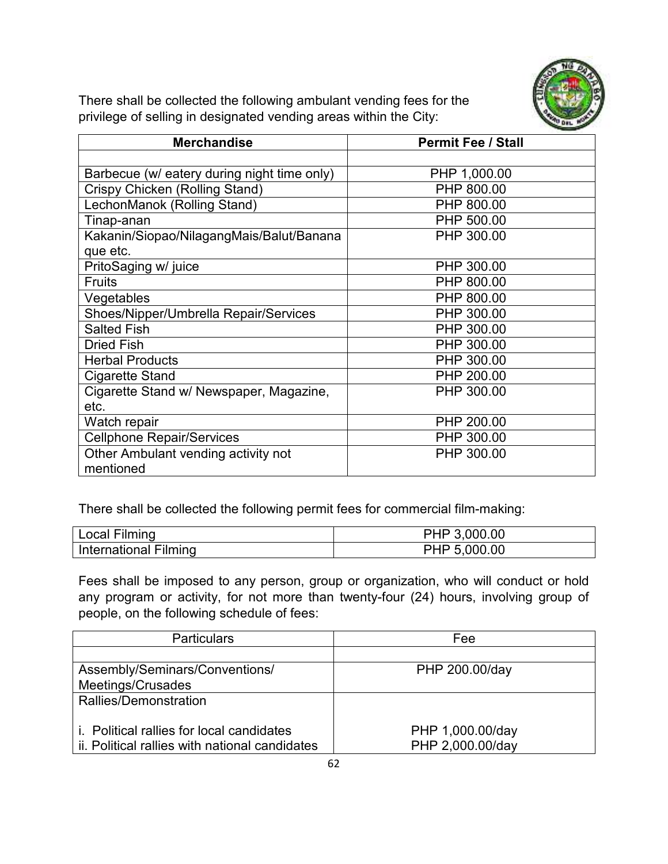

There shall be collected the following ambulant vending fees for the privilege of selling in designated vending areas within the City:

| <b>Merchandise</b>                          | <b>Permit Fee / Stall</b> |  |  |
|---------------------------------------------|---------------------------|--|--|
|                                             |                           |  |  |
| Barbecue (w/ eatery during night time only) | PHP 1,000.00              |  |  |
| Crispy Chicken (Rolling Stand)              | PHP 800.00                |  |  |
| LechonManok (Rolling Stand)                 | PHP 800.00                |  |  |
| Tinap-anan                                  | PHP 500.00                |  |  |
| Kakanin/Siopao/NilagangMais/Balut/Banana    | PHP 300.00                |  |  |
| que etc.                                    |                           |  |  |
| PritoSaging w/ juice                        | PHP 300.00                |  |  |
| <b>Fruits</b>                               | PHP 800.00                |  |  |
| Vegetables                                  | PHP 800.00                |  |  |
| Shoes/Nipper/Umbrella Repair/Services       | PHP 300.00                |  |  |
| <b>Salted Fish</b>                          | PHP 300.00                |  |  |
| <b>Dried Fish</b>                           | PHP 300.00                |  |  |
| <b>Herbal Products</b>                      | PHP 300.00                |  |  |
| Cigarette Stand                             | PHP 200.00                |  |  |
| Cigarette Stand w/ Newspaper, Magazine,     | PHP 300.00                |  |  |
| etc.                                        |                           |  |  |
| Watch repair                                | PHP 200.00                |  |  |
| <b>Cellphone Repair/Services</b>            | PHP 300.00                |  |  |
| Other Ambulant vending activity not         | PHP 300.00                |  |  |
| mentioned                                   |                           |  |  |

There shall be collected the following permit fees for commercial film-making:

| Local Filming         | PHP 3,000.00 |
|-----------------------|--------------|
| International Filming | PHP 5,000.00 |

Fees shall be imposed to any person, group or organization, who will conduct or hold any program or activity, for not more than twenty-four (24) hours, involving group of people, on the following schedule of fees:

| <b>Particulars</b>                               | Fee              |
|--------------------------------------------------|------------------|
|                                                  |                  |
| Assembly/Seminars/Conventions/                   | PHP 200.00/day   |
| Meetings/Crusades                                |                  |
| Rallies/Demonstration                            |                  |
|                                                  |                  |
| <i>i.</i> Political rallies for local candidates | PHP 1,000.00/day |
| ii. Political rallies with national candidates   | PHP 2,000.00/day |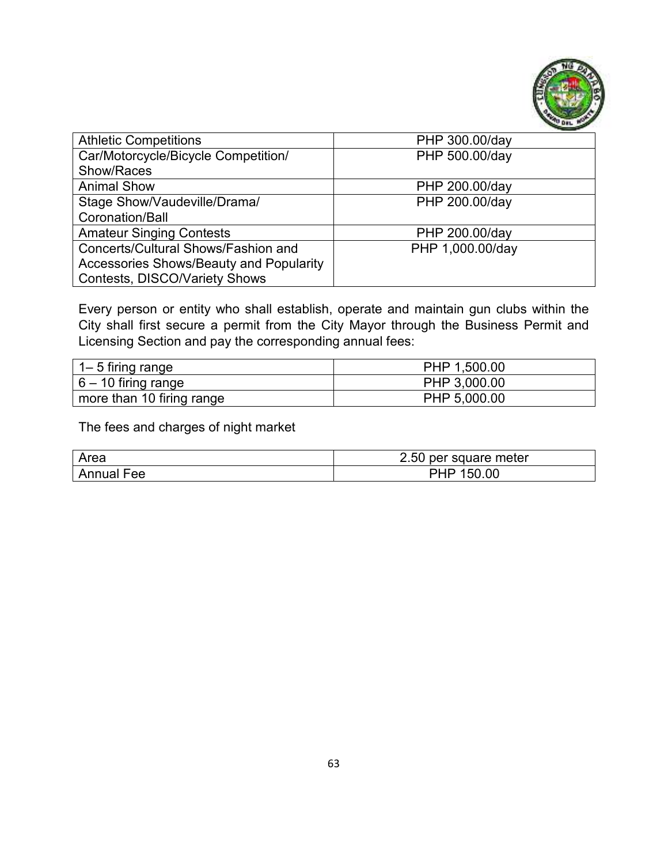

| <b>Athletic Competitions</b>            | PHP 300.00/day   |
|-----------------------------------------|------------------|
| Car/Motorcycle/Bicycle Competition/     | PHP 500.00/day   |
| Show/Races                              |                  |
| <b>Animal Show</b>                      | PHP 200.00/day   |
| Stage Show/Vaudeville/Drama/            | PHP 200.00/day   |
| Coronation/Ball                         |                  |
| <b>Amateur Singing Contests</b>         | PHP 200.00/day   |
| Concerts/Cultural Shows/Fashion and     | PHP 1,000.00/day |
| Accessories Shows/Beauty and Popularity |                  |
| <b>Contests, DISCO/Variety Shows</b>    |                  |

Every person or entity who shall establish, operate and maintain gun clubs within the City shall first secure a permit from the City Mayor through the Business Permit and Licensing Section and pay the corresponding annual fees:

| 1– 5 firing range         | PHP 1,500.00 |
|---------------------------|--------------|
| $ 6 - 10$ firing range    | PHP 3,000.00 |
| more than 10 firing range | PHP 5,000.00 |

The fees and charges of night market

| Area          | 2.50<br>per square meter    |
|---------------|-----------------------------|
| Annual<br>Fee | .00<br>51<br>$\blacksquare$ |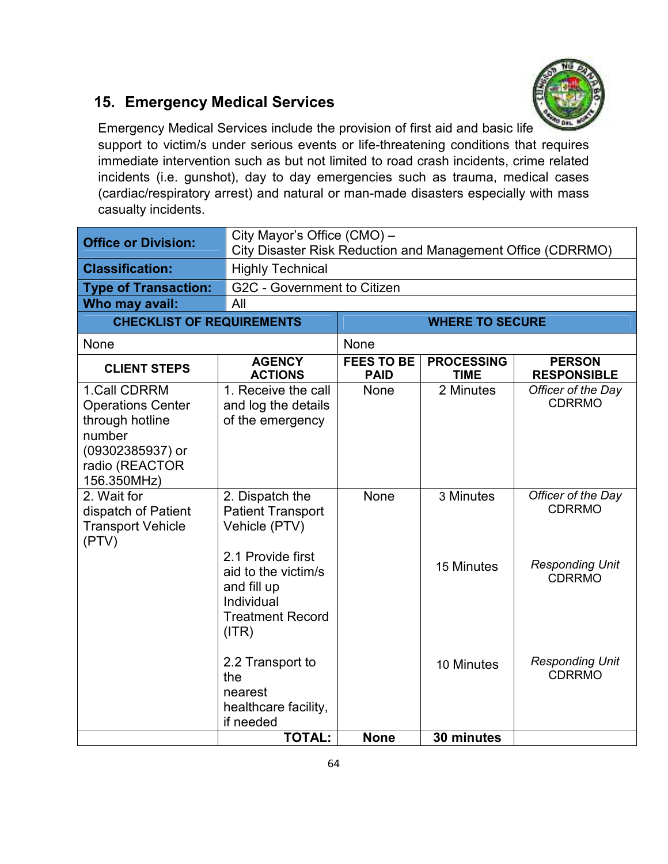

#### **15. Emergency Medical Services**

Emergency Medical Services include the provision of first aid and basic life support to victim/s under serious events or life-threatening conditions that requires immediate intervention such as but not limited to road crash incidents, crime related incidents (i.e. gunshot), day to day emergencies such as trauma, medical cases (cardiac/respiratory arrest) and natural or man-made disasters especially with mass casualty incidents.

| <b>Office or Division:</b>                                                                                                 | City Mayor's Office (CMO) -<br>City Disaster Risk Reduction and Management Office (CDRRMO)                |                                  |                                  |                                         |  |
|----------------------------------------------------------------------------------------------------------------------------|-----------------------------------------------------------------------------------------------------------|----------------------------------|----------------------------------|-----------------------------------------|--|
| <b>Classification:</b>                                                                                                     | <b>Highly Technical</b>                                                                                   |                                  |                                  |                                         |  |
| <b>Type of Transaction:</b>                                                                                                |                                                                                                           | G2C - Government to Citizen      |                                  |                                         |  |
| Who may avail:                                                                                                             | All                                                                                                       |                                  |                                  |                                         |  |
| <b>CHECKLIST OF REQUIREMENTS</b>                                                                                           | <b>WHERE TO SECURE</b>                                                                                    |                                  |                                  |                                         |  |
| None                                                                                                                       |                                                                                                           | None                             |                                  |                                         |  |
| <b>CLIENT STEPS</b>                                                                                                        | <b>AGENCY</b><br><b>ACTIONS</b>                                                                           | <b>FEES TO BE</b><br><b>PAID</b> | <b>PROCESSING</b><br><b>TIME</b> | <b>PERSON</b><br><b>RESPONSIBLE</b>     |  |
| 1.Call CDRRM<br><b>Operations Center</b><br>through hotline<br>number<br>(09302385937) or<br>radio (REACTOR<br>156.350MHz) | 1. Receive the call<br>and log the details<br>of the emergency                                            | <b>None</b>                      | 2 Minutes                        | Officer of the Day<br><b>CDRRMO</b>     |  |
| 2. Wait for<br>dispatch of Patient<br><b>Transport Vehicle</b><br>(PTV)                                                    | 2. Dispatch the<br><b>Patient Transport</b><br>Vehicle (PTV)                                              | None                             | 3 Minutes                        | Officer of the Day<br><b>CDRRMO</b>     |  |
|                                                                                                                            | 2.1 Provide first<br>aid to the victim/s<br>and fill up<br>Individual<br><b>Treatment Record</b><br>(ITR) |                                  | 15 Minutes                       | <b>Responding Unit</b><br><b>CDRRMO</b> |  |
|                                                                                                                            | 2.2 Transport to<br>the<br>nearest<br>healthcare facility,<br>if needed                                   |                                  | 10 Minutes                       | <b>Responding Unit</b><br><b>CDRRMO</b> |  |
|                                                                                                                            | <b>TOTAL:</b>                                                                                             | <b>None</b>                      | 30 minutes                       |                                         |  |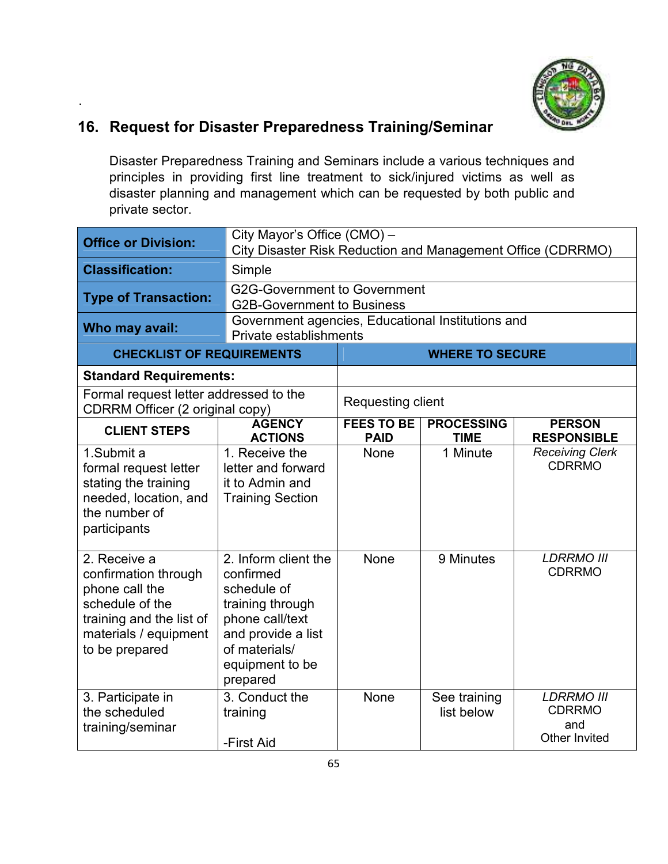

#### **16. Request for Disaster Preparedness Training/Seminar**

.

Disaster Preparedness Training and Seminars include a various techniques and principles in providing first line treatment to sick/injured victims as well as disaster planning and management which can be requested by both public and private sector.

| <b>Office or Division:</b>                                                                                                                       | City Mayor's Office (CMO) -<br>City Disaster Risk Reduction and Management Office (CDRRMO)                                                                    |                                                                             |                                  |                                                            |  |
|--------------------------------------------------------------------------------------------------------------------------------------------------|---------------------------------------------------------------------------------------------------------------------------------------------------------------|-----------------------------------------------------------------------------|----------------------------------|------------------------------------------------------------|--|
| <b>Classification:</b>                                                                                                                           | Simple                                                                                                                                                        |                                                                             |                                  |                                                            |  |
| <b>Type of Transaction:</b>                                                                                                                      |                                                                                                                                                               | <b>G2G-Government to Government</b><br><b>G2B-Government to Business</b>    |                                  |                                                            |  |
| Who may avail:                                                                                                                                   |                                                                                                                                                               | Government agencies, Educational Institutions and<br>Private establishments |                                  |                                                            |  |
| <b>CHECKLIST OF REQUIREMENTS</b>                                                                                                                 |                                                                                                                                                               |                                                                             | <b>WHERE TO SECURE</b>           |                                                            |  |
| <b>Standard Requirements:</b>                                                                                                                    |                                                                                                                                                               |                                                                             |                                  |                                                            |  |
| Formal request letter addressed to the<br><b>CDRRM Officer (2 original copy)</b>                                                                 |                                                                                                                                                               | Requesting client                                                           |                                  |                                                            |  |
| <b>CLIENT STEPS</b>                                                                                                                              | <b>AGENCY</b><br><b>ACTIONS</b>                                                                                                                               | <b>FEES TO BE</b><br><b>PAID</b>                                            | <b>PROCESSING</b><br><b>TIME</b> | <b>PERSON</b><br><b>RESPONSIBLE</b>                        |  |
| 1.Submit a<br>formal request letter<br>stating the training<br>needed, location, and<br>the number of<br>participants                            | 1. Receive the<br>letter and forward<br>it to Admin and<br><b>Training Section</b>                                                                            | None                                                                        | 1 Minute                         | <b>Receiving Clerk</b><br><b>CDRRMO</b>                    |  |
| 2. Receive a<br>confirmation through<br>phone call the<br>schedule of the<br>training and the list of<br>materials / equipment<br>to be prepared | 2. Inform client the<br>confirmed<br>schedule of<br>training through<br>phone call/text<br>and provide a list<br>of materials/<br>equipment to be<br>prepared | <b>None</b>                                                                 | 9 Minutes                        | <b>LDRRMO III</b><br><b>CDRRMO</b>                         |  |
| 3. Participate in<br>the scheduled<br>training/seminar                                                                                           | 3. Conduct the<br>training<br>-First Aid                                                                                                                      | None                                                                        | See training<br>list below       | <b>LDRRMO III</b><br><b>CDRRMO</b><br>and<br>Other Invited |  |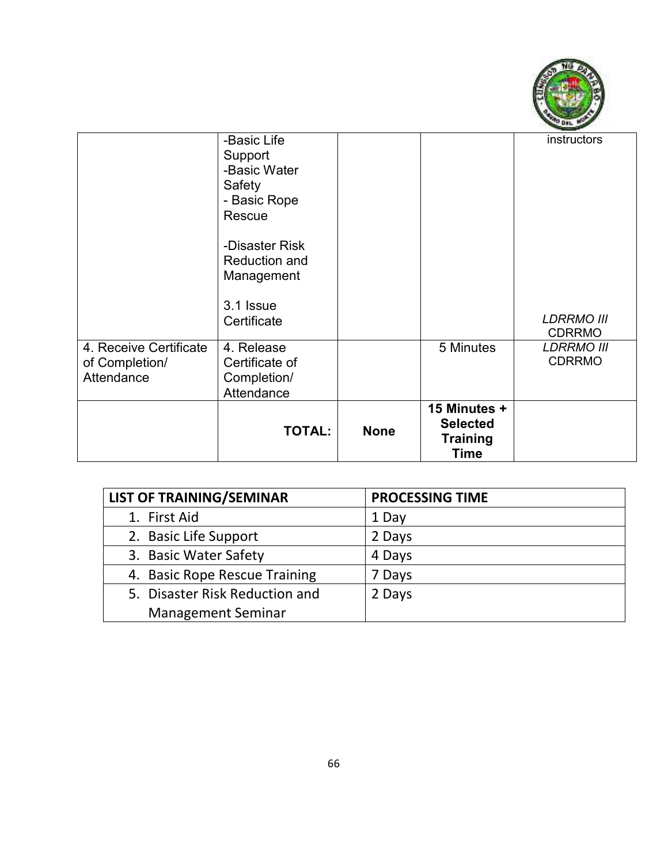

|                        | -Basic Life               |             |                 | instructors       |
|------------------------|---------------------------|-------------|-----------------|-------------------|
|                        | Support<br>-Basic Water   |             |                 |                   |
|                        | Safety                    |             |                 |                   |
|                        | - Basic Rope              |             |                 |                   |
|                        | Rescue                    |             |                 |                   |
|                        | -Disaster Risk            |             |                 |                   |
|                        | <b>Reduction and</b>      |             |                 |                   |
|                        | Management                |             |                 |                   |
|                        | 3.1 Issue                 |             |                 |                   |
|                        | Certificate               |             |                 | <b>LDRRMO III</b> |
|                        |                           |             |                 | <b>CDRRMO</b>     |
| 4. Receive Certificate | 4. Release                |             | 5 Minutes       | <b>LDRRMO III</b> |
| of Completion/         | Certificate of            |             |                 | <b>CDRRMO</b>     |
| Attendance             | Completion/<br>Attendance |             |                 |                   |
|                        |                           |             | 15 Minutes +    |                   |
|                        |                           |             | <b>Selected</b> |                   |
|                        | <b>TOTAL:</b>             | <b>None</b> | <b>Training</b> |                   |
|                        |                           |             | <b>Time</b>     |                   |

| <b>LIST OF TRAINING/SEMINAR</b> | <b>PROCESSING TIME</b> |
|---------------------------------|------------------------|
| 1. First Aid                    | 1 Day                  |
| 2. Basic Life Support           | 2 Days                 |
| 3. Basic Water Safety           | 4 Days                 |
| 4. Basic Rope Rescue Training   | 7 Days                 |
| 5. Disaster Risk Reduction and  | 2 Days                 |
| <b>Management Seminar</b>       |                        |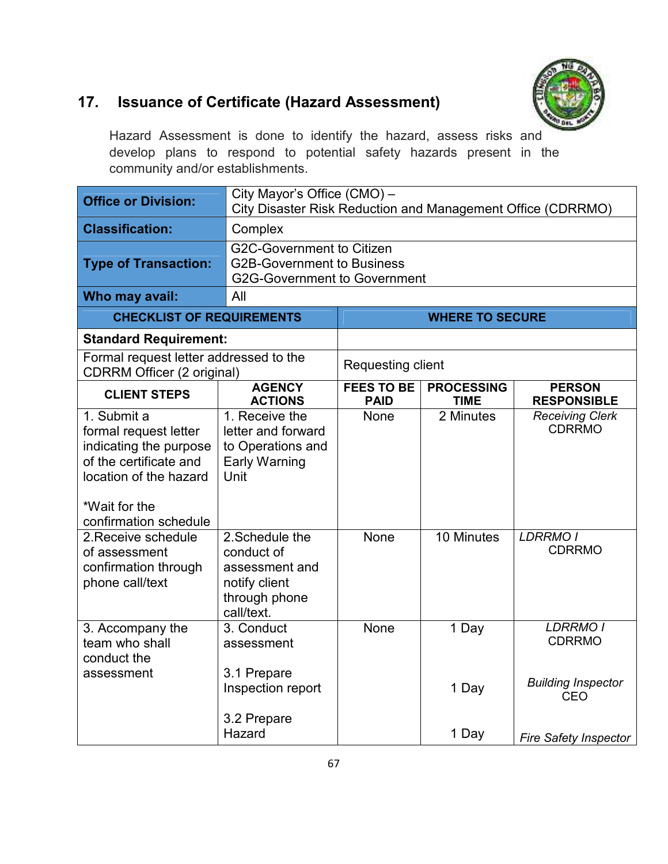

## **17. Issuance of Certificate (Hazard Assessment)**

Hazard Assessment is done to identify the hazard, assess risks and develop plans to respond to potential safety hazards present in the community and/or establishments.

| <b>Office or Division:</b>                                                                                                                                   | City Mayor's Office (CMO) -<br>City Disaster Risk Reduction and Management Office (CDRRMO)                   |                                  |                                  |                                         |
|--------------------------------------------------------------------------------------------------------------------------------------------------------------|--------------------------------------------------------------------------------------------------------------|----------------------------------|----------------------------------|-----------------------------------------|
| <b>Classification:</b>                                                                                                                                       | Complex                                                                                                      |                                  |                                  |                                         |
| <b>Type of Transaction:</b>                                                                                                                                  | <b>G2C-Government to Citizen</b><br><b>G2B-Government to Business</b><br><b>G2G-Government to Government</b> |                                  |                                  |                                         |
| Who may avail:                                                                                                                                               | All                                                                                                          |                                  |                                  |                                         |
| <b>CHECKLIST OF REQUIREMENTS</b>                                                                                                                             |                                                                                                              |                                  | <b>WHERE TO SECURE</b>           |                                         |
| <b>Standard Requirement:</b>                                                                                                                                 |                                                                                                              |                                  |                                  |                                         |
| Formal request letter addressed to the<br><b>CDRRM Officer (2 original)</b>                                                                                  |                                                                                                              | Requesting client                |                                  |                                         |
| <b>CLIENT STEPS</b>                                                                                                                                          | <b>AGENCY</b><br><b>ACTIONS</b>                                                                              | <b>FEES TO BE</b><br><b>PAID</b> | <b>PROCESSING</b><br><b>TIME</b> | <b>PERSON</b><br><b>RESPONSIBLE</b>     |
| 1. Submit a<br>formal request letter<br>indicating the purpose<br>of the certificate and<br>location of the hazard<br>*Wait for the<br>confirmation schedule | 1. Receive the<br>letter and forward<br>to Operations and<br><b>Early Warning</b><br>Unit                    | None                             | 2 Minutes                        | <b>Receiving Clerk</b><br><b>CDRRMO</b> |
| 2. Receive schedule<br>of assessment<br>confirmation through<br>phone call/text                                                                              | 2. Schedule the<br>conduct of<br>assessment and<br>notify client<br>through phone<br>call/text.              | None                             | 10 Minutes                       | <b>LDRRMO I</b><br><b>CDRRMO</b>        |
| 3. Accompany the<br>team who shall<br>conduct the                                                                                                            | 3. Conduct<br>assessment                                                                                     | None                             | 1 Day                            | <b>LDRRMO I</b><br><b>CDRRMO</b>        |
| assessment                                                                                                                                                   | 3.1 Prepare<br>Inspection report                                                                             |                                  | 1 Day                            | <b>Building Inspector</b><br>CEO        |
|                                                                                                                                                              | 3.2 Prepare<br>Hazard                                                                                        |                                  | 1 Day                            | <b>Fire Safety Inspector</b>            |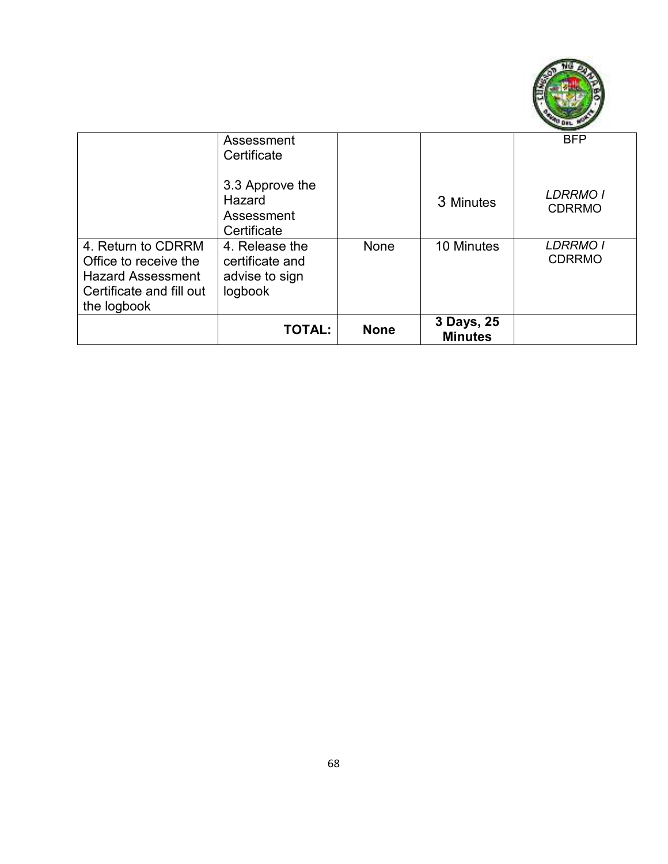

|                                                                                                                    | Assessment<br>Certificate                                      |             |                              | <b>BFP</b>                       |
|--------------------------------------------------------------------------------------------------------------------|----------------------------------------------------------------|-------------|------------------------------|----------------------------------|
|                                                                                                                    | 3.3 Approve the<br>Hazard<br>Assessment<br>Certificate         |             | 3 Minutes                    | <b>LDRRMO I</b><br><b>CDRRMO</b> |
| 4. Return to CDRRM<br>Office to receive the<br><b>Hazard Assessment</b><br>Certificate and fill out<br>the logbook | 4. Release the<br>certificate and<br>advise to sign<br>logbook | None        | 10 Minutes                   | <b>LDRRMO I</b><br><b>CDRRMO</b> |
|                                                                                                                    | <b>TOTAL:</b>                                                  | <b>None</b> | 3 Days, 25<br><b>Minutes</b> |                                  |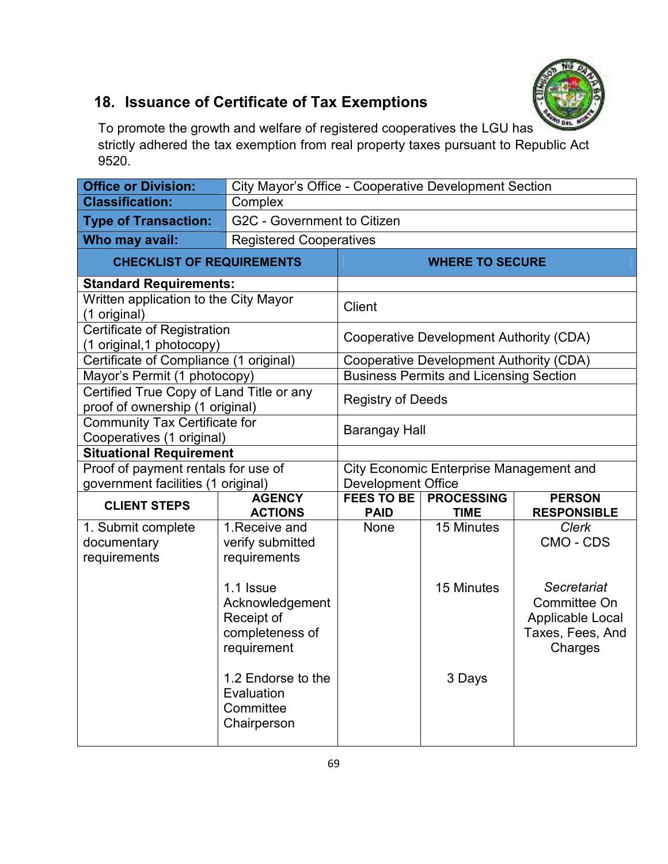

## **18. Issuance of Certificate of Tax Exemptions**

To promote the growth and welfare of registered cooperatives the LGU has strictly adhered the tax exemption from real property taxes pursuant to Republic Act 9520.

| <b>Office or Division:</b>                                                  |                                                                              | City Mayor's Office - Cooperative Development Section |                                                |                                                                                |  |
|-----------------------------------------------------------------------------|------------------------------------------------------------------------------|-------------------------------------------------------|------------------------------------------------|--------------------------------------------------------------------------------|--|
| <b>Classification:</b>                                                      | Complex                                                                      |                                                       |                                                |                                                                                |  |
| <b>Type of Transaction:</b>                                                 | G2C - Government to Citizen                                                  |                                                       |                                                |                                                                                |  |
| Who may avail:                                                              | <b>Registered Cooperatives</b>                                               |                                                       |                                                |                                                                                |  |
| <b>CHECKLIST OF REQUIREMENTS</b>                                            |                                                                              |                                                       | <b>WHERE TO SECURE</b>                         |                                                                                |  |
| <b>Standard Requirements:</b>                                               |                                                                              |                                                       |                                                |                                                                                |  |
| Written application to the City Mayor<br>(1 original)                       |                                                                              | <b>Client</b>                                         |                                                |                                                                                |  |
| Certificate of Registration<br>(1 original, 1 photocopy)                    |                                                                              |                                                       | Cooperative Development Authority (CDA)        |                                                                                |  |
| Certificate of Compliance (1 original)                                      |                                                                              |                                                       | <b>Cooperative Development Authority (CDA)</b> |                                                                                |  |
| Mayor's Permit (1 photocopy)                                                |                                                                              |                                                       | <b>Business Permits and Licensing Section</b>  |                                                                                |  |
| Certified True Copy of Land Title or any<br>proof of ownership (1 original) |                                                                              | <b>Registry of Deeds</b>                              |                                                |                                                                                |  |
| <b>Community Tax Certificate for</b><br>Cooperatives (1 original)           |                                                                              | <b>Barangay Hall</b>                                  |                                                |                                                                                |  |
| <b>Situational Requirement</b>                                              |                                                                              |                                                       |                                                |                                                                                |  |
| Proof of payment rentals for use of                                         |                                                                              |                                                       | <b>City Economic Enterprise Management and</b> |                                                                                |  |
| government facilities (1 original)                                          |                                                                              | Development Office                                    |                                                |                                                                                |  |
| <b>CLIENT STEPS</b>                                                         | <b>AGENCY</b><br><b>ACTIONS</b>                                              | <b>FEES TO BE</b><br><b>PAID</b>                      | <b>PROCESSING</b><br><b>TIME</b>               | <b>PERSON</b><br><b>RESPONSIBLE</b>                                            |  |
| 1. Submit complete                                                          | 1. Receive and                                                               | <b>None</b>                                           | 15 Minutes                                     | <b>Clerk</b>                                                                   |  |
| documentary                                                                 | verify submitted                                                             |                                                       |                                                | CMO - CDS                                                                      |  |
| requirements                                                                | requirements                                                                 |                                                       |                                                |                                                                                |  |
|                                                                             | 1.1 Issue<br>Acknowledgement<br>Receipt of<br>completeness of<br>requirement |                                                       | 15 Minutes                                     | Secretariat<br>Committee On<br>Applicable Local<br>Taxes, Fees, And<br>Charges |  |
|                                                                             | 1.2 Endorse to the<br>Evaluation<br>Committee<br>Chairperson                 |                                                       | 3 Days                                         |                                                                                |  |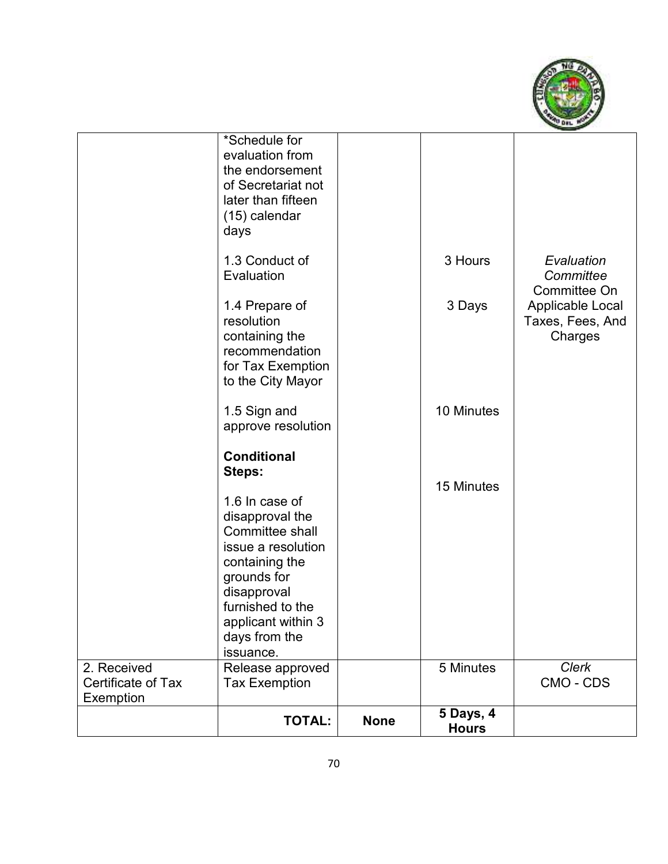

|                                                | *Schedule for<br>evaluation from<br>the endorsement<br>of Secretariat not<br>later than fifteen<br>(15) calendar<br>days                                                                                                           |             |                                  |                                                 |
|------------------------------------------------|------------------------------------------------------------------------------------------------------------------------------------------------------------------------------------------------------------------------------------|-------------|----------------------------------|-------------------------------------------------|
|                                                | 1.3 Conduct of<br>Evaluation                                                                                                                                                                                                       |             | 3 Hours                          | Evaluation<br>Committee<br>Committee On         |
|                                                | 1.4 Prepare of<br>resolution<br>containing the<br>recommendation<br>for Tax Exemption<br>to the City Mayor                                                                                                                         |             | 3 Days                           | Applicable Local<br>Taxes, Fees, And<br>Charges |
|                                                | 1.5 Sign and<br>approve resolution                                                                                                                                                                                                 |             | 10 Minutes                       |                                                 |
|                                                | <b>Conditional</b><br>Steps:<br>1.6 In case of<br>disapproval the<br>Committee shall<br>issue a resolution<br>containing the<br>grounds for<br>disapproval<br>furnished to the<br>applicant within 3<br>days from the<br>issuance. |             | 15 Minutes                       |                                                 |
| 2. Received<br>Certificate of Tax<br>Exemption | Release approved<br><b>Tax Exemption</b>                                                                                                                                                                                           |             | 5 Minutes                        | <b>Clerk</b><br>CMO - CDS                       |
|                                                | <b>TOTAL:</b>                                                                                                                                                                                                                      | <b>None</b> | <b>5 Days, 4</b><br><b>Hours</b> |                                                 |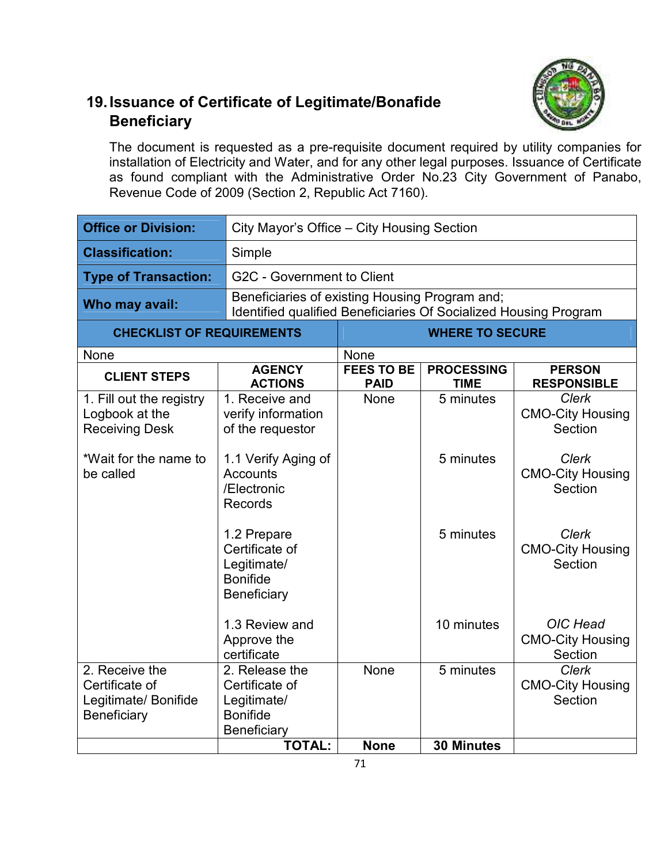#### **19. Issuance of Certificate of Legitimate/Bonafide Beneficiary**

The document is requested as a pre-requisite document required by utility companies for installation of Electricity and Water, and for any other legal purposes. Issuance of Certificate as found compliant with the Administrative Order No.23 City Government of Panabo, Revenue Code of 2009 (Section 2, Republic Act 7160).

| <b>Office or Division:</b>                                              |                                                                                   | City Mayor's Office - City Housing Section                                                                         |                                  |                                                    |  |
|-------------------------------------------------------------------------|-----------------------------------------------------------------------------------|--------------------------------------------------------------------------------------------------------------------|----------------------------------|----------------------------------------------------|--|
| <b>Classification:</b>                                                  | Simple                                                                            |                                                                                                                    |                                  |                                                    |  |
| <b>Type of Transaction:</b>                                             |                                                                                   | G2C - Government to Client                                                                                         |                                  |                                                    |  |
| Who may avail:                                                          |                                                                                   | Beneficiaries of existing Housing Program and;<br>Identified qualified Beneficiaries Of Socialized Housing Program |                                  |                                                    |  |
| <b>CHECKLIST OF REQUIREMENTS</b>                                        |                                                                                   |                                                                                                                    | <b>WHERE TO SECURE</b>           |                                                    |  |
| None                                                                    |                                                                                   | None                                                                                                               |                                  |                                                    |  |
| <b>CLIENT STEPS</b>                                                     | <b>AGENCY</b><br><b>ACTIONS</b>                                                   | <b>FEES TO BE</b><br><b>PAID</b>                                                                                   | <b>PROCESSING</b><br><b>TIME</b> | <b>PERSON</b><br><b>RESPONSIBLE</b>                |  |
| 1. Fill out the registry<br>Logbook at the<br><b>Receiving Desk</b>     | 1. Receive and<br>verify information<br>of the requestor                          | <b>None</b>                                                                                                        | 5 minutes                        | <b>Clerk</b><br><b>CMO-City Housing</b><br>Section |  |
| *Wait for the name to<br>be called                                      | 1.1 Verify Aging of<br>Accounts<br>/Electronic<br><b>Records</b>                  |                                                                                                                    | 5 minutes                        | <b>Clerk</b><br><b>CMO-City Housing</b><br>Section |  |
|                                                                         | 1.2 Prepare<br>Certificate of<br>Legitimate/<br><b>Bonifide</b><br>Beneficiary    |                                                                                                                    | 5 minutes                        | Clerk<br><b>CMO-City Housing</b><br>Section        |  |
|                                                                         | 1.3 Review and<br>Approve the<br>certificate                                      |                                                                                                                    | 10 minutes                       | OIC Head<br><b>CMO-City Housing</b><br>Section     |  |
| 2. Receive the<br>Certificate of<br>Legitimate/ Bonifide<br>Beneficiary | 2. Release the<br>Certificate of<br>Legitimate/<br><b>Bonifide</b><br>Beneficiary | None                                                                                                               | 5 minutes                        | <b>Clerk</b><br><b>CMO-City Housing</b><br>Section |  |
|                                                                         | <b>TOTAL:</b>                                                                     | <b>None</b>                                                                                                        | <b>30 Minutes</b>                |                                                    |  |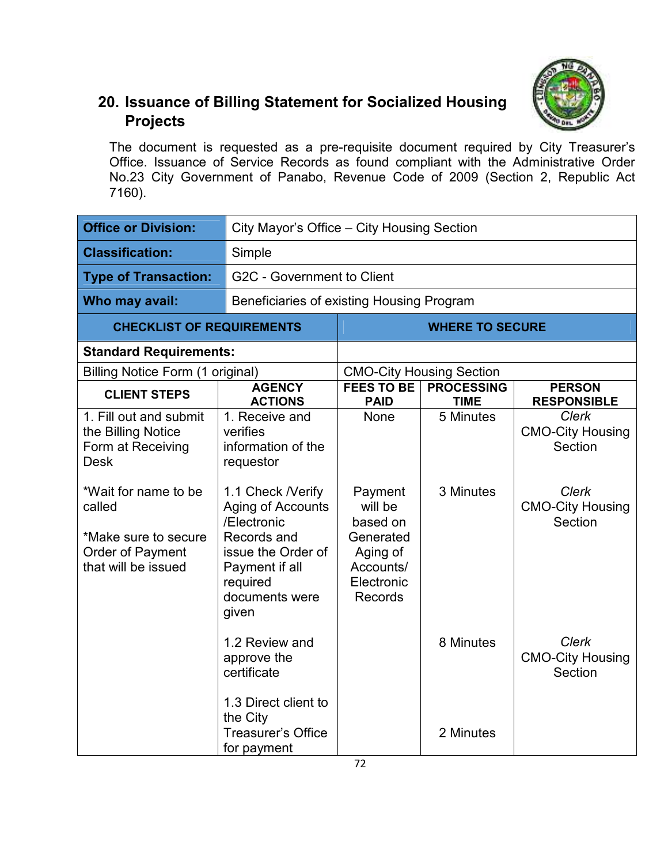

## **20. Issuance of Billing Statement for Socialized Housing Projects**

The document is requested as a pre-requisite document required by City Treasurer's Office. Issuance of Service Records as found compliant with the Administrative Order No.23 City Government of Panabo, Revenue Code of 2009 (Section 2, Republic Act 7160).

| <b>Office or Division:</b>                                                                                                                                                            |                                                                                                                                                                                                                              | City Mayor's Office – City Housing Section                                                                   |                                  |                                                                                                          |  |
|---------------------------------------------------------------------------------------------------------------------------------------------------------------------------------------|------------------------------------------------------------------------------------------------------------------------------------------------------------------------------------------------------------------------------|--------------------------------------------------------------------------------------------------------------|----------------------------------|----------------------------------------------------------------------------------------------------------|--|
| <b>Classification:</b>                                                                                                                                                                | Simple                                                                                                                                                                                                                       |                                                                                                              |                                  |                                                                                                          |  |
| <b>Type of Transaction:</b>                                                                                                                                                           |                                                                                                                                                                                                                              | G2C - Government to Client                                                                                   |                                  |                                                                                                          |  |
| Who may avail:                                                                                                                                                                        | Beneficiaries of existing Housing Program                                                                                                                                                                                    |                                                                                                              |                                  |                                                                                                          |  |
| <b>CHECKLIST OF REQUIREMENTS</b>                                                                                                                                                      |                                                                                                                                                                                                                              |                                                                                                              | <b>WHERE TO SECURE</b>           |                                                                                                          |  |
| <b>Standard Requirements:</b>                                                                                                                                                         |                                                                                                                                                                                                                              |                                                                                                              |                                  |                                                                                                          |  |
| Billing Notice Form (1 original)                                                                                                                                                      |                                                                                                                                                                                                                              |                                                                                                              | <b>CMO-City Housing Section</b>  |                                                                                                          |  |
| <b>CLIENT STEPS</b>                                                                                                                                                                   | <b>AGENCY</b><br><b>ACTIONS</b>                                                                                                                                                                                              | <b>FEES TO BE</b><br><b>PAID</b>                                                                             | <b>PROCESSING</b><br><b>TIME</b> | <b>PERSON</b><br><b>RESPONSIBLE</b>                                                                      |  |
| 1. Fill out and submit<br>the Billing Notice<br>Form at Receiving<br><b>Desk</b><br>*Wait for name to be<br>called<br>*Make sure to secure<br>Order of Payment<br>that will be issued | 1. Receive and<br>verifies<br>information of the<br>requestor<br>1.1 Check / Verify<br><b>Aging of Accounts</b><br>/Electronic<br>Records and<br>issue the Order of<br>Payment if all<br>required<br>documents were<br>given | None<br>Payment<br>will be<br>based on<br>Generated<br>Aging of<br>Accounts/<br>Electronic<br><b>Records</b> | 5 Minutes<br>3 Minutes           | <b>Clerk</b><br><b>CMO-City Housing</b><br>Section<br><b>Clerk</b><br><b>CMO-City Housing</b><br>Section |  |
|                                                                                                                                                                                       | 1.2 Review and<br>approve the<br>certificate<br>1.3 Direct client to<br>the City<br><b>Treasurer's Office</b><br>for payment                                                                                                 |                                                                                                              | 8 Minutes<br>2 Minutes           | <b>Clerk</b><br><b>CMO-City Housing</b><br>Section                                                       |  |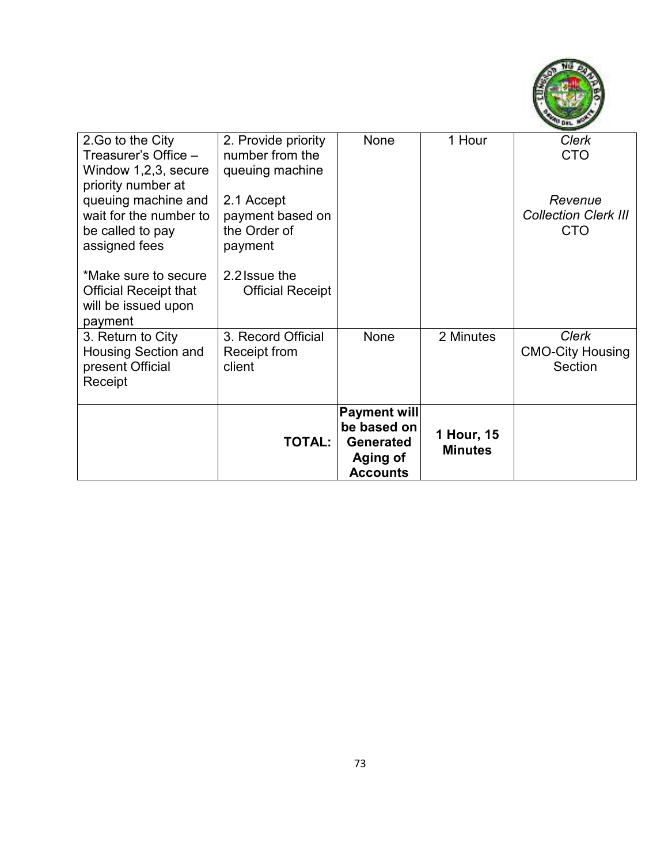

|                                                                                                                                  | <b>TOTAL:</b>                                                                | <b>Payment will</b><br>be based on<br><b>Generated</b><br>Aging of<br><b>Accounts</b> | 1 Hour, 15<br><b>Minutes</b> |                                                      |
|----------------------------------------------------------------------------------------------------------------------------------|------------------------------------------------------------------------------|---------------------------------------------------------------------------------------|------------------------------|------------------------------------------------------|
| 3. Return to City<br><b>Housing Section and</b><br>present Official<br>Receipt                                                   | 3. Record Official<br>Receipt from<br>client                                 | None                                                                                  | 2 Minutes                    | <b>Clerk</b><br><b>CMO-City Housing</b><br>Section   |
| *Make sure to secure<br><b>Official Receipt that</b><br>will be issued upon<br>payment                                           | 2.2 Issue the<br><b>Official Receipt</b>                                     |                                                                                       |                              |                                                      |
| Window 1,2,3, secure<br>priority number at<br>queuing machine and<br>wait for the number to<br>be called to pay<br>assigned fees | queuing machine<br>2.1 Accept<br>payment based on<br>the Order of<br>payment |                                                                                       |                              | Revenue<br><b>Collection Clerk III</b><br><b>CTO</b> |
| 2. Go to the City<br>Treasurer's Office –                                                                                        | 2. Provide priority<br>number from the                                       | None                                                                                  | 1 Hour                       | <b>Clerk</b><br><b>CTO</b>                           |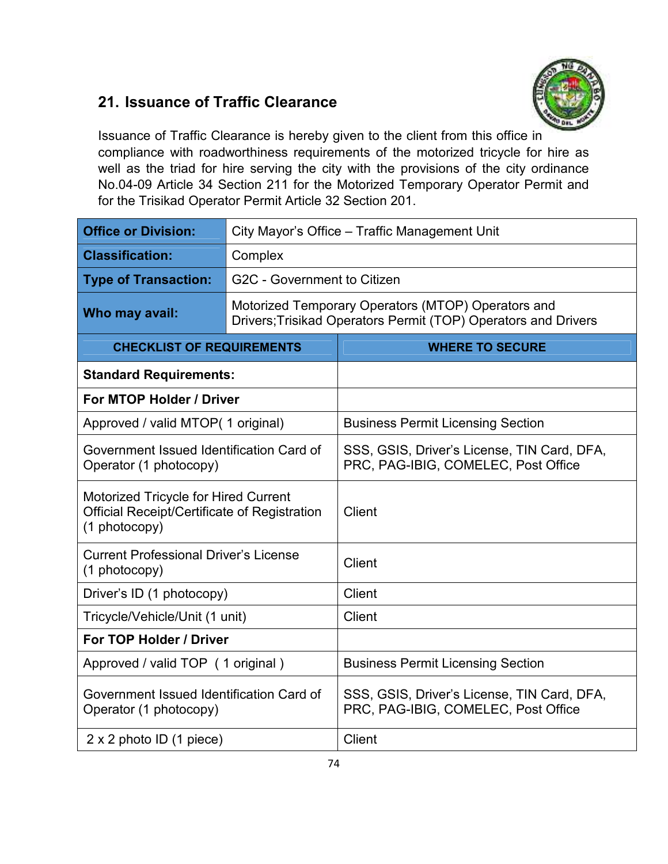#### **21. Issuance of Traffic Clearance**



Issuance of Traffic Clearance is hereby given to the client from this office in compliance with roadworthiness requirements of the motorized tricycle for hire as well as the triad for hire serving the city with the provisions of the city ordinance No.04-09 Article 34 Section 211 for the Motorized Temporary Operator Permit and for the Trisikad Operator Permit Article 32 Section 201.

| <b>Office or Division:</b>                                                                                   | City Mayor's Office - Traffic Management Unit |                                                                                                                      |  |  |  |
|--------------------------------------------------------------------------------------------------------------|-----------------------------------------------|----------------------------------------------------------------------------------------------------------------------|--|--|--|
| <b>Classification:</b>                                                                                       | Complex                                       |                                                                                                                      |  |  |  |
| <b>Type of Transaction:</b>                                                                                  | G2C - Government to Citizen                   |                                                                                                                      |  |  |  |
| Who may avail:                                                                                               |                                               | Motorized Temporary Operators (MTOP) Operators and<br>Drivers; Trisikad Operators Permit (TOP) Operators and Drivers |  |  |  |
| <b>CHECKLIST OF REQUIREMENTS</b>                                                                             |                                               | <b>WHERE TO SECURE</b>                                                                                               |  |  |  |
| <b>Standard Requirements:</b>                                                                                |                                               |                                                                                                                      |  |  |  |
| For MTOP Holder / Driver                                                                                     |                                               |                                                                                                                      |  |  |  |
| Approved / valid MTOP(1 original)                                                                            |                                               | <b>Business Permit Licensing Section</b>                                                                             |  |  |  |
| Government Issued Identification Card of<br>Operator (1 photocopy)                                           |                                               | SSS, GSIS, Driver's License, TIN Card, DFA,<br>PRC, PAG-IBIG, COMELEC, Post Office                                   |  |  |  |
| <b>Motorized Tricycle for Hired Current</b><br>Official Receipt/Certificate of Registration<br>(1 photocopy) |                                               | <b>Client</b>                                                                                                        |  |  |  |
| <b>Current Professional Driver's License</b><br>(1 photocopy)                                                |                                               | Client                                                                                                               |  |  |  |
| Driver's ID (1 photocopy)                                                                                    |                                               | <b>Client</b>                                                                                                        |  |  |  |
| Tricycle/Vehicle/Unit (1 unit)                                                                               |                                               | <b>Client</b>                                                                                                        |  |  |  |
| For TOP Holder / Driver                                                                                      |                                               |                                                                                                                      |  |  |  |
| Approved / valid TOP (1 original)                                                                            |                                               | <b>Business Permit Licensing Section</b>                                                                             |  |  |  |
| Government Issued Identification Card of<br>Operator (1 photocopy)                                           |                                               | SSS, GSIS, Driver's License, TIN Card, DFA,<br>PRC, PAG-IBIG, COMELEC, Post Office                                   |  |  |  |
| $2 \times 2$ photo ID (1 piece)                                                                              |                                               | <b>Client</b>                                                                                                        |  |  |  |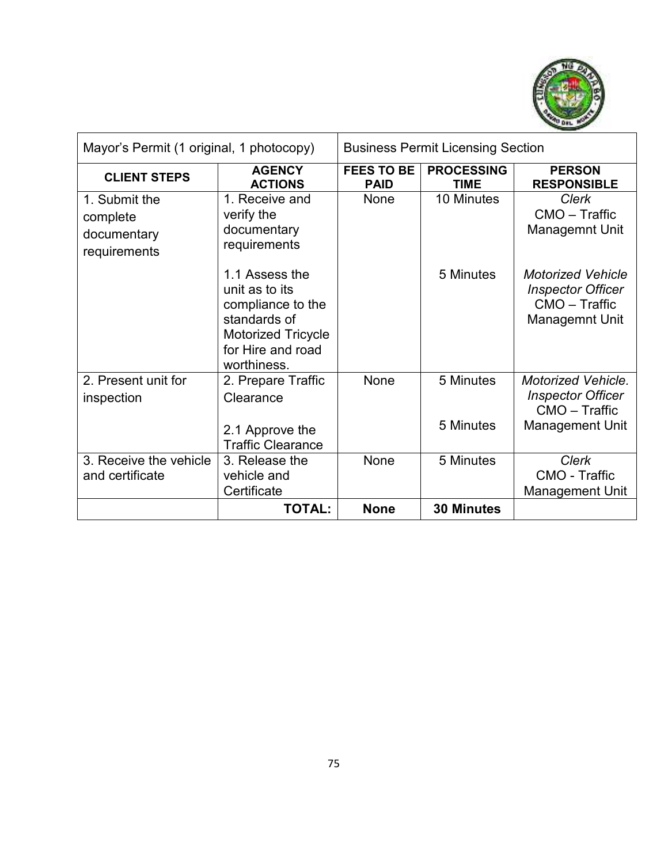

| Mayor's Permit (1 original, 1 photocopy)                 |                                                                                                                                        | <b>Business Permit Licensing Section</b> |                                  |                                                                                                |
|----------------------------------------------------------|----------------------------------------------------------------------------------------------------------------------------------------|------------------------------------------|----------------------------------|------------------------------------------------------------------------------------------------|
| <b>CLIENT STEPS</b>                                      | <b>AGENCY</b><br><b>ACTIONS</b>                                                                                                        | <b>FEES TO BE</b><br><b>PAID</b>         | <b>PROCESSING</b><br><b>TIME</b> | <b>PERSON</b><br><b>RESPONSIBLE</b>                                                            |
| 1. Submit the<br>complete<br>documentary<br>requirements | 1. Receive and<br>verify the<br>documentary<br>requirements                                                                            | None                                     | 10 Minutes                       | <b>Clerk</b><br>CMO - Traffic<br><b>Managemnt Unit</b>                                         |
|                                                          | 1.1 Assess the<br>unit as to its<br>compliance to the<br>standards of<br><b>Motorized Tricycle</b><br>for Hire and road<br>worthiness. |                                          | 5 Minutes                        | <b>Motorized Vehicle</b><br><b>Inspector Officer</b><br>CMO - Traffic<br><b>Managemnt Unit</b> |
| 2. Present unit for<br>inspection                        | 2. Prepare Traffic<br>Clearance                                                                                                        | None                                     | 5 Minutes                        | <b>Motorized Vehicle.</b><br><b>Inspector Officer</b><br>CMO - Traffic                         |
|                                                          | 2.1 Approve the<br><b>Traffic Clearance</b>                                                                                            |                                          | 5 Minutes                        | <b>Management Unit</b>                                                                         |
| 3. Receive the vehicle<br>and certificate                | 3. Release the<br>vehicle and<br>Certificate                                                                                           | None                                     | 5 Minutes                        | <b>Clerk</b><br><b>CMO - Traffic</b><br><b>Management Unit</b>                                 |
|                                                          | <b>TOTAL:</b>                                                                                                                          | <b>None</b>                              | <b>30 Minutes</b>                |                                                                                                |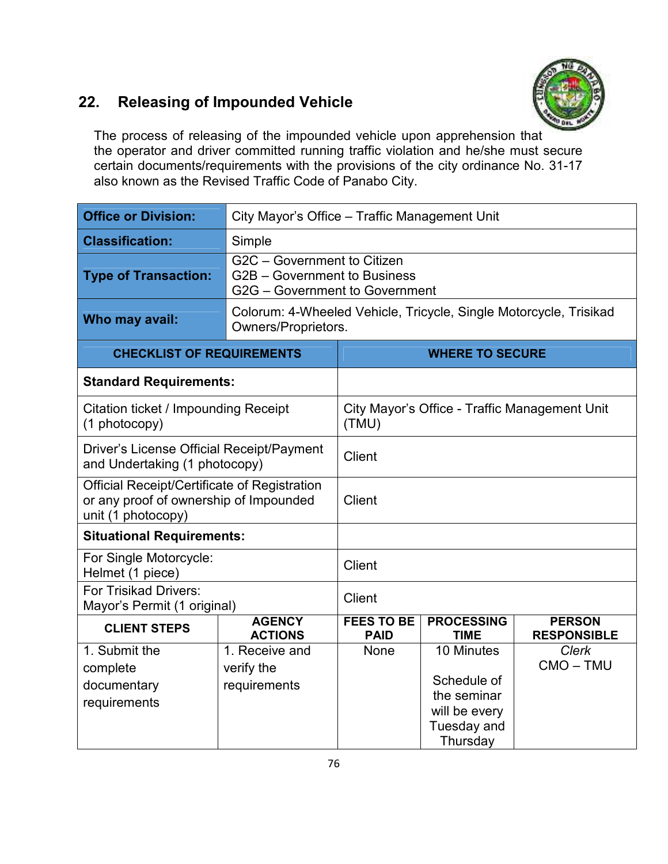#### **22. Releasing of Impounded Vehicle**



The process of releasing of the impounded vehicle upon apprehension that the operator and driver committed running traffic violation and he/she must secure certain documents/requirements with the provisions of the city ordinance No. 31-17 also known as the Revised Traffic Code of Panabo City.

| <b>Office or Division:</b>                                                                                   | City Mayor's Office - Traffic Management Unit                                                 |                                                                                                             |                         |                                               |  |
|--------------------------------------------------------------------------------------------------------------|-----------------------------------------------------------------------------------------------|-------------------------------------------------------------------------------------------------------------|-------------------------|-----------------------------------------------|--|
| <b>Classification:</b>                                                                                       | Simple                                                                                        |                                                                                                             |                         |                                               |  |
| <b>Type of Transaction:</b>                                                                                  | G2C - Government to Citizen<br>G2B - Government to Business<br>G2G - Government to Government |                                                                                                             |                         |                                               |  |
| Who may avail:                                                                                               | Colorum: 4-Wheeled Vehicle, Tricycle, Single Motorcycle, Trisikad<br>Owners/Proprietors.      |                                                                                                             |                         |                                               |  |
| <b>CHECKLIST OF REQUIREMENTS</b>                                                                             |                                                                                               |                                                                                                             | <b>WHERE TO SECURE</b>  |                                               |  |
| <b>Standard Requirements:</b>                                                                                |                                                                                               |                                                                                                             |                         |                                               |  |
| $(1$ photocopy)                                                                                              | Citation ticket / Impounding Receipt                                                          |                                                                                                             |                         | City Mayor's Office - Traffic Management Unit |  |
| Driver's License Official Receipt/Payment<br>and Undertaking (1 photocopy)                                   |                                                                                               | <b>Client</b>                                                                                               |                         |                                               |  |
| Official Receipt/Certificate of Registration<br>or any proof of ownership of Impounded<br>unit (1 photocopy) |                                                                                               | <b>Client</b>                                                                                               |                         |                                               |  |
| <b>Situational Requirements:</b>                                                                             |                                                                                               |                                                                                                             |                         |                                               |  |
| For Single Motorcycle:<br>Helmet (1 piece)                                                                   |                                                                                               | <b>Client</b>                                                                                               |                         |                                               |  |
| <b>For Trisikad Drivers:</b><br>Mayor's Permit (1 original)                                                  |                                                                                               | <b>Client</b>                                                                                               |                         |                                               |  |
| <b>CLIENT STEPS</b>                                                                                          | <b>AGENCY</b><br><b>ACTIONS</b>                                                               | <b>FEES TO BE</b><br><b>PROCESSING</b><br><b>PERSON</b><br><b>PAID</b><br><b>TIME</b><br><b>RESPONSIBLE</b> |                         |                                               |  |
| 1. Submit the                                                                                                | 1. Receive and                                                                                | None                                                                                                        | 10 Minutes              | <b>Clerk</b>                                  |  |
| complete                                                                                                     | verify the                                                                                    |                                                                                                             |                         | CMO-TMU                                       |  |
| documentary                                                                                                  | requirements                                                                                  | Schedule of                                                                                                 |                         |                                               |  |
| requirements                                                                                                 |                                                                                               | the seminar<br>will be every                                                                                |                         |                                               |  |
|                                                                                                              |                                                                                               |                                                                                                             | Tuesday and<br>Thursday |                                               |  |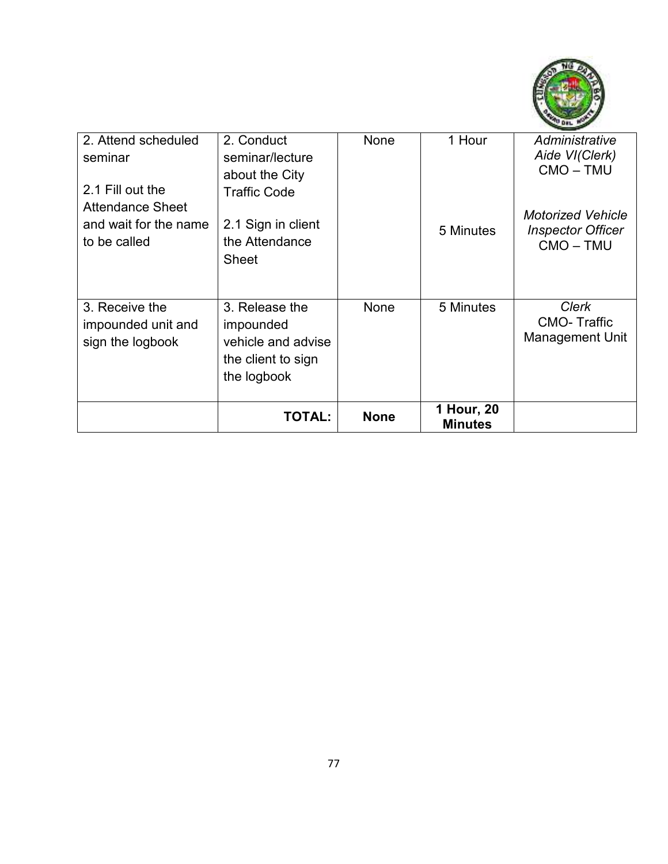

| 2. Attend scheduled<br>seminar<br>2.1 Fill out the<br><b>Attendance Sheet</b><br>and wait for the name | 2. Conduct<br>seminar/lecture<br>about the City<br><b>Traffic Code</b><br>2.1 Sign in client | None        | 1 Hour<br>5 Minutes          | Administrative<br>Aide VI(Clerk)<br>CMO-TMU<br><b>Motorized Vehicle</b><br><b>Inspector Officer</b> |
|--------------------------------------------------------------------------------------------------------|----------------------------------------------------------------------------------------------|-------------|------------------------------|-----------------------------------------------------------------------------------------------------|
| to be called                                                                                           | the Attendance<br><b>Sheet</b>                                                               |             |                              | CMO-TMU                                                                                             |
| 3. Receive the<br>impounded unit and<br>sign the logbook                                               | 3. Release the<br>impounded<br>vehicle and advise<br>the client to sign<br>the logbook       | None        | 5 Minutes                    | <b>Clerk</b><br><b>CMO-Traffic</b><br><b>Management Unit</b>                                        |
|                                                                                                        | <b>TOTAL:</b>                                                                                | <b>None</b> | 1 Hour, 20<br><b>Minutes</b> |                                                                                                     |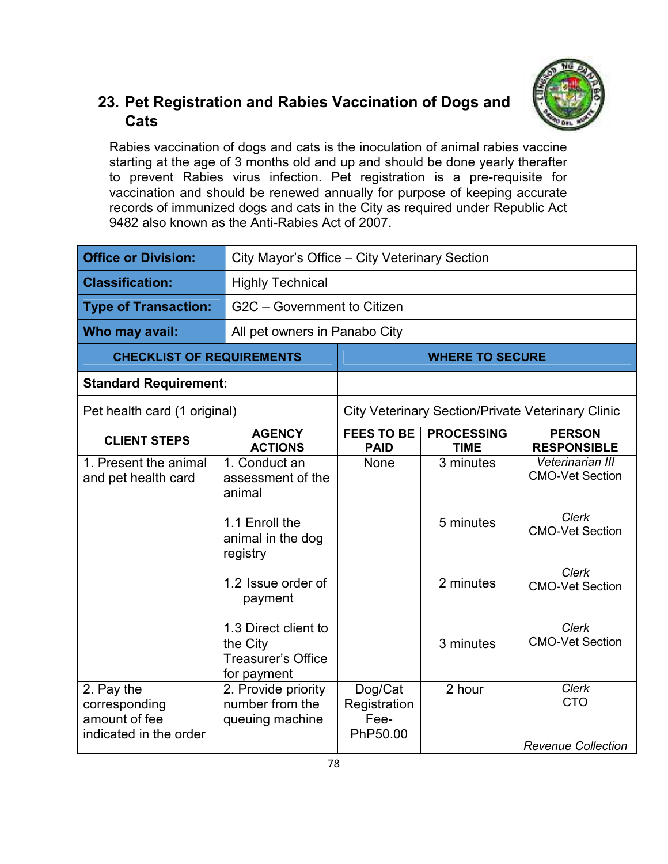

#### **23. Pet Registration and Rabies Vaccination of Dogs and Cats**

Rabies vaccination of dogs and cats is the inoculation of animal rabies vaccine starting at the age of 3 months old and up and should be done yearly therafter to prevent Rabies virus infection. Pet registration is a pre-requisite for vaccination and should be renewed annually for purpose of keeping accurate records of immunized dogs and cats in the City as required under Republic Act 9482 also known as the Anti-Rabies Act of 2007.

| <b>Office or Division:</b>                                             | City Mayor's Office - City Veterinary Section                                |                                             |                                  |                                                          |
|------------------------------------------------------------------------|------------------------------------------------------------------------------|---------------------------------------------|----------------------------------|----------------------------------------------------------|
| <b>Classification:</b>                                                 | <b>Highly Technical</b>                                                      |                                             |                                  |                                                          |
| <b>Type of Transaction:</b>                                            | G2C - Government to Citizen                                                  |                                             |                                  |                                                          |
| Who may avail:                                                         | All pet owners in Panabo City                                                |                                             |                                  |                                                          |
| <b>CHECKLIST OF REQUIREMENTS</b>                                       |                                                                              | <b>WHERE TO SECURE</b>                      |                                  |                                                          |
| <b>Standard Requirement:</b>                                           |                                                                              |                                             |                                  |                                                          |
| Pet health card (1 original)                                           |                                                                              |                                             |                                  | <b>City Veterinary Section/Private Veterinary Clinic</b> |
| <b>CLIENT STEPS</b>                                                    | <b>AGENCY</b><br><b>ACTIONS</b>                                              | <b>FEES TO BE</b><br><b>PAID</b>            | <b>PROCESSING</b><br><b>TIME</b> | <b>PERSON</b><br><b>RESPONSIBLE</b>                      |
| 1. Present the animal<br>and pet health card                           | 1. Conduct an<br>assessment of the<br>animal                                 | <b>None</b>                                 | 3 minutes                        | Veterinarian III<br><b>CMO-Vet Section</b>               |
|                                                                        | 1.1 Enroll the<br>animal in the dog<br>registry                              |                                             | 5 minutes                        | <b>Clerk</b><br><b>CMO-Vet Section</b>                   |
|                                                                        | 1.2 Issue order of<br>payment                                                |                                             | 2 minutes                        | <b>Clerk</b><br><b>CMO-Vet Section</b>                   |
|                                                                        | 1.3 Direct client to<br>the City<br><b>Treasurer's Office</b><br>for payment |                                             | 3 minutes                        | Clerk<br><b>CMO-Vet Section</b>                          |
| 2. Pay the<br>corresponding<br>amount of fee<br>indicated in the order | 2. Provide priority<br>number from the<br>queuing machine                    | Dog/Cat<br>Registration<br>Fee-<br>PhP50.00 | 2 hour                           | <b>Clerk</b><br><b>CTO</b><br><b>Revenue Collection</b>  |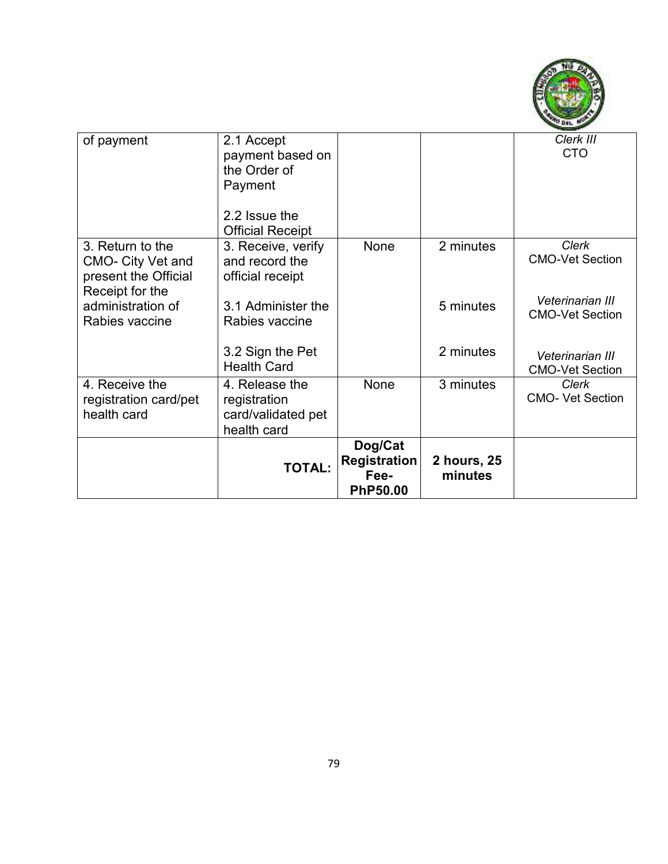

| of payment                                                                              | 2.1 Accept<br>payment based on<br>the Order of<br>Payment           |                                                           |                        | Clerk III<br><b>CTO</b>                    |
|-----------------------------------------------------------------------------------------|---------------------------------------------------------------------|-----------------------------------------------------------|------------------------|--------------------------------------------|
|                                                                                         | 2.2 Issue the<br><b>Official Receipt</b>                            |                                                           |                        |                                            |
| 3. Return to the<br><b>CMO- City Vet and</b><br>present the Official<br>Receipt for the | 3. Receive, verify<br>and record the<br>official receipt            | None                                                      | 2 minutes              | <b>Clerk</b><br><b>CMO-Vet Section</b>     |
| administration of<br>Rabies vaccine                                                     | 3.1 Administer the<br>Rabies vaccine                                |                                                           | 5 minutes              | Veterinarian III<br><b>CMO-Vet Section</b> |
|                                                                                         | 3.2 Sign the Pet<br><b>Health Card</b>                              |                                                           | 2 minutes              | Veterinarian III<br><b>CMO-Vet Section</b> |
| 4. Receive the<br>registration card/pet<br>health card                                  | 4. Release the<br>registration<br>card/validated pet<br>health card | None                                                      | 3 minutes              | <b>Clerk</b><br><b>CMO- Vet Section</b>    |
|                                                                                         | <b>TOTAL:</b>                                                       | Dog/Cat<br><b>Registration</b><br>Fee-<br><b>PhP50.00</b> | 2 hours, 25<br>minutes |                                            |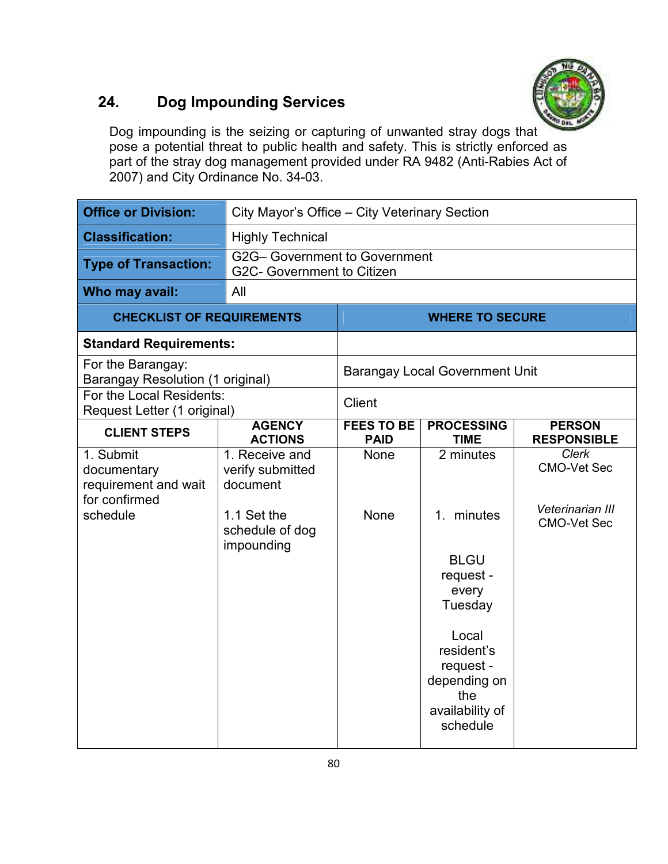

#### **24. Dog Impounding Services**

Dog impounding is the seizing or capturing of unwanted stray dogs that pose a potential threat to public health and safety. This is strictly enforced as part of the stray dog management provided under RA 9482 (Anti-Rabies Act of 2007) and City Ordinance No. 34-03.

| <b>Office or Division:</b>                                                    | City Mayor's Office - City Veterinary Section                                                  |                           |                                                                                                                                                                      |                                                                       |
|-------------------------------------------------------------------------------|------------------------------------------------------------------------------------------------|---------------------------|----------------------------------------------------------------------------------------------------------------------------------------------------------------------|-----------------------------------------------------------------------|
| <b>Classification:</b>                                                        | <b>Highly Technical</b>                                                                        |                           |                                                                                                                                                                      |                                                                       |
| <b>Type of Transaction:</b>                                                   | G2G- Government to Government<br>G2C- Government to Citizen                                    |                           |                                                                                                                                                                      |                                                                       |
| Who may avail:                                                                | All                                                                                            |                           |                                                                                                                                                                      |                                                                       |
| <b>CHECKLIST OF REQUIREMENTS</b>                                              |                                                                                                | <b>WHERE TO SECURE</b>    |                                                                                                                                                                      |                                                                       |
| <b>Standard Requirements:</b>                                                 |                                                                                                |                           |                                                                                                                                                                      |                                                                       |
| For the Barangay:<br><b>Barangay Resolution (1 original)</b>                  |                                                                                                |                           | <b>Barangay Local Government Unit</b>                                                                                                                                |                                                                       |
| For the Local Residents:<br>Request Letter (1 original)                       |                                                                                                | <b>Client</b>             |                                                                                                                                                                      |                                                                       |
| <b>CLIENT STEPS</b>                                                           | <b>AGENCY</b><br><b>ACTIONS</b>                                                                | FEES TO BE<br><b>PAID</b> | <b>PROCESSING</b><br><b>TIME</b>                                                                                                                                     | <b>PERSON</b><br><b>RESPONSIBLE</b>                                   |
| 1. Submit<br>documentary<br>requirement and wait<br>for confirmed<br>schedule | 1. Receive and<br>verify submitted<br>document<br>1.1 Set the<br>schedule of dog<br>impounding | None<br>None              | 2 minutes<br>minutes<br>1.<br><b>BLGU</b><br>request -<br>every<br>Tuesday<br>Local<br>resident's<br>request -<br>depending on<br>the<br>availability of<br>schedule | Clerk<br><b>CMO-Vet Sec</b><br>Veterinarian III<br><b>CMO-Vet Sec</b> |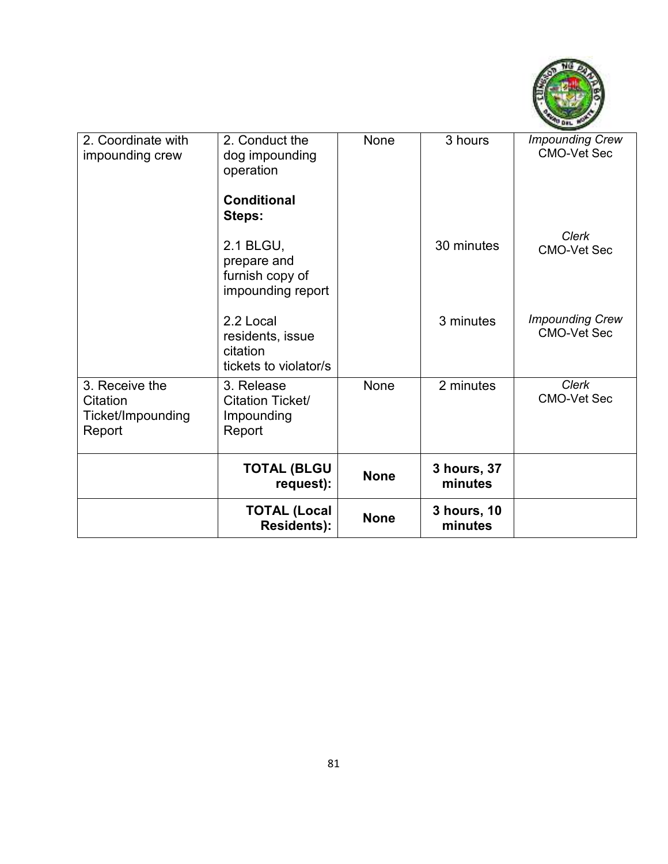

| 2. Coordinate with<br>impounding crew                     | 2. Conduct the<br>dog impounding<br>operation<br><b>Conditional</b><br>Steps: | None        | 3 hours                | <b>Impounding Crew</b><br><b>CMO-Vet Sec</b> |
|-----------------------------------------------------------|-------------------------------------------------------------------------------|-------------|------------------------|----------------------------------------------|
|                                                           | 2.1 BLGU,<br>prepare and<br>furnish copy of<br>impounding report              |             | 30 minutes             | <b>Clerk</b><br><b>CMO-Vet Sec</b>           |
|                                                           | 2.2 Local<br>residents, issue<br>citation<br>tickets to violator/s            |             | 3 minutes              | <b>Impounding Crew</b><br><b>CMO-Vet Sec</b> |
| 3. Receive the<br>Citation<br>Ticket/Impounding<br>Report | 3. Release<br>Citation Ticket/<br>Impounding<br>Report                        | None        | 2 minutes              | <b>Clerk</b><br><b>CMO-Vet Sec</b>           |
|                                                           | <b>TOTAL (BLGU</b><br>request):                                               | <b>None</b> | 3 hours, 37<br>minutes |                                              |
|                                                           | <b>TOTAL (Local</b><br>Residents):                                            | <b>None</b> | 3 hours, 10<br>minutes |                                              |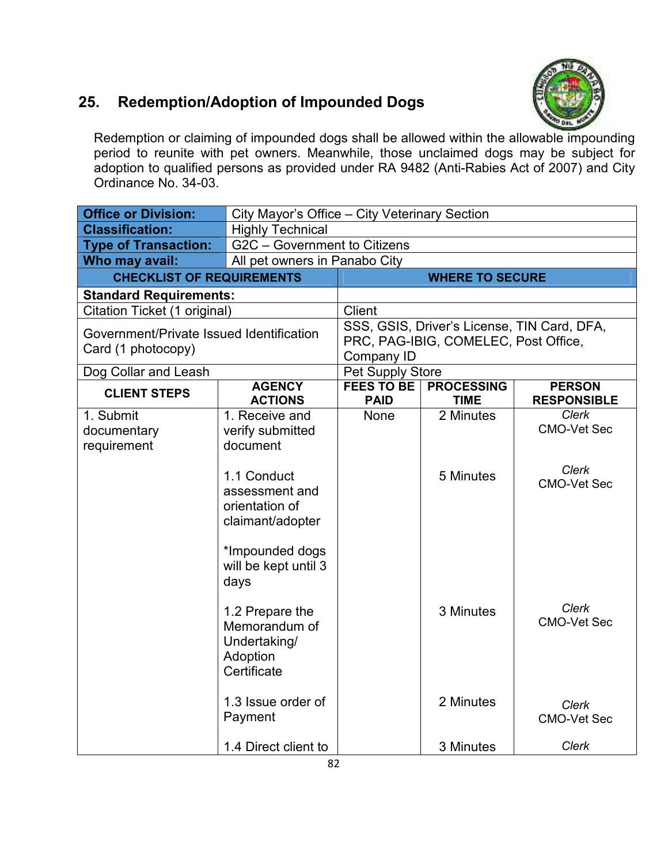#### **25. Redemption/Adoption of Impounded Dogs**



Redemption or claiming of impounded dogs shall be allowed within the allowable impounding period to reunite with pet owners. Meanwhile, those unclaimed dogs may be subject for adoption to qualified persons as provided under RA 9482 (Anti-Rabies Act of 2007) and City Ordinance No. 34-03.

| <b>Office or Division:</b>                                     |                                                                                                                                | City Mayor's Office - City Veterinary Section                                                            |                                  |                                     |  |
|----------------------------------------------------------------|--------------------------------------------------------------------------------------------------------------------------------|----------------------------------------------------------------------------------------------------------|----------------------------------|-------------------------------------|--|
| <b>Classification:</b>                                         | <b>Highly Technical</b>                                                                                                        |                                                                                                          |                                  |                                     |  |
| <b>Type of Transaction:</b>                                    | G2C - Government to Citizens                                                                                                   |                                                                                                          |                                  |                                     |  |
| Who may avail:                                                 |                                                                                                                                | All pet owners in Panabo City                                                                            |                                  |                                     |  |
| <b>CHECKLIST OF REQUIREMENTS</b>                               |                                                                                                                                |                                                                                                          | <b>WHERE TO SECURE</b>           |                                     |  |
| <b>Standard Requirements:</b>                                  |                                                                                                                                |                                                                                                          |                                  |                                     |  |
| Citation Ticket (1 original)                                   |                                                                                                                                | <b>Client</b>                                                                                            |                                  |                                     |  |
| Government/Private Issued Identification<br>Card (1 photocopy) |                                                                                                                                | SSS, GSIS, Driver's License, TIN Card, DFA,<br>PRC, PAG-IBIG, COMELEC, Post Office,<br><b>Company ID</b> |                                  |                                     |  |
| Dog Collar and Leash                                           |                                                                                                                                | Pet Supply Store                                                                                         |                                  |                                     |  |
| <b>CLIENT STEPS</b>                                            | <b>AGENCY</b><br><b>ACTIONS</b>                                                                                                | <b>FEES TO BE</b><br><b>PAID</b>                                                                         | <b>PROCESSING</b><br><b>TIME</b> | <b>PERSON</b><br><b>RESPONSIBLE</b> |  |
| 1. Submit<br>documentary<br>requirement                        | 1. Receive and<br>verify submitted<br>document                                                                                 | None                                                                                                     | 2 Minutes                        | <b>Clerk</b><br><b>CMO-Vet Sec</b>  |  |
|                                                                | 1.1 Conduct<br>assessment and<br>orientation of<br>claimant/adopter                                                            |                                                                                                          | 5 Minutes                        | <b>Clerk</b><br><b>CMO-Vet Sec</b>  |  |
|                                                                | *Impounded dogs<br>will be kept until 3<br>days<br>1.2 Prepare the<br>Memorandum of<br>Undertaking/<br>Adoption<br>Certificate |                                                                                                          | 3 Minutes                        | <b>Clerk</b><br><b>CMO-Vet Sec</b>  |  |
|                                                                | 1.3 Issue order of<br>Payment                                                                                                  |                                                                                                          | 2 Minutes                        | Clerk<br><b>CMO-Vet Sec</b>         |  |
|                                                                | 1.4 Direct client to                                                                                                           |                                                                                                          | 3 Minutes                        | <b>Clerk</b>                        |  |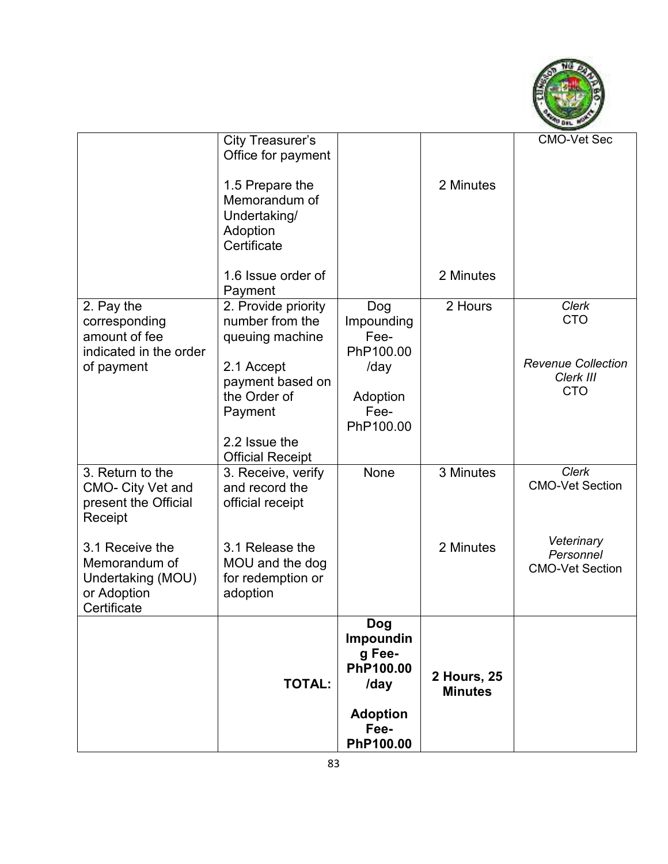

|                                                                                      | <b>City Treasurer's</b><br>Office for payment<br>1.5 Prepare the<br>Memorandum of<br>Undertaking/<br>Adoption<br>Certificate                                       |                                                                                                | 2 Minutes                            | <b>CMO-Vet Sec</b>                                                                 |
|--------------------------------------------------------------------------------------|--------------------------------------------------------------------------------------------------------------------------------------------------------------------|------------------------------------------------------------------------------------------------|--------------------------------------|------------------------------------------------------------------------------------|
|                                                                                      | 1.6 Issue order of<br>Payment                                                                                                                                      |                                                                                                | 2 Minutes                            |                                                                                    |
| 2. Pay the<br>corresponding<br>amount of fee<br>indicated in the order<br>of payment | 2. Provide priority<br>number from the<br>queuing machine<br>2.1 Accept<br>payment based on<br>the Order of<br>Payment<br>2.2 Issue the<br><b>Official Receipt</b> | Dog<br>Impounding<br>Fee-<br>PhP100.00<br>/day<br>Adoption<br>Fee-<br>PhP100.00                | 2 Hours                              | <b>Clerk</b><br><b>CTO</b><br><b>Revenue Collection</b><br>Clerk III<br><b>CTO</b> |
| 3. Return to the<br>CMO- City Vet and<br>present the Official<br>Receipt             | 3. Receive, verify<br>and record the<br>official receipt                                                                                                           | None                                                                                           | 3 Minutes                            | Clerk<br><b>CMO-Vet Section</b>                                                    |
| 3.1 Receive the<br>Memorandum of<br>Undertaking (MOU)<br>or Adoption<br>Certificate  | 3.1 Release the<br>MOU and the dog<br>for redemption or<br>adoption                                                                                                |                                                                                                | 2 Minutes                            | Veterinary<br>Personnel<br><b>CMO-Vet Section</b>                                  |
|                                                                                      | <b>TOTAL:</b>                                                                                                                                                      | <b>Dog</b><br>Impoundin<br>g Fee-<br>PhP100.00<br>/day<br><b>Adoption</b><br>Fee-<br>PhP100.00 | <b>2 Hours, 25</b><br><b>Minutes</b> |                                                                                    |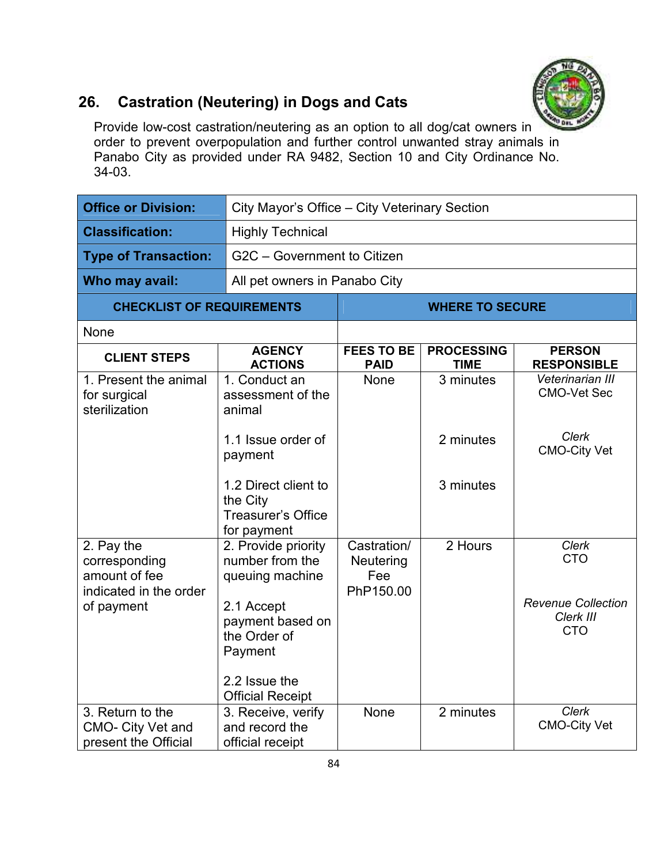

#### **26. Castration (Neutering) in Dogs and Cats**

Provide low-cost castration/neutering as an option to all dog/cat owners in order to prevent overpopulation and further control unwanted stray animals in Panabo City as provided under RA 9482, Section 10 and City Ordinance No. 34-03.

| <b>Office or Division:</b>                                             | City Mayor's Office - City Veterinary Section                              |                                              |                                  |                                                      |  |
|------------------------------------------------------------------------|----------------------------------------------------------------------------|----------------------------------------------|----------------------------------|------------------------------------------------------|--|
| <b>Classification:</b>                                                 | <b>Highly Technical</b>                                                    |                                              |                                  |                                                      |  |
| <b>Type of Transaction:</b>                                            | G2C - Government to Citizen                                                |                                              |                                  |                                                      |  |
| Who may avail:                                                         | All pet owners in Panabo City                                              |                                              |                                  |                                                      |  |
| <b>CHECKLIST OF REQUIREMENTS</b>                                       |                                                                            |                                              | <b>WHERE TO SECURE</b>           |                                                      |  |
| None                                                                   |                                                                            |                                              |                                  |                                                      |  |
| <b>CLIENT STEPS</b>                                                    | <b>AGENCY</b><br><b>ACTIONS</b>                                            | <b>FEES TO BE</b><br><b>PAID</b>             | <b>PROCESSING</b><br><b>TIME</b> | <b>PERSON</b><br><b>RESPONSIBLE</b>                  |  |
| 1. Present the animal<br>for surgical<br>sterilization                 | 1. Conduct an<br>assessment of the<br>animal                               | None                                         | 3 minutes                        | Veterinarian III<br><b>CMO-Vet Sec</b>               |  |
|                                                                        | 1.1 Issue order of<br>payment                                              |                                              | 2 minutes                        | Clerk<br><b>CMO-City Vet</b>                         |  |
|                                                                        | 1.2 Direct client to<br>the City<br>Treasurer's Office<br>for payment      |                                              | 3 minutes                        |                                                      |  |
| 2. Pay the<br>corresponding<br>amount of fee<br>indicated in the order | 2. Provide priority<br>number from the<br>queuing machine                  | Castration/<br>Neutering<br>Fee<br>PhP150.00 | 2 Hours                          | Clerk<br><b>CTO</b>                                  |  |
| of payment                                                             | 2.1 Accept<br>payment based on<br>the Order of<br>Payment<br>2.2 Issue the |                                              |                                  | <b>Revenue Collection</b><br>Clerk III<br><b>CTO</b> |  |
|                                                                        | <b>Official Receipt</b>                                                    |                                              |                                  |                                                      |  |
| 3. Return to the<br>CMO- City Vet and<br>present the Official          | 3. Receive, verify<br>and record the<br>official receipt                   | None                                         | 2 minutes                        | Clerk<br><b>CMO-City Vet</b>                         |  |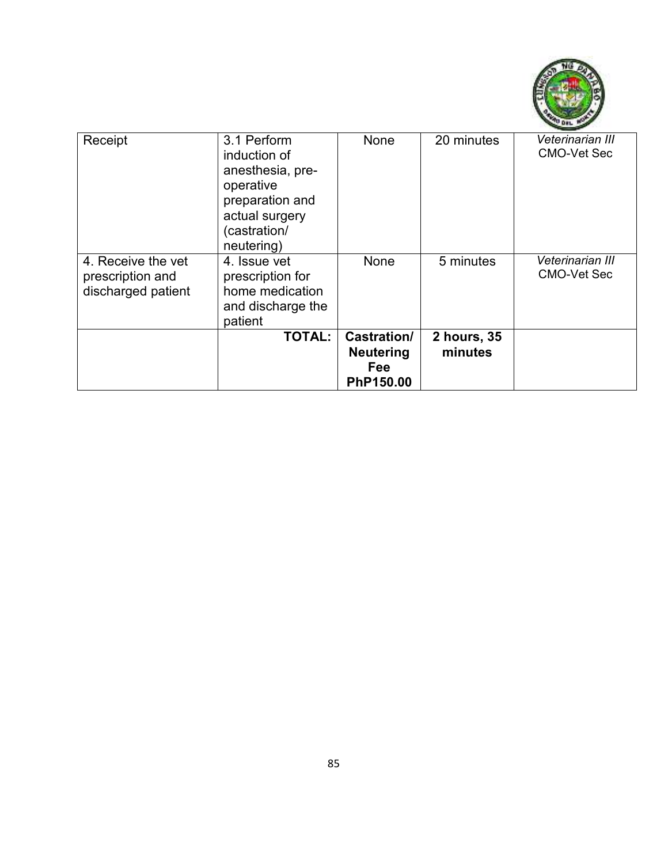

| Receipt                                                      | 3.1 Perform<br>induction of<br>anesthesia, pre-<br>operative<br>preparation and<br>actual surgery<br>(castration/<br>neutering) | <b>None</b>                                                | 20 minutes             | Veterinarian III<br><b>CMO-Vet Sec</b> |
|--------------------------------------------------------------|---------------------------------------------------------------------------------------------------------------------------------|------------------------------------------------------------|------------------------|----------------------------------------|
| 4. Receive the vet<br>prescription and<br>discharged patient | 4. Issue vet<br>prescription for<br>home medication<br>and discharge the<br>patient                                             | None                                                       | 5 minutes              | Veterinarian III<br><b>CMO-Vet Sec</b> |
|                                                              | <b>TOTAL:</b>                                                                                                                   | <b>Castration/</b><br><b>Neutering</b><br>Fee<br>PhP150.00 | 2 hours, 35<br>minutes |                                        |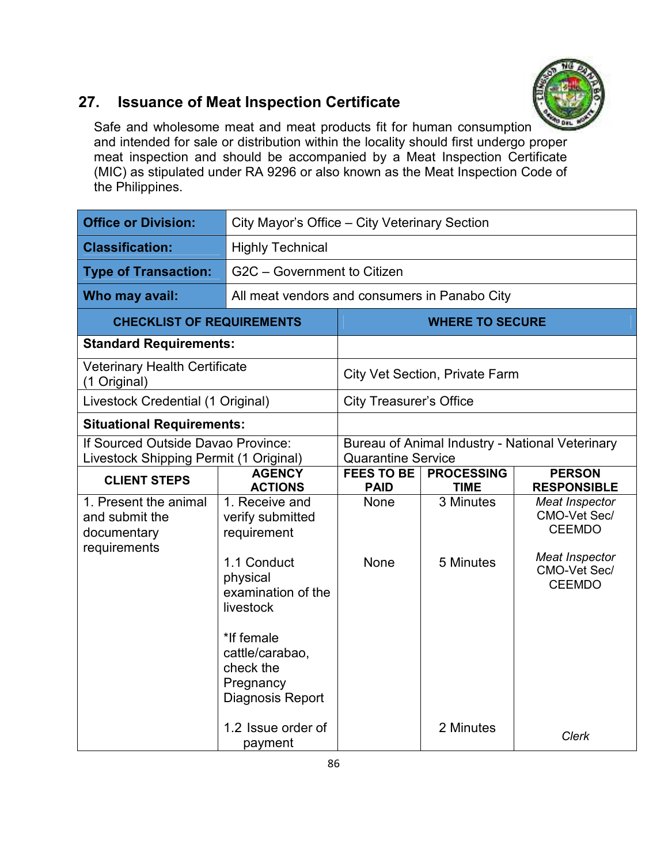

## **27. Issuance of Meat Inspection Certificate**

Safe and wholesome meat and meat products fit for human consumption and intended for sale or distribution within the locality should first undergo proper meat inspection and should be accompanied by a Meat Inspection Certificate (MIC) as stipulated under RA 9296 or also known as the Meat Inspection Code of the Philippines.

| <b>Office or Division:</b>                                                   | City Mayor's Office - City Veterinary Section                                                                                                                                                  |                                                                              |                                  |                                                                                                           |  |
|------------------------------------------------------------------------------|------------------------------------------------------------------------------------------------------------------------------------------------------------------------------------------------|------------------------------------------------------------------------------|----------------------------------|-----------------------------------------------------------------------------------------------------------|--|
| <b>Classification:</b>                                                       | <b>Highly Technical</b>                                                                                                                                                                        |                                                                              |                                  |                                                                                                           |  |
| <b>Type of Transaction:</b>                                                  | G2C - Government to Citizen                                                                                                                                                                    |                                                                              |                                  |                                                                                                           |  |
| Who may avail:                                                               |                                                                                                                                                                                                | All meat vendors and consumers in Panabo City                                |                                  |                                                                                                           |  |
| <b>CHECKLIST OF REQUIREMENTS</b>                                             |                                                                                                                                                                                                | <b>WHERE TO SECURE</b>                                                       |                                  |                                                                                                           |  |
| <b>Standard Requirements:</b>                                                |                                                                                                                                                                                                |                                                                              |                                  |                                                                                                           |  |
| <b>Veterinary Health Certificate</b><br>(1 Original)                         |                                                                                                                                                                                                | <b>City Vet Section, Private Farm</b>                                        |                                  |                                                                                                           |  |
| Livestock Credential (1 Original)                                            |                                                                                                                                                                                                |                                                                              | <b>City Treasurer's Office</b>   |                                                                                                           |  |
| <b>Situational Requirements:</b>                                             |                                                                                                                                                                                                |                                                                              |                                  |                                                                                                           |  |
| If Sourced Outside Davao Province:<br>Livestock Shipping Permit (1 Original) |                                                                                                                                                                                                | Bureau of Animal Industry - National Veterinary<br><b>Quarantine Service</b> |                                  |                                                                                                           |  |
| <b>CLIENT STEPS</b>                                                          | <b>AGENCY</b><br><b>ACTIONS</b>                                                                                                                                                                | <b>FEES TO BE</b><br><b>PAID</b>                                             | <b>PROCESSING</b><br><b>TIME</b> | <b>PERSON</b><br><b>RESPONSIBLE</b>                                                                       |  |
| 1. Present the animal<br>and submit the<br>documentary<br>requirements       | 1. Receive and<br>verify submitted<br>requirement<br>1.1 Conduct<br>physical<br>examination of the<br>livestock<br>*If female<br>cattle/carabao,<br>check the<br>Pregnancy<br>Diagnosis Report | <b>None</b><br><b>None</b>                                                   | 3 Minutes<br>5 Minutes           | Meat Inspector<br>CMO-Vet Sec/<br><b>CEEMDO</b><br><b>Meat Inspector</b><br>CMO-Vet Sec/<br><b>CEEMDO</b> |  |
|                                                                              | 1.2 Issue order of<br>payment                                                                                                                                                                  |                                                                              | 2 Minutes                        | Clerk                                                                                                     |  |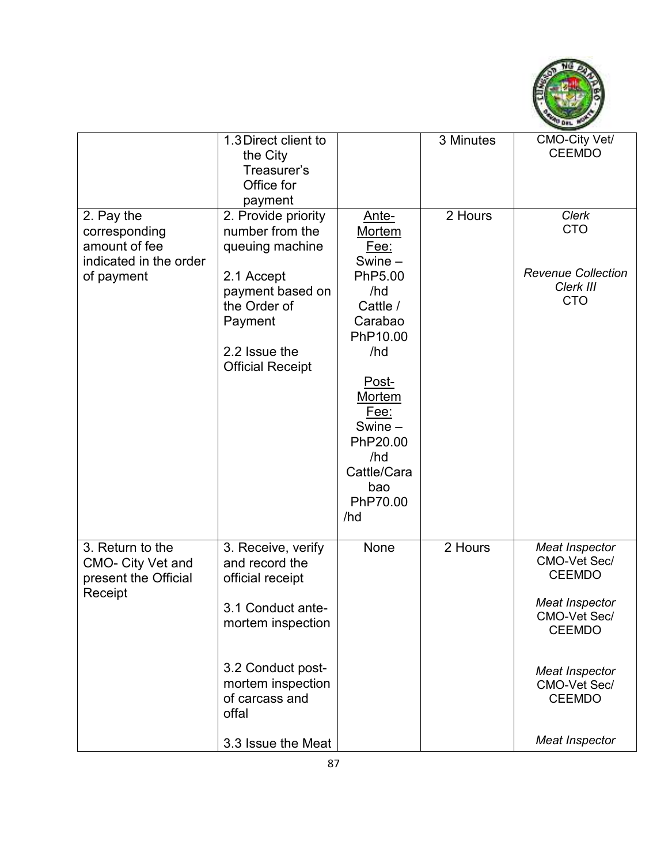

|                                                                                      | 1.3 Direct client to<br>the City<br>Treasurer's<br>Office for<br>payment                                                                                                                      |                                                                                                                                                                                                                | 3 Minutes | CMO-City Vet/<br><b>CEEMDO</b>                                                                                                                                                        |
|--------------------------------------------------------------------------------------|-----------------------------------------------------------------------------------------------------------------------------------------------------------------------------------------------|----------------------------------------------------------------------------------------------------------------------------------------------------------------------------------------------------------------|-----------|---------------------------------------------------------------------------------------------------------------------------------------------------------------------------------------|
| 2. Pay the<br>corresponding<br>amount of fee<br>indicated in the order<br>of payment | 2. Provide priority<br>number from the<br>queuing machine<br>2.1 Accept<br>payment based on<br>the Order of<br>Payment<br>2.2 Issue the<br><b>Official Receipt</b>                            | Ante-<br><b>Mortem</b><br>Fee:<br>Swine -<br>PhP5.00<br>/hd<br>Cattle /<br>Carabao<br>PhP10.00<br>/hd<br>Post-<br>Mortem<br><u>Fee:</u><br>Swine -<br>PhP20.00<br>/hd<br>Cattle/Cara<br>bao<br>PhP70.00<br>/hd | 2 Hours   | <b>Clerk</b><br><b>CTO</b><br><b>Revenue Collection</b><br>Clerk III<br><b>CTO</b>                                                                                                    |
| 3. Return to the<br><b>CMO- City Vet and</b><br>present the Official<br>Receipt      | 3. Receive, verify<br>and record the<br>official receipt<br>3.1 Conduct ante-<br>mortem inspection<br>3.2 Conduct post-<br>mortem inspection<br>of carcass and<br>offal<br>3.3 Issue the Meat | None                                                                                                                                                                                                           | 2 Hours   | Meat Inspector<br>CMO-Vet Sec/<br><b>CEEMDO</b><br>Meat Inspector<br>CMO-Vet Sec/<br><b>CEEMDO</b><br><b>Meat Inspector</b><br>CMO-Vet Sec/<br><b>CEEMDO</b><br><b>Meat Inspector</b> |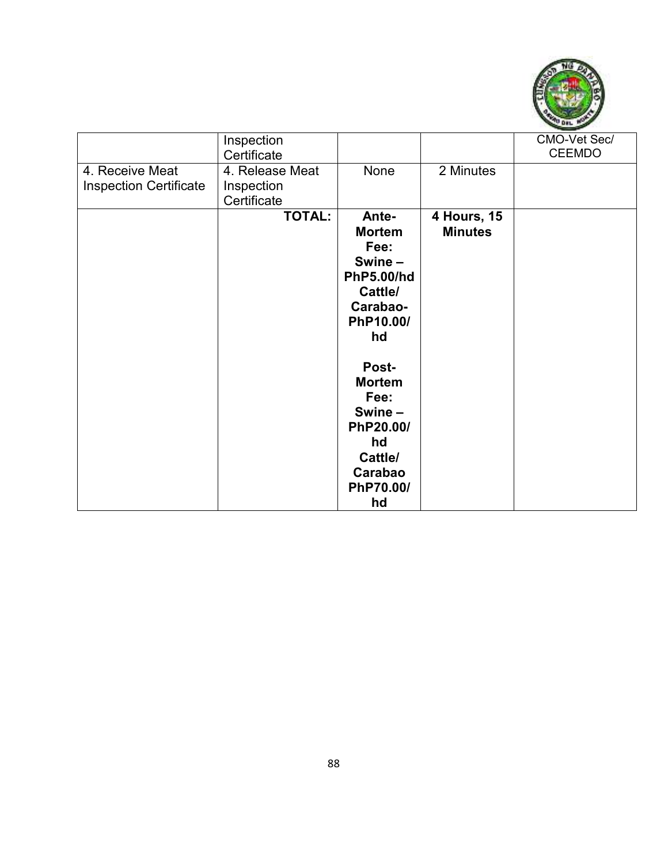

|                               | Inspection<br>Certificate |                   |                    | CMO-Vet Sec/<br><b>CEEMDO</b> |
|-------------------------------|---------------------------|-------------------|--------------------|-------------------------------|
| 4. Receive Meat               | 4. Release Meat           | None              | 2 Minutes          |                               |
| <b>Inspection Certificate</b> | Inspection<br>Certificate |                   |                    |                               |
|                               | <b>TOTAL:</b>             | Ante-             | <b>4 Hours, 15</b> |                               |
|                               |                           | <b>Mortem</b>     | <b>Minutes</b>     |                               |
|                               |                           | Fee:              |                    |                               |
|                               |                           | Swine-            |                    |                               |
|                               |                           | <b>PhP5.00/hd</b> |                    |                               |
|                               |                           | Cattle/           |                    |                               |
|                               |                           | Carabao-          |                    |                               |
|                               |                           | PhP10.00/         |                    |                               |
|                               |                           | hd                |                    |                               |
|                               |                           | Post-             |                    |                               |
|                               |                           | <b>Mortem</b>     |                    |                               |
|                               |                           | Fee:              |                    |                               |
|                               |                           | Swine-            |                    |                               |
|                               |                           | PhP20.00/         |                    |                               |
|                               |                           | hd                |                    |                               |
|                               |                           | Cattle/           |                    |                               |
|                               |                           | Carabao           |                    |                               |
|                               |                           | PhP70.00/         |                    |                               |
|                               |                           | hd                |                    |                               |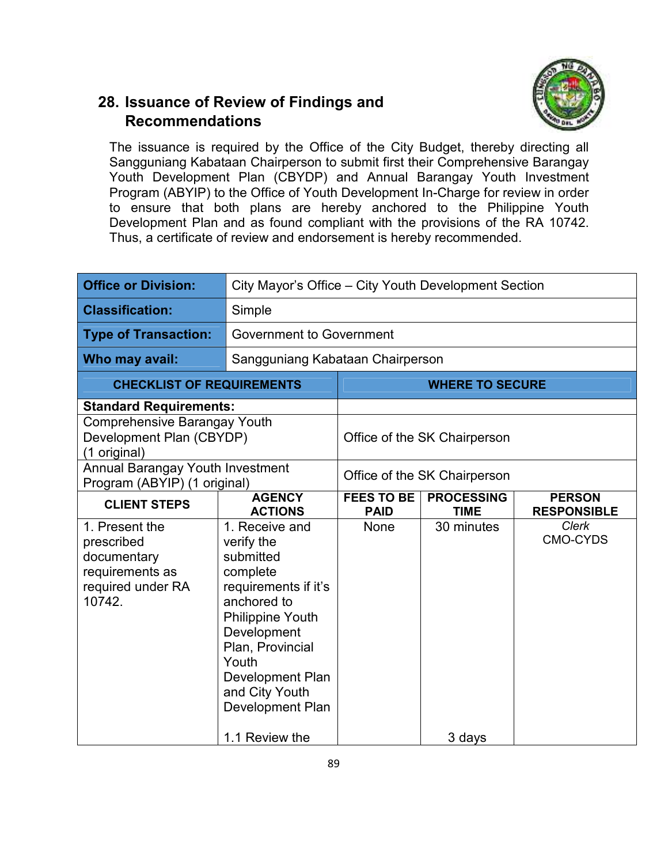## **28. Issuance of Review of Findings and Recommendations**



The issuance is required by the Office of the City Budget, thereby directing all Sangguniang Kabataan Chairperson to submit first their Comprehensive Barangay Youth Development Plan (CBYDP) and Annual Barangay Youth Investment Program (ABYIP) to the Office of Youth Development In-Charge for review in order to ensure that both plans are hereby anchored to the Philippine Youth Development Plan and as found compliant with the provisions of the RA 10742. Thus, a certificate of review and endorsement is hereby recommended.

| <b>Office or Division:</b>                                                                    | City Mayor's Office – City Youth Development Section                                                                                                                                                                                 |                                  |                                  |                                     |
|-----------------------------------------------------------------------------------------------|--------------------------------------------------------------------------------------------------------------------------------------------------------------------------------------------------------------------------------------|----------------------------------|----------------------------------|-------------------------------------|
| <b>Classification:</b>                                                                        | Simple                                                                                                                                                                                                                               |                                  |                                  |                                     |
| <b>Type of Transaction:</b>                                                                   | <b>Government to Government</b>                                                                                                                                                                                                      |                                  |                                  |                                     |
| Who may avail:                                                                                | Sangguniang Kabataan Chairperson                                                                                                                                                                                                     |                                  |                                  |                                     |
| <b>CHECKLIST OF REQUIREMENTS</b>                                                              |                                                                                                                                                                                                                                      | <b>WHERE TO SECURE</b>           |                                  |                                     |
| <b>Standard Requirements:</b>                                                                 |                                                                                                                                                                                                                                      |                                  |                                  |                                     |
| Comprehensive Barangay Youth<br>Development Plan (CBYDP)<br>(1 original)                      |                                                                                                                                                                                                                                      | Office of the SK Chairperson     |                                  |                                     |
| Annual Barangay Youth Investment<br>Program (ABYIP) (1 original)                              |                                                                                                                                                                                                                                      | Office of the SK Chairperson     |                                  |                                     |
| <b>CLIENT STEPS</b>                                                                           | <b>AGENCY</b><br><b>ACTIONS</b>                                                                                                                                                                                                      | <b>FEES TO BE</b><br><b>PAID</b> | <b>PROCESSING</b><br><b>TIME</b> | <b>PERSON</b><br><b>RESPONSIBLE</b> |
| 1. Present the<br>prescribed<br>documentary<br>requirements as<br>required under RA<br>10742. | 1. Receive and<br>verify the<br>submitted<br>complete<br>requirements if it's<br>anchored to<br><b>Philippine Youth</b><br>Development<br>Plan, Provincial<br>Youth<br><b>Development Plan</b><br>and City Youth<br>Development Plan | None                             | 30 minutes                       | <b>Clerk</b><br><b>CMO-CYDS</b>     |
|                                                                                               | 1.1 Review the                                                                                                                                                                                                                       |                                  | 3 days                           |                                     |